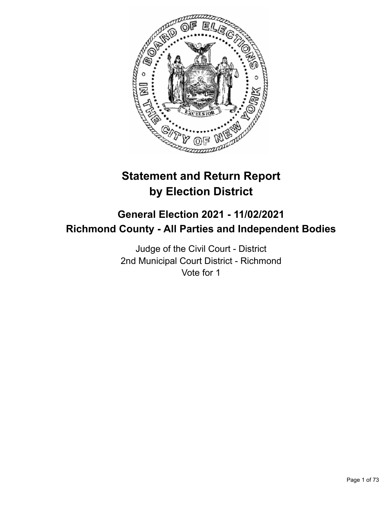

# **Statement and Return Report by Election District**

## **General Election 2021 - 11/02/2021 Richmond County - All Parties and Independent Bodies**

Judge of the Civil Court - District 2nd Municipal Court District - Richmond Vote for 1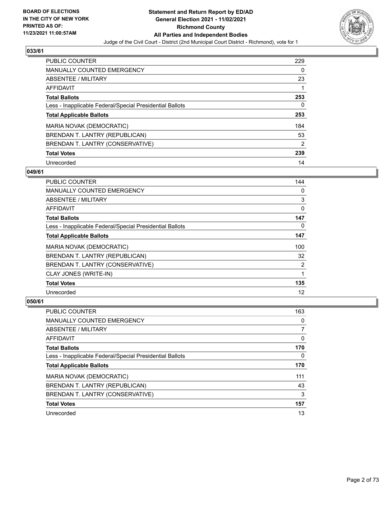

| <b>PUBLIC COUNTER</b>                                    | 229 |
|----------------------------------------------------------|-----|
| <b>MANUALLY COUNTED EMERGENCY</b>                        | 0   |
| ABSENTEE / MILITARY                                      | 23  |
| AFFIDAVIT                                                |     |
| <b>Total Ballots</b>                                     | 253 |
| Less - Inapplicable Federal/Special Presidential Ballots | 0   |
| <b>Total Applicable Ballots</b>                          | 253 |
| MARIA NOVAK (DEMOCRATIC)                                 | 184 |
| BRENDAN T. LANTRY (REPUBLICAN)                           | 53  |
| BRENDAN T. LANTRY (CONSERVATIVE)                         | 2   |
| <b>Total Votes</b>                                       | 239 |
| Unrecorded                                               | 14  |

#### **049/61**

| <b>PUBLIC COUNTER</b>                                    | 144      |
|----------------------------------------------------------|----------|
| <b>MANUALLY COUNTED EMERGENCY</b>                        | $\Omega$ |
| ABSENTEE / MILITARY                                      | 3        |
| <b>AFFIDAVIT</b>                                         | 0        |
| <b>Total Ballots</b>                                     | 147      |
| Less - Inapplicable Federal/Special Presidential Ballots | $\Omega$ |
| <b>Total Applicable Ballots</b>                          | 147      |
| MARIA NOVAK (DEMOCRATIC)                                 | 100      |
| BRENDAN T. LANTRY (REPUBLICAN)                           | 32       |
| BRENDAN T. LANTRY (CONSERVATIVE)                         | 2        |
| CLAY JONES (WRITE-IN)                                    | 1        |
| <b>Total Votes</b>                                       | 135      |
| Unrecorded                                               | 12       |

| <b>PUBLIC COUNTER</b>                                    | 163 |
|----------------------------------------------------------|-----|
| <b>MANUALLY COUNTED EMERGENCY</b>                        | 0   |
| ABSENTEE / MILITARY                                      | 7   |
| AFFIDAVIT                                                | 0   |
| <b>Total Ballots</b>                                     | 170 |
| Less - Inapplicable Federal/Special Presidential Ballots | 0   |
| <b>Total Applicable Ballots</b>                          | 170 |
| MARIA NOVAK (DEMOCRATIC)                                 | 111 |
| BRENDAN T. LANTRY (REPUBLICAN)                           | 43  |
| BRENDAN T. LANTRY (CONSERVATIVE)                         | 3   |
| <b>Total Votes</b>                                       | 157 |
| Unrecorded                                               | 13  |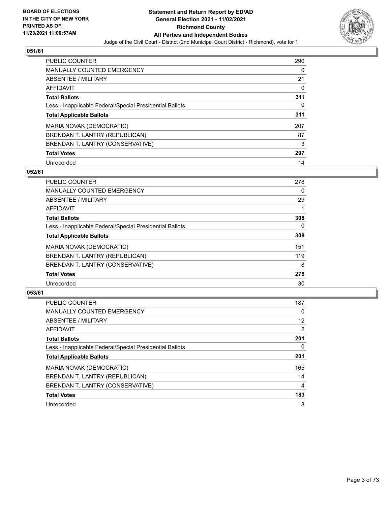

| <b>PUBLIC COUNTER</b>                                    | 290 |
|----------------------------------------------------------|-----|
| <b>MANUALLY COUNTED EMERGENCY</b>                        | 0   |
| ABSENTEE / MILITARY                                      | 21  |
| AFFIDAVIT                                                | 0   |
| <b>Total Ballots</b>                                     | 311 |
| Less - Inapplicable Federal/Special Presidential Ballots | 0   |
| <b>Total Applicable Ballots</b>                          | 311 |
| MARIA NOVAK (DEMOCRATIC)                                 | 207 |
| BRENDAN T. LANTRY (REPUBLICAN)                           | 87  |
| BRENDAN T. LANTRY (CONSERVATIVE)                         | 3   |
| <b>Total Votes</b>                                       | 297 |
| Unrecorded                                               | 14  |

#### **052/61**

| <b>PUBLIC COUNTER</b>                                    | 278      |
|----------------------------------------------------------|----------|
| <b>MANUALLY COUNTED EMERGENCY</b>                        | 0        |
| ABSENTEE / MILITARY                                      | 29       |
| <b>AFFIDAVIT</b>                                         |          |
| <b>Total Ballots</b>                                     | 308      |
| Less - Inapplicable Federal/Special Presidential Ballots | $\Omega$ |
| <b>Total Applicable Ballots</b>                          | 308      |
| MARIA NOVAK (DEMOCRATIC)                                 | 151      |
| BRENDAN T. LANTRY (REPUBLICAN)                           | 119      |
| BRENDAN T. LANTRY (CONSERVATIVE)                         | 8        |
| <b>Total Votes</b>                                       | 278      |
| Unrecorded                                               | 30       |

| <b>PUBLIC COUNTER</b>                                    | 187            |
|----------------------------------------------------------|----------------|
| <b>MANUALLY COUNTED EMERGENCY</b>                        | $\Omega$       |
| ABSENTEE / MILITARY                                      | 12             |
| AFFIDAVIT                                                | $\overline{2}$ |
| <b>Total Ballots</b>                                     | 201            |
| Less - Inapplicable Federal/Special Presidential Ballots | 0              |
| <b>Total Applicable Ballots</b>                          | 201            |
| MARIA NOVAK (DEMOCRATIC)                                 | 165            |
| BRENDAN T. LANTRY (REPUBLICAN)                           | 14             |
| BRENDAN T. LANTRY (CONSERVATIVE)                         | $\overline{4}$ |
| <b>Total Votes</b>                                       | 183            |
| Unrecorded                                               | 18             |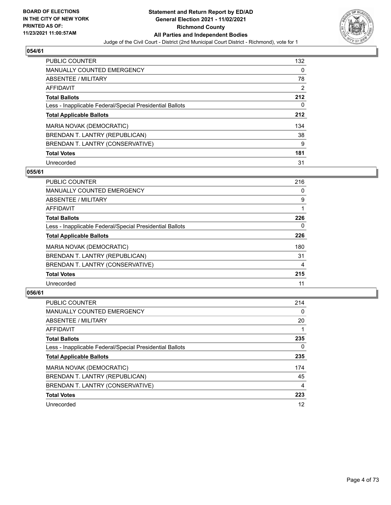

| <b>PUBLIC COUNTER</b>                                    | 132 |
|----------------------------------------------------------|-----|
| <b>MANUALLY COUNTED EMERGENCY</b>                        | 0   |
| ABSENTEE / MILITARY                                      | 78  |
| <b>AFFIDAVIT</b>                                         | 2   |
| <b>Total Ballots</b>                                     | 212 |
| Less - Inapplicable Federal/Special Presidential Ballots | 0   |
| <b>Total Applicable Ballots</b>                          | 212 |
| MARIA NOVAK (DEMOCRATIC)                                 | 134 |
| BRENDAN T. LANTRY (REPUBLICAN)                           | 38  |
| BRENDAN T. LANTRY (CONSERVATIVE)                         | 9   |
| <b>Total Votes</b>                                       | 181 |
| Unrecorded                                               | 31  |

#### **055/61**

| <b>PUBLIC COUNTER</b>                                    | 216 |
|----------------------------------------------------------|-----|
| <b>MANUALLY COUNTED EMERGENCY</b>                        | 0   |
| ABSENTEE / MILITARY                                      | 9   |
| <b>AFFIDAVIT</b>                                         |     |
| <b>Total Ballots</b>                                     | 226 |
| Less - Inapplicable Federal/Special Presidential Ballots | 0   |
| <b>Total Applicable Ballots</b>                          | 226 |
| MARIA NOVAK (DEMOCRATIC)                                 | 180 |
| BRENDAN T. LANTRY (REPUBLICAN)                           | 31  |
| BRENDAN T. LANTRY (CONSERVATIVE)                         | 4   |
| <b>Total Votes</b>                                       | 215 |
| Unrecorded                                               | 11  |

| <b>PUBLIC COUNTER</b>                                    | 214            |
|----------------------------------------------------------|----------------|
| <b>MANUALLY COUNTED EMERGENCY</b>                        | $\Omega$       |
| ABSENTEE / MILITARY                                      | 20             |
| <b>AFFIDAVIT</b>                                         |                |
| <b>Total Ballots</b>                                     | 235            |
| Less - Inapplicable Federal/Special Presidential Ballots | 0              |
| <b>Total Applicable Ballots</b>                          | 235            |
| MARIA NOVAK (DEMOCRATIC)                                 | 174            |
| BRENDAN T. LANTRY (REPUBLICAN)                           | 45             |
| BRENDAN T. LANTRY (CONSERVATIVE)                         | $\overline{4}$ |
| <b>Total Votes</b>                                       | 223            |
| Unrecorded                                               | 12             |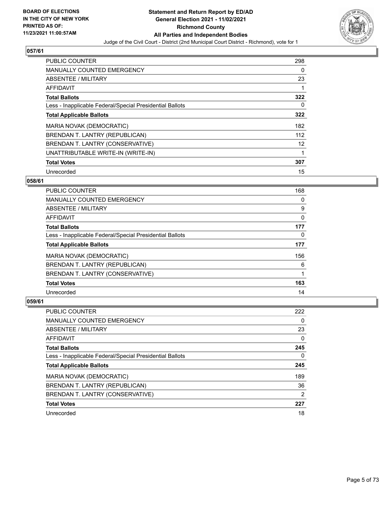

| PUBLIC COUNTER                                           | 298 |
|----------------------------------------------------------|-----|
| <b>MANUALLY COUNTED EMERGENCY</b>                        | 0   |
| ABSENTEE / MILITARY                                      | 23  |
| <b>AFFIDAVIT</b>                                         |     |
| <b>Total Ballots</b>                                     | 322 |
| Less - Inapplicable Federal/Special Presidential Ballots | 0   |
| <b>Total Applicable Ballots</b>                          | 322 |
| MARIA NOVAK (DEMOCRATIC)                                 | 182 |
| BRENDAN T. LANTRY (REPUBLICAN)                           | 112 |
| BRENDAN T. LANTRY (CONSERVATIVE)                         | 12  |
| UNATTRIBUTABLE WRITE-IN (WRITE-IN)                       | 1   |
| <b>Total Votes</b>                                       | 307 |
| Unrecorded                                               | 15  |

## **058/61**

| <b>PUBLIC COUNTER</b>                                    | 168      |
|----------------------------------------------------------|----------|
| <b>MANUALLY COUNTED EMERGENCY</b>                        | 0        |
| ABSENTEE / MILITARY                                      | 9        |
| AFFIDAVIT                                                | $\Omega$ |
| <b>Total Ballots</b>                                     | 177      |
| Less - Inapplicable Federal/Special Presidential Ballots | 0        |
| <b>Total Applicable Ballots</b>                          | 177      |
| MARIA NOVAK (DEMOCRATIC)                                 | 156      |
| BRENDAN T. LANTRY (REPUBLICAN)                           | 6        |
| BRENDAN T. LANTRY (CONSERVATIVE)                         |          |
| <b>Total Votes</b>                                       | 163      |
| Unrecorded                                               | 14       |

| <b>PUBLIC COUNTER</b>                                    | 222 |
|----------------------------------------------------------|-----|
| <b>MANUALLY COUNTED EMERGENCY</b>                        | 0   |
| ABSENTEE / MILITARY                                      | 23  |
| AFFIDAVIT                                                | 0   |
| <b>Total Ballots</b>                                     | 245 |
| Less - Inapplicable Federal/Special Presidential Ballots | 0   |
| <b>Total Applicable Ballots</b>                          | 245 |
| MARIA NOVAK (DEMOCRATIC)                                 | 189 |
| BRENDAN T. LANTRY (REPUBLICAN)                           | 36  |
| BRENDAN T. LANTRY (CONSERVATIVE)                         | 2   |
| <b>Total Votes</b>                                       | 227 |
| Unrecorded                                               | 18  |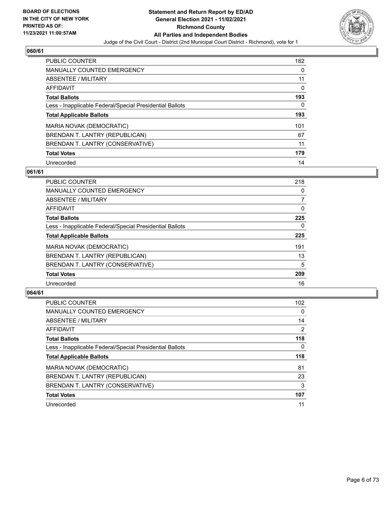

| <b>PUBLIC COUNTER</b>                                    | 182 |
|----------------------------------------------------------|-----|
| MANUALLY COUNTED EMERGENCY                               | 0   |
| ABSENTEE / MILITARY                                      | 11  |
| AFFIDAVIT                                                | 0   |
| <b>Total Ballots</b>                                     | 193 |
| Less - Inapplicable Federal/Special Presidential Ballots | 0   |
| <b>Total Applicable Ballots</b>                          | 193 |
| MARIA NOVAK (DEMOCRATIC)                                 | 101 |
| BRENDAN T. LANTRY (REPUBLICAN)                           | 67  |
| BRENDAN T. LANTRY (CONSERVATIVE)                         | 11  |
| <b>Total Votes</b>                                       | 179 |
| Unrecorded                                               | 14  |

#### **061/61**

| <b>PUBLIC COUNTER</b>                                    | 218      |
|----------------------------------------------------------|----------|
| <b>MANUALLY COUNTED EMERGENCY</b>                        | 0        |
| ABSENTEE / MILITARY                                      | 7        |
| <b>AFFIDAVIT</b>                                         | $\Omega$ |
| <b>Total Ballots</b>                                     | 225      |
| Less - Inapplicable Federal/Special Presidential Ballots | $\Omega$ |
| <b>Total Applicable Ballots</b>                          | 225      |
| MARIA NOVAK (DEMOCRATIC)                                 | 191      |
| BRENDAN T. LANTRY (REPUBLICAN)                           | 13       |
| BRENDAN T. LANTRY (CONSERVATIVE)                         | 5        |
| <b>Total Votes</b>                                       | 209      |
| Unrecorded                                               | 16       |

| <b>PUBLIC COUNTER</b>                                    | 102 <sub>1</sub> |
|----------------------------------------------------------|------------------|
| <b>MANUALLY COUNTED EMERGENCY</b>                        | $\Omega$         |
| ABSENTEE / MILITARY                                      | 14               |
| AFFIDAVIT                                                | 2                |
| <b>Total Ballots</b>                                     | 118              |
| Less - Inapplicable Federal/Special Presidential Ballots | $\Omega$         |
| <b>Total Applicable Ballots</b>                          | 118              |
| MARIA NOVAK (DEMOCRATIC)                                 | 81               |
| BRENDAN T. LANTRY (REPUBLICAN)                           | 23               |
| BRENDAN T. LANTRY (CONSERVATIVE)                         | 3                |
| <b>Total Votes</b>                                       | 107              |
| Unrecorded                                               | 11               |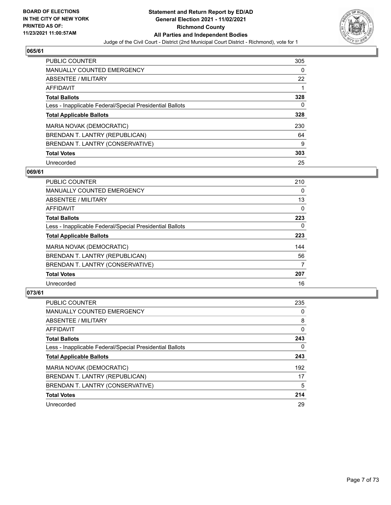

| <b>PUBLIC COUNTER</b>                                    | 305      |
|----------------------------------------------------------|----------|
| <b>MANUALLY COUNTED EMERGENCY</b>                        | $\Omega$ |
| ABSENTEE / MILITARY                                      | 22       |
| AFFIDAVIT                                                |          |
| <b>Total Ballots</b>                                     | 328      |
| Less - Inapplicable Federal/Special Presidential Ballots | 0        |
| <b>Total Applicable Ballots</b>                          | 328      |
| MARIA NOVAK (DEMOCRATIC)                                 | 230      |
| BRENDAN T. LANTRY (REPUBLICAN)                           | 64       |
| BRENDAN T. LANTRY (CONSERVATIVE)                         | 9        |
| <b>Total Votes</b>                                       | 303      |
| Unrecorded                                               | 25       |

#### **069/61**

| <b>PUBLIC COUNTER</b>                                    | 210      |
|----------------------------------------------------------|----------|
| MANUALLY COUNTED EMERGENCY                               | $\Omega$ |
| ABSENTEE / MILITARY                                      | 13       |
| <b>AFFIDAVIT</b>                                         | $\Omega$ |
| <b>Total Ballots</b>                                     | 223      |
| Less - Inapplicable Federal/Special Presidential Ballots | $\Omega$ |
| <b>Total Applicable Ballots</b>                          | 223      |
| MARIA NOVAK (DEMOCRATIC)                                 | 144      |
| BRENDAN T. LANTRY (REPUBLICAN)                           | 56       |
| BRENDAN T. LANTRY (CONSERVATIVE)                         | 7        |
| <b>Total Votes</b>                                       | 207      |
| Unrecorded                                               | 16       |

| <b>PUBLIC COUNTER</b>                                    | 235 |
|----------------------------------------------------------|-----|
| <b>MANUALLY COUNTED EMERGENCY</b>                        | 0   |
| ABSENTEE / MILITARY                                      | 8   |
| AFFIDAVIT                                                | 0   |
| <b>Total Ballots</b>                                     | 243 |
| Less - Inapplicable Federal/Special Presidential Ballots | 0   |
| <b>Total Applicable Ballots</b>                          | 243 |
| MARIA NOVAK (DEMOCRATIC)                                 | 192 |
| BRENDAN T. LANTRY (REPUBLICAN)                           | 17  |
| BRENDAN T. LANTRY (CONSERVATIVE)                         | 5   |
| <b>Total Votes</b>                                       | 214 |
| Unrecorded                                               | 29  |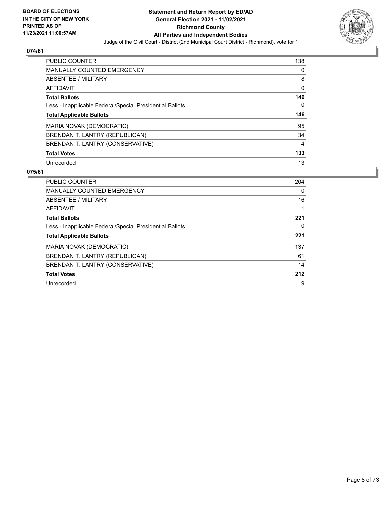

| <b>PUBLIC COUNTER</b>                                    | 138 |
|----------------------------------------------------------|-----|
| <b>MANUALLY COUNTED EMERGENCY</b>                        | 0   |
| ABSENTEE / MILITARY                                      | 8   |
| AFFIDAVIT                                                | 0   |
| <b>Total Ballots</b>                                     | 146 |
| Less - Inapplicable Federal/Special Presidential Ballots | 0   |
|                                                          |     |
| <b>Total Applicable Ballots</b>                          | 146 |
| MARIA NOVAK (DEMOCRATIC)                                 | 95  |
| BRENDAN T. LANTRY (REPUBLICAN)                           | 34  |
| BRENDAN T. LANTRY (CONSERVATIVE)                         | 4   |
| <b>Total Votes</b>                                       | 133 |

| <b>PUBLIC COUNTER</b>                                    | 204 |
|----------------------------------------------------------|-----|
| <b>MANUALLY COUNTED EMERGENCY</b>                        | 0   |
| ABSENTEE / MILITARY                                      | 16  |
| AFFIDAVIT                                                |     |
| <b>Total Ballots</b>                                     | 221 |
| Less - Inapplicable Federal/Special Presidential Ballots | 0   |
| <b>Total Applicable Ballots</b>                          | 221 |
| MARIA NOVAK (DEMOCRATIC)                                 | 137 |
| BRENDAN T. LANTRY (REPUBLICAN)                           | 61  |
| BRENDAN T. LANTRY (CONSERVATIVE)                         | 14  |
| <b>Total Votes</b>                                       | 212 |
| Unrecorded                                               | 9   |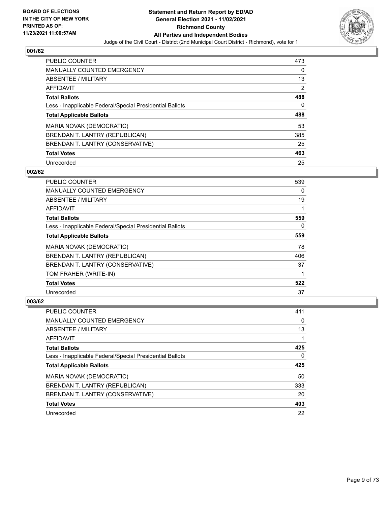

| <b>PUBLIC COUNTER</b>                                    | 473 |
|----------------------------------------------------------|-----|
| <b>MANUALLY COUNTED EMERGENCY</b>                        | 0   |
| ABSENTEE / MILITARY                                      | 13  |
| AFFIDAVIT                                                | 2   |
| <b>Total Ballots</b>                                     | 488 |
| Less - Inapplicable Federal/Special Presidential Ballots | 0   |
| <b>Total Applicable Ballots</b>                          | 488 |
| MARIA NOVAK (DEMOCRATIC)                                 | 53  |
| BRENDAN T. LANTRY (REPUBLICAN)                           | 385 |
| BRENDAN T. LANTRY (CONSERVATIVE)                         | 25  |
| <b>Total Votes</b>                                       | 463 |
| Unrecorded                                               | 25  |

## **002/62**

| <b>PUBLIC COUNTER</b>                                    | 539 |
|----------------------------------------------------------|-----|
| <b>MANUALLY COUNTED EMERGENCY</b>                        | 0   |
| ABSENTEE / MILITARY                                      | 19  |
| <b>AFFIDAVIT</b>                                         |     |
| <b>Total Ballots</b>                                     | 559 |
| Less - Inapplicable Federal/Special Presidential Ballots | 0   |
| <b>Total Applicable Ballots</b>                          | 559 |
| <b>MARIA NOVAK (DEMOCRATIC)</b>                          | 78  |
| BRENDAN T. LANTRY (REPUBLICAN)                           | 406 |
| BRENDAN T. LANTRY (CONSERVATIVE)                         | 37  |
| TOM FRAHER (WRITE-IN)                                    |     |
| <b>Total Votes</b>                                       | 522 |
| Unrecorded                                               | 37  |

| PUBLIC COUNTER                                           | 411 |
|----------------------------------------------------------|-----|
| <b>MANUALLY COUNTED EMERGENCY</b>                        | 0   |
| ABSENTEE / MILITARY                                      | 13  |
| AFFIDAVIT                                                |     |
| <b>Total Ballots</b>                                     | 425 |
| Less - Inapplicable Federal/Special Presidential Ballots | 0   |
| <b>Total Applicable Ballots</b>                          | 425 |
| MARIA NOVAK (DEMOCRATIC)                                 | 50  |
| BRENDAN T. LANTRY (REPUBLICAN)                           | 333 |
| BRENDAN T. LANTRY (CONSERVATIVE)                         | 20  |
|                                                          |     |
| <b>Total Votes</b>                                       | 403 |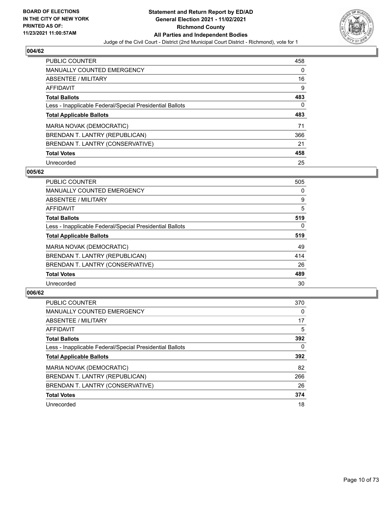

| <b>PUBLIC COUNTER</b>                                    | 458 |
|----------------------------------------------------------|-----|
| <b>MANUALLY COUNTED EMERGENCY</b>                        | 0   |
| ABSENTEE / MILITARY                                      | 16  |
| AFFIDAVIT                                                | 9   |
| <b>Total Ballots</b>                                     | 483 |
| Less - Inapplicable Federal/Special Presidential Ballots | 0   |
|                                                          |     |
| <b>Total Applicable Ballots</b>                          | 483 |
| MARIA NOVAK (DEMOCRATIC)                                 | 71  |
| BRENDAN T. LANTRY (REPUBLICAN)                           | 366 |
| BRENDAN T. LANTRY (CONSERVATIVE)                         | 21  |
| <b>Total Votes</b>                                       | 458 |

#### **005/62**

| <b>PUBLIC COUNTER</b>                                    | 505      |
|----------------------------------------------------------|----------|
| <b>MANUALLY COUNTED EMERGENCY</b>                        | 0        |
| ABSENTEE / MILITARY                                      | 9        |
| <b>AFFIDAVIT</b>                                         | 5        |
| <b>Total Ballots</b>                                     | 519      |
| Less - Inapplicable Federal/Special Presidential Ballots | $\Omega$ |
| <b>Total Applicable Ballots</b>                          | 519      |
| MARIA NOVAK (DEMOCRATIC)                                 | 49       |
| BRENDAN T. LANTRY (REPUBLICAN)                           | 414      |
| BRENDAN T. LANTRY (CONSERVATIVE)                         | 26       |
| <b>Total Votes</b>                                       | 489      |
| Unrecorded                                               | 30       |

| <b>PUBLIC COUNTER</b>                                    | 370 |
|----------------------------------------------------------|-----|
| MANUALLY COUNTED EMERGENCY                               | 0   |
| ABSENTEE / MILITARY                                      | 17  |
| AFFIDAVIT                                                | 5   |
| <b>Total Ballots</b>                                     | 392 |
| Less - Inapplicable Federal/Special Presidential Ballots | 0   |
| <b>Total Applicable Ballots</b>                          | 392 |
| MARIA NOVAK (DEMOCRATIC)                                 | 82  |
| BRENDAN T. LANTRY (REPUBLICAN)                           | 266 |
| BRENDAN T. LANTRY (CONSERVATIVE)                         | 26  |
| <b>Total Votes</b>                                       | 374 |
| Unrecorded                                               | 18  |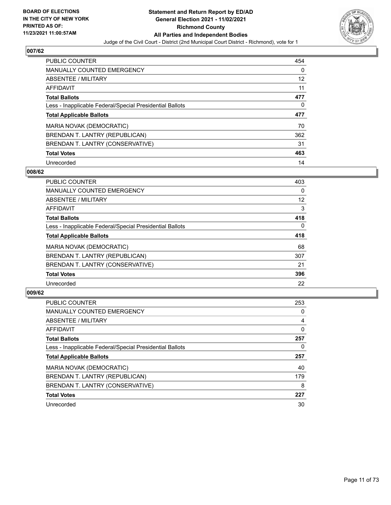

| <b>PUBLIC COUNTER</b>                                    | 454 |
|----------------------------------------------------------|-----|
| <b>MANUALLY COUNTED EMERGENCY</b>                        | 0   |
| ABSENTEE / MILITARY                                      | 12  |
| AFFIDAVIT                                                | 11  |
| <b>Total Ballots</b>                                     | 477 |
| Less - Inapplicable Federal/Special Presidential Ballots | 0   |
|                                                          |     |
| <b>Total Applicable Ballots</b>                          | 477 |
| MARIA NOVAK (DEMOCRATIC)                                 | 70  |
| BRENDAN T. LANTRY (REPUBLICAN)                           | 362 |
| BRENDAN T. LANTRY (CONSERVATIVE)                         | 31  |
| <b>Total Votes</b>                                       | 463 |

#### **008/62**

| <b>PUBLIC COUNTER</b>                                    | 403      |
|----------------------------------------------------------|----------|
| <b>MANUALLY COUNTED EMERGENCY</b>                        | 0        |
| ABSENTEE / MILITARY                                      | 12       |
| <b>AFFIDAVIT</b>                                         | 3        |
| <b>Total Ballots</b>                                     | 418      |
| Less - Inapplicable Federal/Special Presidential Ballots | $\Omega$ |
| <b>Total Applicable Ballots</b>                          | 418      |
| MARIA NOVAK (DEMOCRATIC)                                 | 68       |
| BRENDAN T. LANTRY (REPUBLICAN)                           | 307      |
| BRENDAN T. LANTRY (CONSERVATIVE)                         | 21       |
| <b>Total Votes</b>                                       | 396      |
| Unrecorded                                               | 22       |

| <b>PUBLIC COUNTER</b>                                    | 253      |
|----------------------------------------------------------|----------|
| <b>MANUALLY COUNTED EMERGENCY</b>                        | 0        |
| ABSENTEE / MILITARY                                      | 4        |
| AFFIDAVIT                                                | $\Omega$ |
| <b>Total Ballots</b>                                     | 257      |
| Less - Inapplicable Federal/Special Presidential Ballots | 0        |
| <b>Total Applicable Ballots</b>                          | 257      |
| MARIA NOVAK (DEMOCRATIC)                                 | 40       |
| BRENDAN T. LANTRY (REPUBLICAN)                           | 179      |
|                                                          |          |
| BRENDAN T. LANTRY (CONSERVATIVE)                         | 8        |
| <b>Total Votes</b>                                       | 227      |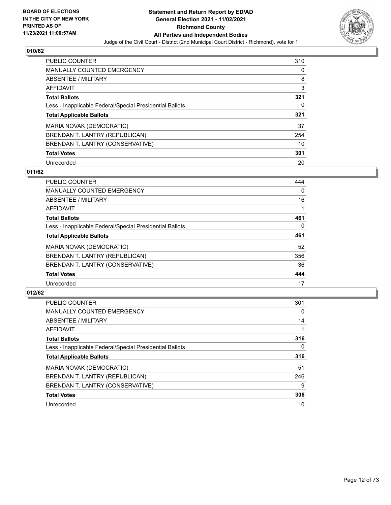

| <b>PUBLIC COUNTER</b>                                    | 310 |
|----------------------------------------------------------|-----|
| <b>MANUALLY COUNTED EMERGENCY</b>                        | 0   |
| ABSENTEE / MILITARY                                      | 8   |
| AFFIDAVIT                                                | 3   |
| <b>Total Ballots</b>                                     | 321 |
| Less - Inapplicable Federal/Special Presidential Ballots | 0   |
| <b>Total Applicable Ballots</b>                          | 321 |
| MARIA NOVAK (DEMOCRATIC)                                 | 37  |
| BRENDAN T. LANTRY (REPUBLICAN)                           | 254 |
| BRENDAN T. LANTRY (CONSERVATIVE)                         | 10  |
| <b>Total Votes</b>                                       | 301 |
|                                                          |     |

#### **011/62**

| <b>PUBLIC COUNTER</b>                                    | 444      |
|----------------------------------------------------------|----------|
| <b>MANUALLY COUNTED EMERGENCY</b>                        | $\Omega$ |
| ABSENTEE / MILITARY                                      | 16       |
| <b>AFFIDAVIT</b>                                         |          |
| <b>Total Ballots</b>                                     | 461      |
| Less - Inapplicable Federal/Special Presidential Ballots | $\Omega$ |
| <b>Total Applicable Ballots</b>                          | 461      |
| MARIA NOVAK (DEMOCRATIC)                                 | 52       |
| BRENDAN T. LANTRY (REPUBLICAN)                           | 356      |
| BRENDAN T. LANTRY (CONSERVATIVE)                         | 36       |
| <b>Total Votes</b>                                       | 444      |
| Unrecorded                                               | 17       |

| <b>PUBLIC COUNTER</b>                                    | 301 |
|----------------------------------------------------------|-----|
| MANUALLY COUNTED EMERGENCY                               | 0   |
| ABSENTEE / MILITARY                                      | 14  |
| <b>AFFIDAVIT</b>                                         |     |
| <b>Total Ballots</b>                                     | 316 |
| Less - Inapplicable Federal/Special Presidential Ballots | 0   |
| <b>Total Applicable Ballots</b>                          | 316 |
| MARIA NOVAK (DEMOCRATIC)                                 | 51  |
| BRENDAN T. LANTRY (REPUBLICAN)                           | 246 |
| BRENDAN T. LANTRY (CONSERVATIVE)                         | 9   |
| <b>Total Votes</b>                                       | 306 |
| Unrecorded                                               | 10  |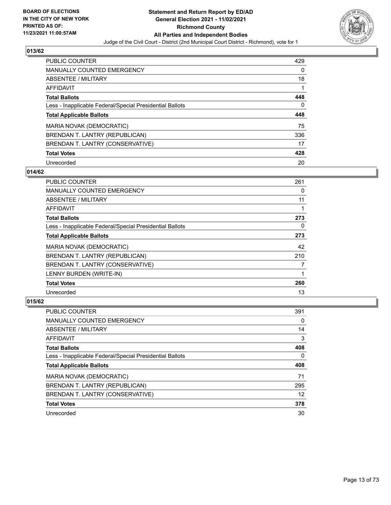

| <b>PUBLIC COUNTER</b>                                    | 429 |
|----------------------------------------------------------|-----|
| <b>MANUALLY COUNTED EMERGENCY</b>                        | 0   |
| ABSENTEE / MILITARY                                      | 18  |
| AFFIDAVIT                                                |     |
| <b>Total Ballots</b>                                     | 448 |
| Less - Inapplicable Federal/Special Presidential Ballots | 0   |
| <b>Total Applicable Ballots</b>                          | 448 |
| MARIA NOVAK (DEMOCRATIC)                                 | 75  |
| BRENDAN T. LANTRY (REPUBLICAN)                           | 336 |
| BRENDAN T. LANTRY (CONSERVATIVE)                         | 17  |
| <b>Total Votes</b>                                       | 428 |
| Unrecorded                                               | 20  |

#### **014/62**

| <b>PUBLIC COUNTER</b>                                    | 261 |
|----------------------------------------------------------|-----|
| <b>MANUALLY COUNTED EMERGENCY</b>                        | 0   |
| ABSENTEE / MILITARY                                      | 11  |
| <b>AFFIDAVIT</b>                                         |     |
| <b>Total Ballots</b>                                     | 273 |
| Less - Inapplicable Federal/Special Presidential Ballots | 0   |
| <b>Total Applicable Ballots</b>                          | 273 |
| MARIA NOVAK (DEMOCRATIC)                                 | 42  |
| BRENDAN T. LANTRY (REPUBLICAN)                           | 210 |
| BRENDAN T. LANTRY (CONSERVATIVE)                         | 7   |
| LENNY BURDEN (WRITE-IN)                                  |     |
| <b>Total Votes</b>                                       | 260 |
| Unrecorded                                               | 13  |

| <b>PUBLIC COUNTER</b>                                    | 391 |
|----------------------------------------------------------|-----|
| <b>MANUALLY COUNTED EMERGENCY</b>                        | 0   |
| ABSENTEE / MILITARY                                      | 14  |
| AFFIDAVIT                                                | 3   |
| <b>Total Ballots</b>                                     | 408 |
| Less - Inapplicable Federal/Special Presidential Ballots | 0   |
|                                                          |     |
| <b>Total Applicable Ballots</b>                          | 408 |
| MARIA NOVAK (DEMOCRATIC)                                 | 71  |
| BRENDAN T. LANTRY (REPUBLICAN)                           | 295 |
| BRENDAN T. LANTRY (CONSERVATIVE)                         | 12  |
| <b>Total Votes</b>                                       | 378 |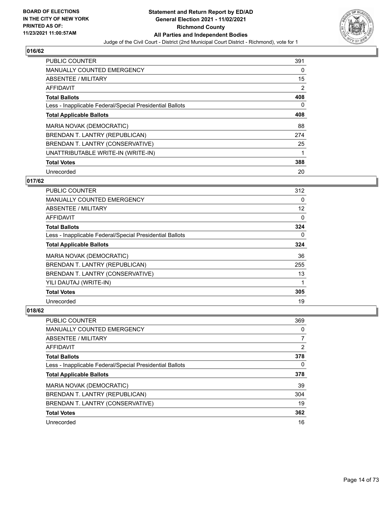

| PUBLIC COUNTER                                           | 391      |
|----------------------------------------------------------|----------|
| <b>MANUALLY COUNTED EMERGENCY</b>                        | $\Omega$ |
| ABSENTEE / MILITARY                                      | 15       |
| <b>AFFIDAVIT</b>                                         | 2        |
| <b>Total Ballots</b>                                     | 408      |
| Less - Inapplicable Federal/Special Presidential Ballots | $\Omega$ |
| <b>Total Applicable Ballots</b>                          | 408      |
| <b>MARIA NOVAK (DEMOCRATIC)</b>                          | 88       |
| BRENDAN T. LANTRY (REPUBLICAN)                           | 274      |
| BRENDAN T. LANTRY (CONSERVATIVE)                         | 25       |
| UNATTRIBUTABLE WRITE-IN (WRITE-IN)                       | 1        |
| <b>Total Votes</b>                                       | 388      |
| Unrecorded                                               | 20       |

## **017/62**

| <b>PUBLIC COUNTER</b>                                    | 312 |
|----------------------------------------------------------|-----|
| <b>MANUALLY COUNTED EMERGENCY</b>                        | 0   |
| ABSENTEE / MILITARY                                      | 12  |
| AFFIDAVIT                                                | 0   |
| <b>Total Ballots</b>                                     | 324 |
| Less - Inapplicable Federal/Special Presidential Ballots | 0   |
| <b>Total Applicable Ballots</b>                          | 324 |
| MARIA NOVAK (DEMOCRATIC)                                 | 36  |
| BRENDAN T. LANTRY (REPUBLICAN)                           | 255 |
| BRENDAN T. LANTRY (CONSERVATIVE)                         | 13  |
| YILI DAUTAJ (WRITE-IN)                                   |     |
| <b>Total Votes</b>                                       | 305 |
| Unrecorded                                               | 19  |

| PUBLIC COUNTER                                           | 369            |
|----------------------------------------------------------|----------------|
| MANUALLY COUNTED EMERGENCY                               | 0              |
| ABSENTEE / MILITARY                                      | 7              |
| AFFIDAVIT                                                | $\overline{2}$ |
| <b>Total Ballots</b>                                     | 378            |
| Less - Inapplicable Federal/Special Presidential Ballots | 0              |
| <b>Total Applicable Ballots</b>                          | 378            |
| MARIA NOVAK (DEMOCRATIC)                                 | 39             |
| BRENDAN T. LANTRY (REPUBLICAN)                           | 304            |
| BRENDAN T. LANTRY (CONSERVATIVE)                         | 19             |
| <b>Total Votes</b>                                       | 362            |
| Unrecorded                                               | 16             |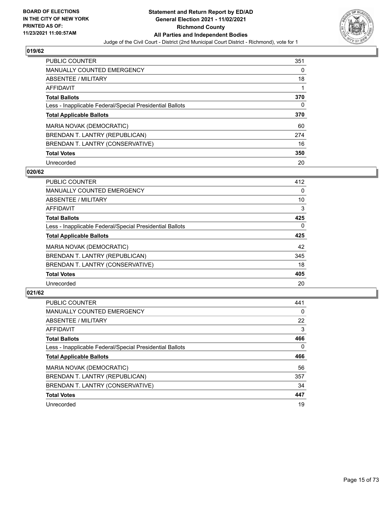

| <b>PUBLIC COUNTER</b>                                    | 351 |
|----------------------------------------------------------|-----|
| <b>MANUALLY COUNTED EMERGENCY</b>                        | 0   |
| ABSENTEE / MILITARY                                      | 18  |
| AFFIDAVIT                                                |     |
| <b>Total Ballots</b>                                     | 370 |
| Less - Inapplicable Federal/Special Presidential Ballots | 0   |
|                                                          |     |
| <b>Total Applicable Ballots</b>                          | 370 |
| MARIA NOVAK (DEMOCRATIC)                                 | 60  |
| BRENDAN T. LANTRY (REPUBLICAN)                           | 274 |
| BRENDAN T. LANTRY (CONSERVATIVE)                         | 16  |
| <b>Total Votes</b>                                       | 350 |

#### **020/62**

| <b>PUBLIC COUNTER</b>                                    | 412      |
|----------------------------------------------------------|----------|
| <b>MANUALLY COUNTED EMERGENCY</b>                        | $\Omega$ |
| ABSENTEE / MILITARY                                      | 10       |
| <b>AFFIDAVIT</b>                                         | 3        |
| <b>Total Ballots</b>                                     | 425      |
| Less - Inapplicable Federal/Special Presidential Ballots | $\Omega$ |
| <b>Total Applicable Ballots</b>                          | 425      |
| MARIA NOVAK (DEMOCRATIC)                                 | 42       |
| BRENDAN T. LANTRY (REPUBLICAN)                           | 345      |
| BRENDAN T. LANTRY (CONSERVATIVE)                         | 18       |
| <b>Total Votes</b>                                       | 405      |
| Unrecorded                                               | 20       |

| <b>PUBLIC COUNTER</b>                                    | 441      |
|----------------------------------------------------------|----------|
| <b>MANUALLY COUNTED EMERGENCY</b>                        | $\Omega$ |
| ABSENTEE / MILITARY                                      | 22       |
| AFFIDAVIT                                                | 3        |
| <b>Total Ballots</b>                                     | 466      |
| Less - Inapplicable Federal/Special Presidential Ballots | $\Omega$ |
| <b>Total Applicable Ballots</b>                          | 466      |
| MARIA NOVAK (DEMOCRATIC)                                 | 56       |
| BRENDAN T. LANTRY (REPUBLICAN)                           | 357      |
| BRENDAN T. LANTRY (CONSERVATIVE)                         | 34       |
| <b>Total Votes</b>                                       | 447      |
| Unrecorded                                               | 19       |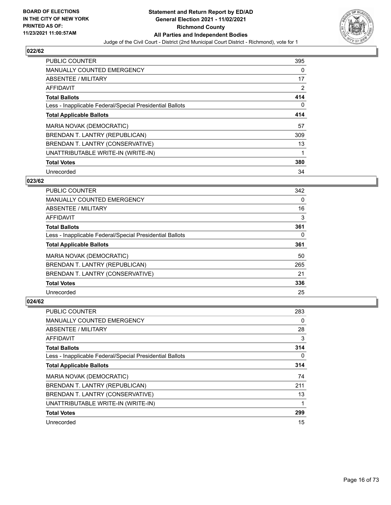

| PUBLIC COUNTER                                           | 395 |
|----------------------------------------------------------|-----|
| <b>MANUALLY COUNTED EMERGENCY</b>                        | 0   |
| ABSENTEE / MILITARY                                      | 17  |
| <b>AFFIDAVIT</b>                                         | 2   |
| <b>Total Ballots</b>                                     | 414 |
| Less - Inapplicable Federal/Special Presidential Ballots | 0   |
| <b>Total Applicable Ballots</b>                          | 414 |
| MARIA NOVAK (DEMOCRATIC)                                 | 57  |
| BRENDAN T. LANTRY (REPUBLICAN)                           | 309 |
| BRENDAN T. LANTRY (CONSERVATIVE)                         | 13  |
| UNATTRIBUTABLE WRITE-IN (WRITE-IN)                       |     |
| <b>Total Votes</b>                                       | 380 |
| Unrecorded                                               | 34  |

## **023/62**

| <b>PUBLIC COUNTER</b>                                    | 342 |
|----------------------------------------------------------|-----|
| <b>MANUALLY COUNTED EMERGENCY</b>                        | 0   |
| ABSENTEE / MILITARY                                      | 16  |
| <b>AFFIDAVIT</b>                                         | 3   |
| <b>Total Ballots</b>                                     | 361 |
| Less - Inapplicable Federal/Special Presidential Ballots | 0   |
| <b>Total Applicable Ballots</b>                          | 361 |
| <b>MARIA NOVAK (DEMOCRATIC)</b>                          | 50  |
| BRENDAN T. LANTRY (REPUBLICAN)                           | 265 |
| BRENDAN T. LANTRY (CONSERVATIVE)                         | 21  |
| <b>Total Votes</b>                                       | 336 |
| Unrecorded                                               | 25  |

| <b>PUBLIC COUNTER</b>                                    | 283 |
|----------------------------------------------------------|-----|
| MANUALLY COUNTED EMERGENCY                               | 0   |
| ABSENTEE / MILITARY                                      | 28  |
| AFFIDAVIT                                                | 3   |
| <b>Total Ballots</b>                                     | 314 |
| Less - Inapplicable Federal/Special Presidential Ballots | 0   |
| <b>Total Applicable Ballots</b>                          | 314 |
| MARIA NOVAK (DEMOCRATIC)                                 | 74  |
| BRENDAN T. LANTRY (REPUBLICAN)                           | 211 |
| BRENDAN T. LANTRY (CONSERVATIVE)                         | 13  |
| UNATTRIBUTABLE WRITE-IN (WRITE-IN)                       | 1   |
| <b>Total Votes</b>                                       | 299 |
| Unrecorded                                               | 15  |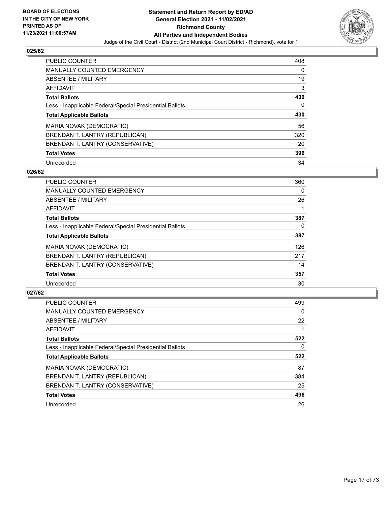

| <b>PUBLIC COUNTER</b>                                    | 408      |
|----------------------------------------------------------|----------|
| <b>MANUALLY COUNTED EMERGENCY</b>                        | $\Omega$ |
| ABSENTEE / MILITARY                                      | 19       |
| AFFIDAVIT                                                | 3        |
| <b>Total Ballots</b>                                     | 430      |
| Less - Inapplicable Federal/Special Presidential Ballots | 0        |
| <b>Total Applicable Ballots</b>                          | 430      |
| MARIA NOVAK (DEMOCRATIC)                                 | 56       |
| BRENDAN T. LANTRY (REPUBLICAN)                           | 320      |
| BRENDAN T. LANTRY (CONSERVATIVE)                         | 20       |
|                                                          |          |
| <b>Total Votes</b>                                       | 396      |

#### **026/62**

| <b>PUBLIC COUNTER</b>                                    | 360      |
|----------------------------------------------------------|----------|
| <b>MANUALLY COUNTED EMERGENCY</b>                        | 0        |
| ABSENTEE / MILITARY                                      | 26       |
| <b>AFFIDAVIT</b>                                         |          |
| <b>Total Ballots</b>                                     | 387      |
| Less - Inapplicable Federal/Special Presidential Ballots | $\Omega$ |
| <b>Total Applicable Ballots</b>                          | 387      |
| MARIA NOVAK (DEMOCRATIC)                                 | 126      |
| BRENDAN T. LANTRY (REPUBLICAN)                           | 217      |
| BRENDAN T. LANTRY (CONSERVATIVE)                         | 14       |
| <b>Total Votes</b>                                       | 357      |
| Unrecorded                                               | 30       |

| <b>PUBLIC COUNTER</b>                                    | 499      |
|----------------------------------------------------------|----------|
| <b>MANUALLY COUNTED EMERGENCY</b>                        | 0        |
| ABSENTEE / MILITARY                                      | 22       |
| AFFIDAVIT                                                |          |
| <b>Total Ballots</b>                                     | 522      |
| Less - Inapplicable Federal/Special Presidential Ballots | $\Omega$ |
| <b>Total Applicable Ballots</b>                          | 522      |
| MARIA NOVAK (DEMOCRATIC)                                 | 87       |
| BRENDAN T. LANTRY (REPUBLICAN)                           | 384      |
| BRENDAN T. LANTRY (CONSERVATIVE)                         | 25       |
| <b>Total Votes</b>                                       | 496      |
| Unrecorded                                               | 26       |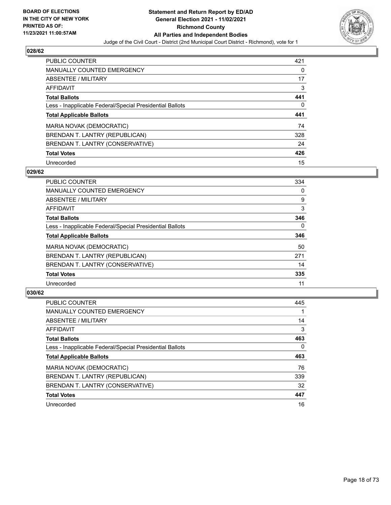

| <b>PUBLIC COUNTER</b>                                    | 421 |
|----------------------------------------------------------|-----|
| MANUALLY COUNTED EMERGENCY                               | 0   |
| ABSENTEE / MILITARY                                      | 17  |
| AFFIDAVIT                                                | 3   |
| <b>Total Ballots</b>                                     | 441 |
| Less - Inapplicable Federal/Special Presidential Ballots | 0   |
| <b>Total Applicable Ballots</b>                          | 441 |
|                                                          |     |
| MARIA NOVAK (DEMOCRATIC)                                 | 74  |
| BRENDAN T. LANTRY (REPUBLICAN)                           | 328 |
| BRENDAN T. LANTRY (CONSERVATIVE)                         | 24  |
| <b>Total Votes</b>                                       | 426 |

#### **029/62**

| <b>PUBLIC COUNTER</b>                                    | 334      |
|----------------------------------------------------------|----------|
| <b>MANUALLY COUNTED EMERGENCY</b>                        | 0        |
| ABSENTEE / MILITARY                                      | 9        |
| <b>AFFIDAVIT</b>                                         | 3        |
| <b>Total Ballots</b>                                     | 346      |
| Less - Inapplicable Federal/Special Presidential Ballots | $\Omega$ |
| <b>Total Applicable Ballots</b>                          | 346      |
| MARIA NOVAK (DEMOCRATIC)                                 | 50       |
| BRENDAN T. LANTRY (REPUBLICAN)                           | 271      |
| BRENDAN T. LANTRY (CONSERVATIVE)                         | 14       |
| <b>Total Votes</b>                                       | 335      |
| Unrecorded                                               | 11       |

| <b>PUBLIC COUNTER</b>                                    | 445 |
|----------------------------------------------------------|-----|
| <b>MANUALLY COUNTED EMERGENCY</b>                        |     |
| ABSENTEE / MILITARY                                      | 14  |
| <b>AFFIDAVIT</b>                                         | 3   |
| <b>Total Ballots</b>                                     | 463 |
| Less - Inapplicable Federal/Special Presidential Ballots | 0   |
| <b>Total Applicable Ballots</b>                          | 463 |
| MARIA NOVAK (DEMOCRATIC)                                 | 76  |
| BRENDAN T. LANTRY (REPUBLICAN)                           | 339 |
| BRENDAN T. LANTRY (CONSERVATIVE)                         | 32  |
| <b>Total Votes</b>                                       | 447 |
|                                                          |     |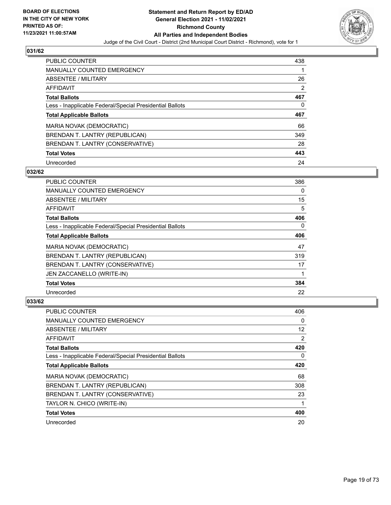

| <b>PUBLIC COUNTER</b>                                    | 438 |
|----------------------------------------------------------|-----|
| <b>MANUALLY COUNTED EMERGENCY</b>                        |     |
| ABSENTEE / MILITARY                                      | 26  |
| AFFIDAVIT                                                | 2   |
| <b>Total Ballots</b>                                     | 467 |
| Less - Inapplicable Federal/Special Presidential Ballots | 0   |
|                                                          |     |
| <b>Total Applicable Ballots</b>                          | 467 |
| MARIA NOVAK (DEMOCRATIC)                                 | 66  |
| BRENDAN T. LANTRY (REPUBLICAN)                           | 349 |
| BRENDAN T. LANTRY (CONSERVATIVE)                         | 28  |
| <b>Total Votes</b>                                       | 443 |

#### **032/62**

| <b>PUBLIC COUNTER</b>                                    | 386      |
|----------------------------------------------------------|----------|
| <b>MANUALLY COUNTED EMERGENCY</b>                        | $\Omega$ |
| ABSENTEE / MILITARY                                      | 15       |
| AFFIDAVIT                                                | 5        |
| <b>Total Ballots</b>                                     | 406      |
| Less - Inapplicable Federal/Special Presidential Ballots | 0        |
| <b>Total Applicable Ballots</b>                          | 406      |
| <b>MARIA NOVAK (DEMOCRATIC)</b>                          | 47       |
| BRENDAN T. LANTRY (REPUBLICAN)                           | 319      |
| BRENDAN T. LANTRY (CONSERVATIVE)                         | 17       |
| JEN ZACCANELLO (WRITE-IN)                                |          |
| <b>Total Votes</b>                                       | 384      |
| Unrecorded                                               | 22       |

| <b>PUBLIC COUNTER</b>                                    | 406 |
|----------------------------------------------------------|-----|
| MANUALLY COUNTED EMERGENCY                               | 0   |
| ABSENTEE / MILITARY                                      | 12  |
| AFFIDAVIT                                                | 2   |
| <b>Total Ballots</b>                                     | 420 |
| Less - Inapplicable Federal/Special Presidential Ballots | 0   |
| <b>Total Applicable Ballots</b>                          | 420 |
| MARIA NOVAK (DEMOCRATIC)                                 | 68  |
| BRENDAN T. LANTRY (REPUBLICAN)                           | 308 |
| BRENDAN T. LANTRY (CONSERVATIVE)                         | 23  |
| TAYLOR N. CHICO (WRITE-IN)                               |     |
| <b>Total Votes</b>                                       | 400 |
| Unrecorded                                               | 20  |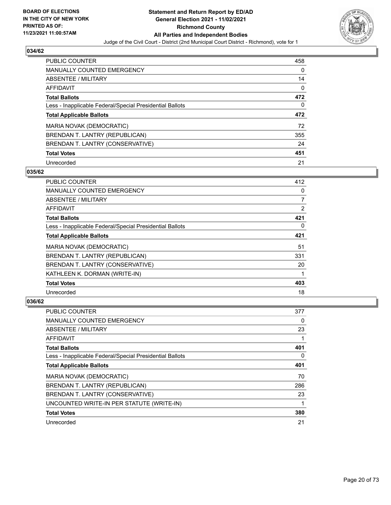

| <b>PUBLIC COUNTER</b>                                    | 458 |
|----------------------------------------------------------|-----|
| MANUALLY COUNTED EMERGENCY                               | 0   |
| ABSENTEE / MILITARY                                      | 14  |
| AFFIDAVIT                                                | 0   |
| <b>Total Ballots</b>                                     | 472 |
| Less - Inapplicable Federal/Special Presidential Ballots | 0   |
|                                                          |     |
| <b>Total Applicable Ballots</b>                          | 472 |
| MARIA NOVAK (DEMOCRATIC)                                 | 72  |
| BRENDAN T. LANTRY (REPUBLICAN)                           | 355 |
| BRENDAN T. LANTRY (CONSERVATIVE)                         | 24  |
| <b>Total Votes</b>                                       | 451 |

#### **035/62**

| <b>PUBLIC COUNTER</b>                                    | 412 |
|----------------------------------------------------------|-----|
| MANUALLY COUNTED EMERGENCY                               | 0   |
| ABSENTEE / MILITARY                                      | 7   |
| AFFIDAVIT                                                | 2   |
| <b>Total Ballots</b>                                     | 421 |
| Less - Inapplicable Federal/Special Presidential Ballots | 0   |
| <b>Total Applicable Ballots</b>                          | 421 |
| MARIA NOVAK (DEMOCRATIC)                                 | 51  |
| BRENDAN T. LANTRY (REPUBLICAN)                           | 331 |
| BRENDAN T. LANTRY (CONSERVATIVE)                         | 20  |
| KATHLEEN K. DORMAN (WRITE-IN)                            |     |
| <b>Total Votes</b>                                       | 403 |
| Unrecorded                                               | 18  |

| <b>PUBLIC COUNTER</b>                                    | 377 |
|----------------------------------------------------------|-----|
| <b>MANUALLY COUNTED EMERGENCY</b>                        | 0   |
| ABSENTEE / MILITARY                                      | 23  |
| AFFIDAVIT                                                |     |
| <b>Total Ballots</b>                                     | 401 |
| Less - Inapplicable Federal/Special Presidential Ballots | 0   |
| <b>Total Applicable Ballots</b>                          | 401 |
| MARIA NOVAK (DEMOCRATIC)                                 | 70  |
| BRENDAN T. LANTRY (REPUBLICAN)                           | 286 |
| BRENDAN T. LANTRY (CONSERVATIVE)                         | 23  |
| UNCOUNTED WRITE-IN PER STATUTE (WRITE-IN)                |     |
| <b>Total Votes</b>                                       | 380 |
| Unrecorded                                               | 21  |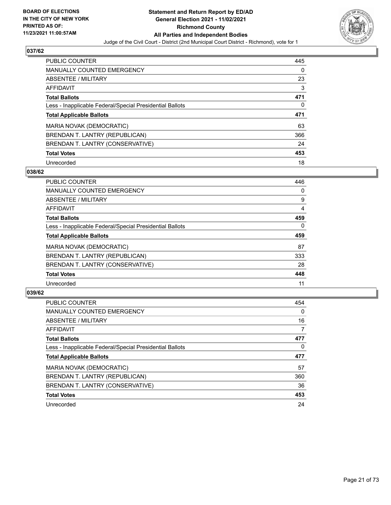

| <b>PUBLIC COUNTER</b>                                    | 445      |
|----------------------------------------------------------|----------|
| <b>MANUALLY COUNTED EMERGENCY</b>                        | $\Omega$ |
| ABSENTEE / MILITARY                                      | 23       |
| AFFIDAVIT                                                | 3        |
| <b>Total Ballots</b>                                     | 471      |
| Less - Inapplicable Federal/Special Presidential Ballots | 0        |
| <b>Total Applicable Ballots</b>                          | 471      |
| MARIA NOVAK (DEMOCRATIC)                                 | 63       |
| BRENDAN T. LANTRY (REPUBLICAN)                           | 366      |
| BRENDAN T. LANTRY (CONSERVATIVE)                         | 24       |
| <b>Total Votes</b>                                       | 453      |
|                                                          |          |

#### **038/62**

| <b>PUBLIC COUNTER</b>                                    | 446      |
|----------------------------------------------------------|----------|
| <b>MANUALLY COUNTED EMERGENCY</b>                        | 0        |
| ABSENTEE / MILITARY                                      | 9        |
| <b>AFFIDAVIT</b>                                         | 4        |
| <b>Total Ballots</b>                                     | 459      |
| Less - Inapplicable Federal/Special Presidential Ballots | $\Omega$ |
| <b>Total Applicable Ballots</b>                          | 459      |
| MARIA NOVAK (DEMOCRATIC)                                 | 87       |
| BRENDAN T. LANTRY (REPUBLICAN)                           | 333      |
| BRENDAN T. LANTRY (CONSERVATIVE)                         | 28       |
| <b>Total Votes</b>                                       | 448      |
| Unrecorded                                               | 11       |

| <b>PUBLIC COUNTER</b>                                    | 454      |
|----------------------------------------------------------|----------|
| <b>MANUALLY COUNTED EMERGENCY</b>                        | $\Omega$ |
| ABSENTEE / MILITARY                                      | 16       |
| AFFIDAVIT                                                | 7        |
| <b>Total Ballots</b>                                     | 477      |
| Less - Inapplicable Federal/Special Presidential Ballots | $\Omega$ |
| <b>Total Applicable Ballots</b>                          | 477      |
| MARIA NOVAK (DEMOCRATIC)                                 | 57       |
| BRENDAN T. LANTRY (REPUBLICAN)                           | 360      |
| BRENDAN T. LANTRY (CONSERVATIVE)                         | 36       |
| <b>Total Votes</b>                                       | 453      |
| Unrecorded                                               | 24       |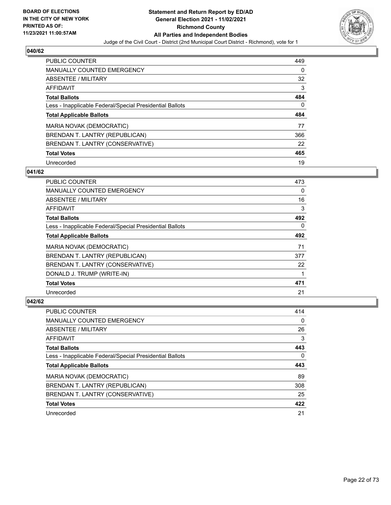

| <b>PUBLIC COUNTER</b>                                    | 449 |
|----------------------------------------------------------|-----|
| MANUALLY COUNTED EMERGENCY                               | 0   |
| ABSENTEE / MILITARY                                      | 32  |
| <b>AFFIDAVIT</b>                                         | 3   |
| <b>Total Ballots</b>                                     | 484 |
| Less - Inapplicable Federal/Special Presidential Ballots | 0   |
|                                                          |     |
| <b>Total Applicable Ballots</b>                          | 484 |
| MARIA NOVAK (DEMOCRATIC)                                 | 77  |
| BRENDAN T. LANTRY (REPUBLICAN)                           | 366 |
| BRENDAN T. LANTRY (CONSERVATIVE)                         | 22  |
| <b>Total Votes</b>                                       | 465 |

## **041/62**

| <b>PUBLIC COUNTER</b>                                    | 473      |
|----------------------------------------------------------|----------|
| <b>MANUALLY COUNTED EMERGENCY</b>                        | $\Omega$ |
| ABSENTEE / MILITARY                                      | 16       |
| <b>AFFIDAVIT</b>                                         | 3        |
| <b>Total Ballots</b>                                     | 492      |
| Less - Inapplicable Federal/Special Presidential Ballots | $\Omega$ |
| <b>Total Applicable Ballots</b>                          | 492      |
| MARIA NOVAK (DEMOCRATIC)                                 | 71       |
| BRENDAN T. LANTRY (REPUBLICAN)                           | 377      |
| BRENDAN T. LANTRY (CONSERVATIVE)                         | 22       |
| DONALD J. TRUMP (WRITE-IN)                               |          |
| <b>Total Votes</b>                                       | 471      |
| Unrecorded                                               | 21       |

| <b>PUBLIC COUNTER</b>                                    | 414 |
|----------------------------------------------------------|-----|
| <b>MANUALLY COUNTED EMERGENCY</b>                        | 0   |
| ABSENTEE / MILITARY                                      | 26  |
| AFFIDAVIT                                                | 3   |
| <b>Total Ballots</b>                                     | 443 |
| Less - Inapplicable Federal/Special Presidential Ballots | 0   |
| <b>Total Applicable Ballots</b>                          | 443 |
| MARIA NOVAK (DEMOCRATIC)                                 | 89  |
| BRENDAN T. LANTRY (REPUBLICAN)                           | 308 |
| BRENDAN T. LANTRY (CONSERVATIVE)                         | 25  |
| <b>Total Votes</b>                                       | 422 |
| Unrecorded                                               | 21  |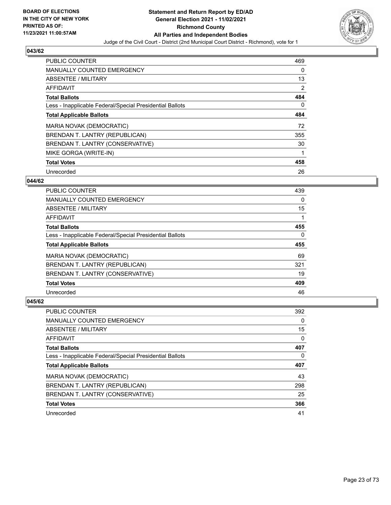

| <b>PUBLIC COUNTER</b>                                    | 469 |
|----------------------------------------------------------|-----|
| <b>MANUALLY COUNTED EMERGENCY</b>                        | 0   |
| ABSENTEE / MILITARY                                      | 13  |
| <b>AFFIDAVIT</b>                                         | 2   |
| <b>Total Ballots</b>                                     | 484 |
| Less - Inapplicable Federal/Special Presidential Ballots | 0   |
| <b>Total Applicable Ballots</b>                          | 484 |
| MARIA NOVAK (DEMOCRATIC)                                 | 72  |
| BRENDAN T. LANTRY (REPUBLICAN)                           | 355 |
| BRENDAN T. LANTRY (CONSERVATIVE)                         | 30  |
| MIKE GORGA (WRITE-IN)                                    |     |
| <b>Total Votes</b>                                       | 458 |
| Unrecorded                                               | 26  |

## **044/62**

| <b>PUBLIC COUNTER</b>                                    | 439      |
|----------------------------------------------------------|----------|
| <b>MANUALLY COUNTED EMERGENCY</b>                        | 0        |
| ABSENTEE / MILITARY                                      | 15       |
| <b>AFFIDAVIT</b>                                         |          |
| <b>Total Ballots</b>                                     | 455      |
| Less - Inapplicable Federal/Special Presidential Ballots | $\Omega$ |
| <b>Total Applicable Ballots</b>                          | 455      |
| MARIA NOVAK (DEMOCRATIC)                                 | 69       |
| BRENDAN T. LANTRY (REPUBLICAN)                           | 321      |
| BRENDAN T. LANTRY (CONSERVATIVE)                         | 19       |
| <b>Total Votes</b>                                       | 409      |
| Unrecorded                                               | 46       |

| <b>PUBLIC COUNTER</b>                                    | 392 |
|----------------------------------------------------------|-----|
| <b>MANUALLY COUNTED EMERGENCY</b>                        | 0   |
| ABSENTEE / MILITARY                                      | 15  |
| AFFIDAVIT                                                | 0   |
| <b>Total Ballots</b>                                     | 407 |
| Less - Inapplicable Federal/Special Presidential Ballots | 0   |
|                                                          |     |
| <b>Total Applicable Ballots</b>                          | 407 |
| MARIA NOVAK (DEMOCRATIC)                                 | 43  |
| BRENDAN T. LANTRY (REPUBLICAN)                           | 298 |
| BRENDAN T. LANTRY (CONSERVATIVE)                         | 25  |
| <b>Total Votes</b>                                       | 366 |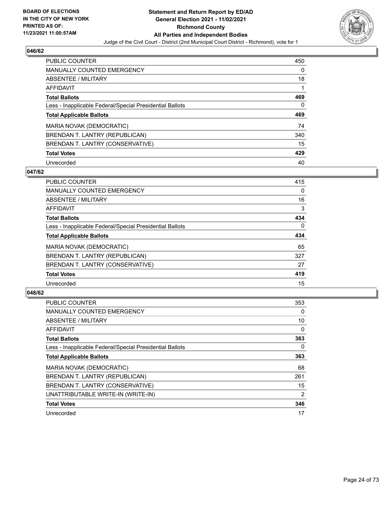

| <b>PUBLIC COUNTER</b>                                    | 450 |
|----------------------------------------------------------|-----|
| MANUALLY COUNTED EMERGENCY                               | 0   |
| ABSENTEE / MILITARY                                      | 18  |
| AFFIDAVIT                                                |     |
| <b>Total Ballots</b>                                     | 469 |
| Less - Inapplicable Federal/Special Presidential Ballots | 0   |
|                                                          |     |
| <b>Total Applicable Ballots</b>                          | 469 |
| MARIA NOVAK (DEMOCRATIC)                                 | 74  |
| BRENDAN T. LANTRY (REPUBLICAN)                           | 340 |
| BRENDAN T. LANTRY (CONSERVATIVE)                         | 15  |
| <b>Total Votes</b>                                       | 429 |

#### **047/62**

| <b>PUBLIC COUNTER</b>                                    | 415      |
|----------------------------------------------------------|----------|
| <b>MANUALLY COUNTED EMERGENCY</b>                        | $\Omega$ |
| ABSENTEE / MILITARY                                      | 16       |
| <b>AFFIDAVIT</b>                                         | 3        |
| <b>Total Ballots</b>                                     | 434      |
| Less - Inapplicable Federal/Special Presidential Ballots | $\Omega$ |
| <b>Total Applicable Ballots</b>                          | 434      |
| MARIA NOVAK (DEMOCRATIC)                                 | 65       |
| BRENDAN T. LANTRY (REPUBLICAN)                           | 327      |
| BRENDAN T. LANTRY (CONSERVATIVE)                         | 27       |
| <b>Total Votes</b>                                       | 419      |
| Unrecorded                                               | 15       |

| <b>PUBLIC COUNTER</b>                                    | 353 |
|----------------------------------------------------------|-----|
| <b>MANUALLY COUNTED EMERGENCY</b>                        | 0   |
| ABSENTEE / MILITARY                                      | 10  |
| AFFIDAVIT                                                | 0   |
| <b>Total Ballots</b>                                     | 363 |
| Less - Inapplicable Federal/Special Presidential Ballots | 0   |
| <b>Total Applicable Ballots</b>                          | 363 |
| <b>MARIA NOVAK (DEMOCRATIC)</b>                          | 68  |
| BRENDAN T. LANTRY (REPUBLICAN)                           | 261 |
| BRENDAN T. LANTRY (CONSERVATIVE)                         | 15  |
| UNATTRIBUTABLE WRITE-IN (WRITE-IN)                       | 2   |
| <b>Total Votes</b>                                       | 346 |
| Unrecorded                                               | 17  |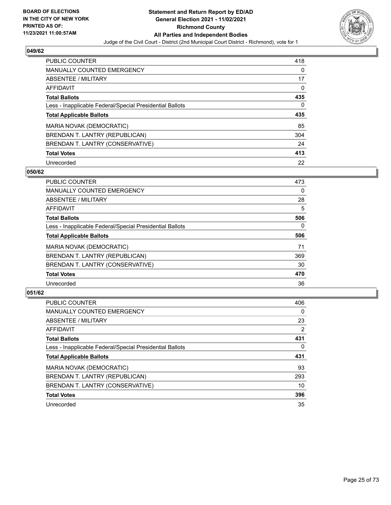

| <b>PUBLIC COUNTER</b>                                    | 418      |
|----------------------------------------------------------|----------|
| MANUALLY COUNTED EMERGENCY                               | $\Omega$ |
| ABSENTEE / MILITARY                                      | 17       |
| AFFIDAVIT                                                | 0        |
| <b>Total Ballots</b>                                     | 435      |
| Less - Inapplicable Federal/Special Presidential Ballots | 0        |
| <b>Total Applicable Ballots</b>                          | 435      |
| MARIA NOVAK (DEMOCRATIC)                                 | 85       |
| BRENDAN T. LANTRY (REPUBLICAN)                           | 304      |
| BRENDAN T. LANTRY (CONSERVATIVE)                         | 24       |
| <b>Total Votes</b>                                       | 413      |
| Unrecorded                                               | 22       |

#### **050/62**

| <b>PUBLIC COUNTER</b>                                    | 473      |
|----------------------------------------------------------|----------|
| MANUALLY COUNTED EMERGENCY                               | $\Omega$ |
| ABSENTEE / MILITARY                                      | 28       |
| <b>AFFIDAVIT</b>                                         | 5        |
| <b>Total Ballots</b>                                     | 506      |
| Less - Inapplicable Federal/Special Presidential Ballots | $\Omega$ |
| <b>Total Applicable Ballots</b>                          | 506      |
| MARIA NOVAK (DEMOCRATIC)                                 | 71       |
| BRENDAN T. LANTRY (REPUBLICAN)                           | 369      |
| BRENDAN T. LANTRY (CONSERVATIVE)                         | 30       |
| <b>Total Votes</b>                                       | 470      |
| Unrecorded                                               | 36       |

| <b>PUBLIC COUNTER</b>                                    | 406 |
|----------------------------------------------------------|-----|
| <b>MANUALLY COUNTED EMERGENCY</b>                        | 0   |
| ABSENTEE / MILITARY                                      | 23  |
| AFFIDAVIT                                                | 2   |
| <b>Total Ballots</b>                                     | 431 |
| Less - Inapplicable Federal/Special Presidential Ballots | 0   |
| <b>Total Applicable Ballots</b>                          | 431 |
| MARIA NOVAK (DEMOCRATIC)                                 | 93  |
| BRENDAN T. LANTRY (REPUBLICAN)                           | 293 |
| BRENDAN T. LANTRY (CONSERVATIVE)                         | 10  |
| <b>Total Votes</b>                                       | 396 |
| Unrecorded                                               | 35  |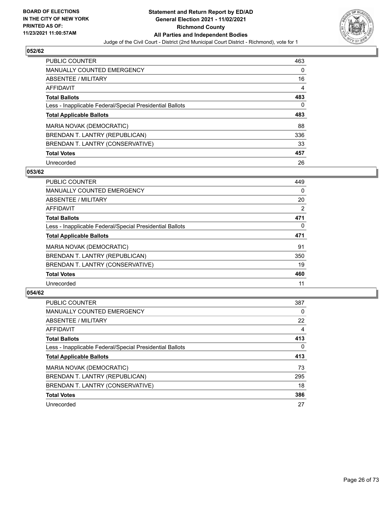

| <b>PUBLIC COUNTER</b>                                    | 463      |
|----------------------------------------------------------|----------|
| MANUALLY COUNTED EMERGENCY                               | $\Omega$ |
| ABSENTEE / MILITARY                                      | 16       |
| AFFIDAVIT                                                | 4        |
| <b>Total Ballots</b>                                     | 483      |
| Less - Inapplicable Federal/Special Presidential Ballots | 0        |
| <b>Total Applicable Ballots</b>                          | 483      |
| MARIA NOVAK (DEMOCRATIC)                                 | 88       |
| BRENDAN T. LANTRY (REPUBLICAN)                           | 336      |
| BRENDAN T. LANTRY (CONSERVATIVE)                         | 33       |
| <b>Total Votes</b>                                       | 457      |
| Unrecorded                                               | 26       |

#### **053/62**

| <b>PUBLIC COUNTER</b>                                    | 449      |
|----------------------------------------------------------|----------|
| MANUALLY COUNTED EMERGENCY                               | 0        |
| ABSENTEE / MILITARY                                      | 20       |
| <b>AFFIDAVIT</b>                                         | 2        |
| <b>Total Ballots</b>                                     | 471      |
| Less - Inapplicable Federal/Special Presidential Ballots | $\Omega$ |
| <b>Total Applicable Ballots</b>                          | 471      |
| MARIA NOVAK (DEMOCRATIC)                                 | 91       |
| BRENDAN T. LANTRY (REPUBLICAN)                           | 350      |
| BRENDAN T. LANTRY (CONSERVATIVE)                         | 19       |
| <b>Total Votes</b>                                       | 460      |
| Unrecorded                                               | 11       |

| <b>PUBLIC COUNTER</b>                                    | 387      |
|----------------------------------------------------------|----------|
| MANUALLY COUNTED EMERGENCY                               | $\Omega$ |
| ABSENTEE / MILITARY                                      | 22       |
| AFFIDAVIT                                                | 4        |
| <b>Total Ballots</b>                                     | 413      |
| Less - Inapplicable Federal/Special Presidential Ballots | $\Omega$ |
| <b>Total Applicable Ballots</b>                          | 413      |
| MARIA NOVAK (DEMOCRATIC)                                 | 73       |
| BRENDAN T. LANTRY (REPUBLICAN)                           | 295      |
| BRENDAN T. LANTRY (CONSERVATIVE)                         | 18       |
| <b>Total Votes</b>                                       | 386      |
| Unrecorded                                               | 27       |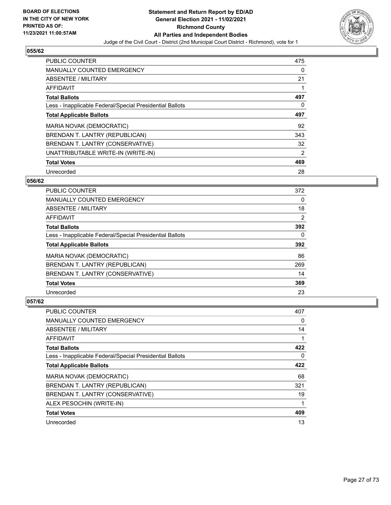

| <b>PUBLIC COUNTER</b>                                    | 475      |
|----------------------------------------------------------|----------|
| <b>MANUALLY COUNTED EMERGENCY</b>                        | $\Omega$ |
| ABSENTEE / MILITARY                                      | 21       |
| <b>AFFIDAVIT</b>                                         |          |
| <b>Total Ballots</b>                                     | 497      |
| Less - Inapplicable Federal/Special Presidential Ballots | $\Omega$ |
| <b>Total Applicable Ballots</b>                          | 497      |
| MARIA NOVAK (DEMOCRATIC)                                 | 92       |
| BRENDAN T. LANTRY (REPUBLICAN)                           | 343      |
| BRENDAN T. LANTRY (CONSERVATIVE)                         | 32       |
| UNATTRIBUTABLE WRITE-IN (WRITE-IN)                       | 2        |
| <b>Total Votes</b>                                       | 469      |
| Unrecorded                                               | 28       |

## **056/62**

| <b>PUBLIC COUNTER</b>                                    | 372      |
|----------------------------------------------------------|----------|
| <b>MANUALLY COUNTED EMERGENCY</b>                        | $\Omega$ |
| ABSENTEE / MILITARY                                      | 18       |
| <b>AFFIDAVIT</b>                                         | 2        |
| <b>Total Ballots</b>                                     | 392      |
| Less - Inapplicable Federal/Special Presidential Ballots | $\Omega$ |
| <b>Total Applicable Ballots</b>                          | 392      |
| MARIA NOVAK (DEMOCRATIC)                                 | 86       |
| BRENDAN T. LANTRY (REPUBLICAN)                           | 269      |
| BRENDAN T. LANTRY (CONSERVATIVE)                         | 14       |
| <b>Total Votes</b>                                       | 369      |
| Unrecorded                                               | 23       |

| <b>PUBLIC COUNTER</b>                                    | 407 |
|----------------------------------------------------------|-----|
| MANUALLY COUNTED EMERGENCY                               | 0   |
| ABSENTEE / MILITARY                                      | 14  |
| AFFIDAVIT                                                |     |
| <b>Total Ballots</b>                                     | 422 |
| Less - Inapplicable Federal/Special Presidential Ballots | 0   |
| <b>Total Applicable Ballots</b>                          | 422 |
| MARIA NOVAK (DEMOCRATIC)                                 | 68  |
| BRENDAN T. LANTRY (REPUBLICAN)                           | 321 |
| BRENDAN T. LANTRY (CONSERVATIVE)                         | 19  |
| ALEX PESOCHIN (WRITE-IN)                                 | 1   |
| <b>Total Votes</b>                                       | 409 |
| Unrecorded                                               | 13  |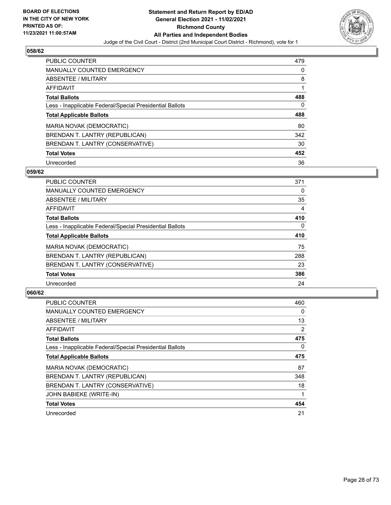

| <b>PUBLIC COUNTER</b>                                    | 479 |
|----------------------------------------------------------|-----|
| <b>MANUALLY COUNTED EMERGENCY</b>                        | 0   |
| ABSENTEE / MILITARY                                      | 8   |
| AFFIDAVIT                                                |     |
| <b>Total Ballots</b>                                     | 488 |
| Less - Inapplicable Federal/Special Presidential Ballots | 0   |
| <b>Total Applicable Ballots</b>                          | 488 |
| MARIA NOVAK (DEMOCRATIC)                                 | 80  |
| BRENDAN T. LANTRY (REPUBLICAN)                           | 342 |
| BRENDAN T. LANTRY (CONSERVATIVE)                         | 30  |
| <b>Total Votes</b>                                       | 452 |
| Unrecorded                                               | 36  |

#### **059/62**

| <b>PUBLIC COUNTER</b>                                    | 371      |
|----------------------------------------------------------|----------|
| <b>MANUALLY COUNTED EMERGENCY</b>                        | 0        |
| ABSENTEE / MILITARY                                      | 35       |
| <b>AFFIDAVIT</b>                                         | 4        |
| <b>Total Ballots</b>                                     | 410      |
| Less - Inapplicable Federal/Special Presidential Ballots | $\Omega$ |
| <b>Total Applicable Ballots</b>                          | 410      |
| MARIA NOVAK (DEMOCRATIC)                                 | 75       |
| BRENDAN T. LANTRY (REPUBLICAN)                           | 288      |
| BRENDAN T. LANTRY (CONSERVATIVE)                         | 23       |
| <b>Total Votes</b>                                       | 386      |
| Unrecorded                                               | 24       |

| <b>PUBLIC COUNTER</b>                                    | 460 |
|----------------------------------------------------------|-----|
| <b>MANUALLY COUNTED EMERGENCY</b>                        | 0   |
| ABSENTEE / MILITARY                                      | 13  |
| AFFIDAVIT                                                | 2   |
| <b>Total Ballots</b>                                     | 475 |
| Less - Inapplicable Federal/Special Presidential Ballots | 0   |
| <b>Total Applicable Ballots</b>                          | 475 |
| MARIA NOVAK (DEMOCRATIC)                                 | 87  |
| BRENDAN T. LANTRY (REPUBLICAN)                           | 348 |
| BRENDAN T. LANTRY (CONSERVATIVE)                         | 18  |
| <b>JOHN BABIEKE (WRITE-IN)</b>                           |     |
| <b>Total Votes</b>                                       | 454 |
| Unrecorded                                               | 21  |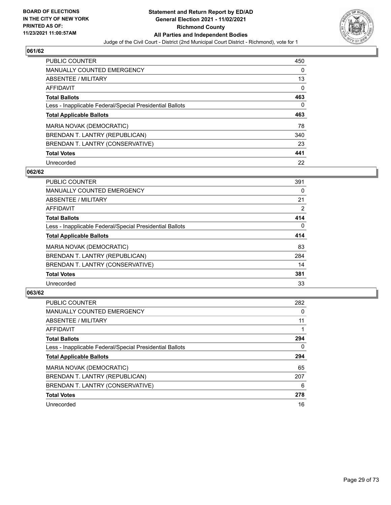

| <b>PUBLIC COUNTER</b>                                    | 450      |
|----------------------------------------------------------|----------|
| MANUALLY COUNTED EMERGENCY                               | 0        |
| ABSENTEE / MILITARY                                      | 13       |
| <b>AFFIDAVIT</b>                                         | $\Omega$ |
| <b>Total Ballots</b>                                     | 463      |
| Less - Inapplicable Federal/Special Presidential Ballots | 0        |
| <b>Total Applicable Ballots</b>                          | 463      |
|                                                          |          |
| MARIA NOVAK (DEMOCRATIC)                                 | 78       |
| BRENDAN T. LANTRY (REPUBLICAN)                           | 340      |
| BRENDAN T. LANTRY (CONSERVATIVE)                         | 23       |
| <b>Total Votes</b>                                       | 441      |

#### **062/62**

| <b>PUBLIC COUNTER</b>                                    | 391      |
|----------------------------------------------------------|----------|
| <b>MANUALLY COUNTED EMERGENCY</b>                        | 0        |
| ABSENTEE / MILITARY                                      | 21       |
| <b>AFFIDAVIT</b>                                         | 2        |
| <b>Total Ballots</b>                                     | 414      |
| Less - Inapplicable Federal/Special Presidential Ballots | $\Omega$ |
| <b>Total Applicable Ballots</b>                          | 414      |
| MARIA NOVAK (DEMOCRATIC)                                 | 83       |
| BRENDAN T. LANTRY (REPUBLICAN)                           | 284      |
| BRENDAN T. LANTRY (CONSERVATIVE)                         | 14       |
| <b>Total Votes</b>                                       | 381      |
| Unrecorded                                               | 33       |

| <b>PUBLIC COUNTER</b>                                    | 282 |
|----------------------------------------------------------|-----|
| <b>MANUALLY COUNTED EMERGENCY</b>                        | 0   |
| ABSENTEE / MILITARY                                      | 11  |
| AFFIDAVIT                                                |     |
| <b>Total Ballots</b>                                     | 294 |
| Less - Inapplicable Federal/Special Presidential Ballots | 0   |
| <b>Total Applicable Ballots</b>                          | 294 |
| MARIA NOVAK (DEMOCRATIC)                                 | 65  |
| BRENDAN T. LANTRY (REPUBLICAN)                           | 207 |
| BRENDAN T. LANTRY (CONSERVATIVE)                         | 6   |
| <b>Total Votes</b>                                       | 278 |
| Unrecorded                                               | 16  |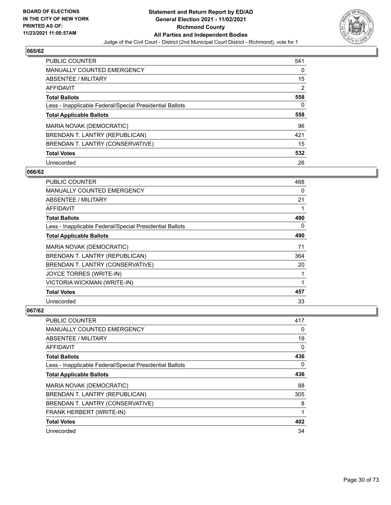

| <b>PUBLIC COUNTER</b>                                    | 541 |
|----------------------------------------------------------|-----|
| MANUALLY COUNTED EMERGENCY                               | 0   |
| ABSENTEE / MILITARY                                      | 15  |
| AFFIDAVIT                                                | 2   |
| <b>Total Ballots</b>                                     | 558 |
| Less - Inapplicable Federal/Special Presidential Ballots | 0   |
|                                                          |     |
| <b>Total Applicable Ballots</b>                          | 558 |
| MARIA NOVAK (DEMOCRATIC)                                 | 96  |
| BRENDAN T. LANTRY (REPUBLICAN)                           | 421 |
| BRENDAN T. LANTRY (CONSERVATIVE)                         | 15  |
| <b>Total Votes</b>                                       | 532 |

#### **066/62**

| PUBLIC COUNTER                                           | 468 |
|----------------------------------------------------------|-----|
| <b>MANUALLY COUNTED EMERGENCY</b>                        | 0   |
| ABSENTEE / MILITARY                                      | 21  |
| AFFIDAVIT                                                | 1   |
| <b>Total Ballots</b>                                     | 490 |
| Less - Inapplicable Federal/Special Presidential Ballots | 0   |
| <b>Total Applicable Ballots</b>                          | 490 |
| MARIA NOVAK (DEMOCRATIC)                                 | 71  |
| BRENDAN T. LANTRY (REPUBLICAN)                           | 364 |
| BRENDAN T. LANTRY (CONSERVATIVE)                         | 20  |
| JOYCE TORRES (WRITE-IN)                                  | 1   |
| VICTORIA WICKMAN (WRITE-IN)                              | 1   |
| <b>Total Votes</b>                                       | 457 |
| Unrecorded                                               | 33  |

| PUBLIC COUNTER                                           | 417 |
|----------------------------------------------------------|-----|
| MANUALLY COUNTED EMERGENCY                               | 0   |
| ABSENTEE / MILITARY                                      | 19  |
| AFFIDAVIT                                                | 0   |
| <b>Total Ballots</b>                                     | 436 |
| Less - Inapplicable Federal/Special Presidential Ballots | 0   |
| <b>Total Applicable Ballots</b>                          | 436 |
| MARIA NOVAK (DEMOCRATIC)                                 | 88  |
| BRENDAN T. LANTRY (REPUBLICAN)                           | 305 |
| BRENDAN T. LANTRY (CONSERVATIVE)                         | 8   |
| FRANK HERBERT (WRITE-IN)                                 | 1   |
| <b>Total Votes</b>                                       | 402 |
| Unrecorded                                               | 34  |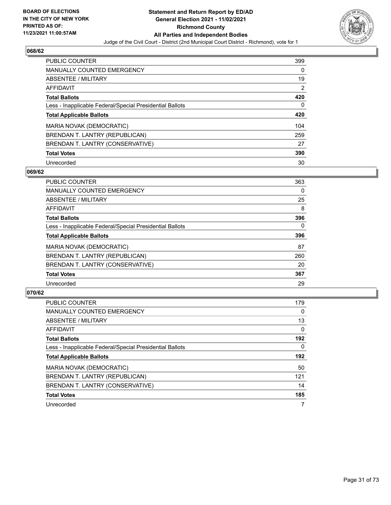

| <b>PUBLIC COUNTER</b>                                    | 399 |
|----------------------------------------------------------|-----|
| MANUALLY COUNTED EMERGENCY                               | 0   |
| ABSENTEE / MILITARY                                      | 19  |
| AFFIDAVIT                                                | 2   |
| <b>Total Ballots</b>                                     | 420 |
| Less - Inapplicable Federal/Special Presidential Ballots | 0   |
| <b>Total Applicable Ballots</b>                          | 420 |
| MARIA NOVAK (DEMOCRATIC)                                 | 104 |
| BRENDAN T. LANTRY (REPUBLICAN)                           | 259 |
|                                                          |     |
| BRENDAN T. LANTRY (CONSERVATIVE)                         | 27  |
| <b>Total Votes</b>                                       | 390 |

#### **069/62**

| <b>PUBLIC COUNTER</b>                                    | 363      |
|----------------------------------------------------------|----------|
| <b>MANUALLY COUNTED EMERGENCY</b>                        | 0        |
| ABSENTEE / MILITARY                                      | 25       |
| <b>AFFIDAVIT</b>                                         | 8        |
| <b>Total Ballots</b>                                     | 396      |
| Less - Inapplicable Federal/Special Presidential Ballots | $\Omega$ |
| <b>Total Applicable Ballots</b>                          | 396      |
| MARIA NOVAK (DEMOCRATIC)                                 | 87       |
| BRENDAN T. LANTRY (REPUBLICAN)                           | 260      |
| BRENDAN T. LANTRY (CONSERVATIVE)                         | 20       |
| <b>Total Votes</b>                                       | 367      |
| Unrecorded                                               | 29       |

| <b>PUBLIC COUNTER</b>                                    | 179      |
|----------------------------------------------------------|----------|
| <b>MANUALLY COUNTED EMERGENCY</b>                        | $\Omega$ |
| <b>ABSENTEE / MILITARY</b>                               | 13       |
| AFFIDAVIT                                                | $\Omega$ |
| <b>Total Ballots</b>                                     | 192      |
| Less - Inapplicable Federal/Special Presidential Ballots | $\Omega$ |
| <b>Total Applicable Ballots</b>                          | 192      |
| MARIA NOVAK (DEMOCRATIC)                                 | 50       |
| BRENDAN T. LANTRY (REPUBLICAN)                           | 121      |
| BRENDAN T. LANTRY (CONSERVATIVE)                         | 14       |
| <b>Total Votes</b>                                       | 185      |
| Unrecorded                                               |          |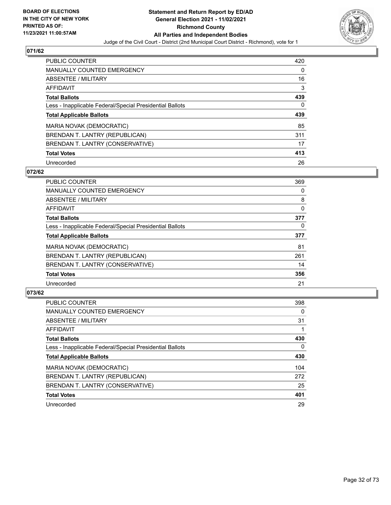

| <b>PUBLIC COUNTER</b>                                    | 420 |
|----------------------------------------------------------|-----|
| <b>MANUALLY COUNTED EMERGENCY</b>                        | 0   |
| ABSENTEE / MILITARY                                      | 16  |
| AFFIDAVIT                                                | 3   |
| <b>Total Ballots</b>                                     | 439 |
| Less - Inapplicable Federal/Special Presidential Ballots | 0   |
| <b>Total Applicable Ballots</b>                          | 439 |
|                                                          |     |
| MARIA NOVAK (DEMOCRATIC)                                 | 85  |
| BRENDAN T. LANTRY (REPUBLICAN)                           | 311 |
| BRENDAN T. LANTRY (CONSERVATIVE)                         | 17  |
| <b>Total Votes</b>                                       | 413 |

#### **072/62**

| <b>PUBLIC COUNTER</b>                                    | 369      |
|----------------------------------------------------------|----------|
| <b>MANUALLY COUNTED EMERGENCY</b>                        | 0        |
| ABSENTEE / MILITARY                                      | 8        |
| <b>AFFIDAVIT</b>                                         | $\Omega$ |
| <b>Total Ballots</b>                                     | 377      |
| Less - Inapplicable Federal/Special Presidential Ballots | $\Omega$ |
| <b>Total Applicable Ballots</b>                          | 377      |
| MARIA NOVAK (DEMOCRATIC)                                 | 81       |
| BRENDAN T. LANTRY (REPUBLICAN)                           | 261      |
| BRENDAN T. LANTRY (CONSERVATIVE)                         | 14       |
| <b>Total Votes</b>                                       | 356      |
| Unrecorded                                               | 21       |

| <b>PUBLIC COUNTER</b>                                    | 398      |
|----------------------------------------------------------|----------|
| <b>MANUALLY COUNTED EMERGENCY</b>                        | $\Omega$ |
| ABSENTEE / MILITARY                                      | 31       |
| AFFIDAVIT                                                |          |
| <b>Total Ballots</b>                                     | 430      |
| Less - Inapplicable Federal/Special Presidential Ballots | $\Omega$ |
| <b>Total Applicable Ballots</b>                          | 430      |
| MARIA NOVAK (DEMOCRATIC)                                 | 104      |
| BRENDAN T. LANTRY (REPUBLICAN)                           | 272      |
| BRENDAN T. LANTRY (CONSERVATIVE)                         | 25       |
| <b>Total Votes</b>                                       | 401      |
| Unrecorded                                               | 29       |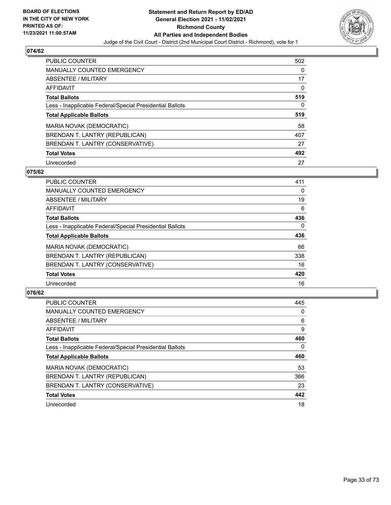

| <b>PUBLIC COUNTER</b>                                    | 502 |
|----------------------------------------------------------|-----|
| <b>MANUALLY COUNTED EMERGENCY</b>                        | 0   |
| ABSENTEE / MILITARY                                      | 17  |
| AFFIDAVIT                                                | 0   |
| <b>Total Ballots</b>                                     | 519 |
| Less - Inapplicable Federal/Special Presidential Ballots | 0   |
| <b>Total Applicable Ballots</b>                          | 519 |
| MARIA NOVAK (DEMOCRATIC)                                 | 58  |
| BRENDAN T. LANTRY (REPUBLICAN)                           | 407 |
| BRENDAN T. LANTRY (CONSERVATIVE)                         | 27  |
|                                                          |     |
| <b>Total Votes</b>                                       | 492 |

#### **075/62**

| <b>PUBLIC COUNTER</b>                                    | 411      |
|----------------------------------------------------------|----------|
| <b>MANUALLY COUNTED EMERGENCY</b>                        | 0        |
| ABSENTEE / MILITARY                                      | 19       |
| <b>AFFIDAVIT</b>                                         | 6        |
| <b>Total Ballots</b>                                     | 436      |
| Less - Inapplicable Federal/Special Presidential Ballots | $\Omega$ |
| <b>Total Applicable Ballots</b>                          | 436      |
| MARIA NOVAK (DEMOCRATIC)                                 | 66       |
| BRENDAN T. LANTRY (REPUBLICAN)                           | 338      |
| BRENDAN T. LANTRY (CONSERVATIVE)                         | 16       |
| <b>Total Votes</b>                                       | 420      |
| Unrecorded                                               | 16       |

| <b>PUBLIC COUNTER</b>                                    | 445 |
|----------------------------------------------------------|-----|
| <b>MANUALLY COUNTED EMERGENCY</b>                        | 0   |
| ABSENTEE / MILITARY                                      | 6   |
| AFFIDAVIT                                                | 9   |
| <b>Total Ballots</b>                                     | 460 |
| Less - Inapplicable Federal/Special Presidential Ballots | 0   |
| <b>Total Applicable Ballots</b>                          | 460 |
| MARIA NOVAK (DEMOCRATIC)                                 | 53  |
| BRENDAN T. LANTRY (REPUBLICAN)                           | 366 |
| BRENDAN T. LANTRY (CONSERVATIVE)                         | 23  |
| <b>Total Votes</b>                                       | 442 |
| Unrecorded                                               | 18  |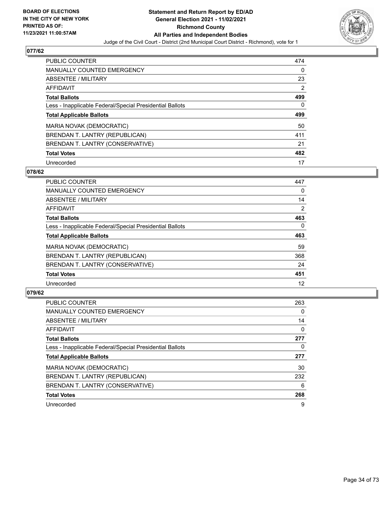

| <b>PUBLIC COUNTER</b>                                    | 474 |
|----------------------------------------------------------|-----|
| MANUALLY COUNTED EMERGENCY                               | 0   |
| ABSENTEE / MILITARY                                      | 23  |
| AFFIDAVIT                                                | 2   |
| <b>Total Ballots</b>                                     | 499 |
| Less - Inapplicable Federal/Special Presidential Ballots | 0   |
| <b>Total Applicable Ballots</b>                          | 499 |
|                                                          |     |
| MARIA NOVAK (DEMOCRATIC)                                 | 50  |
| BRENDAN T. LANTRY (REPUBLICAN)                           | 411 |
| BRENDAN T. LANTRY (CONSERVATIVE)                         | 21  |
| <b>Total Votes</b>                                       | 482 |

#### **078/62**

| <b>PUBLIC COUNTER</b>                                    | 447            |
|----------------------------------------------------------|----------------|
| <b>MANUALLY COUNTED EMERGENCY</b>                        | $\Omega$       |
| ABSENTEE / MILITARY                                      | 14             |
| <b>AFFIDAVIT</b>                                         | $\overline{2}$ |
| <b>Total Ballots</b>                                     | 463            |
| Less - Inapplicable Federal/Special Presidential Ballots | $\Omega$       |
| <b>Total Applicable Ballots</b>                          | 463            |
| MARIA NOVAK (DEMOCRATIC)                                 | 59             |
| BRENDAN T. LANTRY (REPUBLICAN)                           | 368            |
| BRENDAN T. LANTRY (CONSERVATIVE)                         | 24             |
| <b>Total Votes</b>                                       | 451            |
| Unrecorded                                               | 12             |

| <b>PUBLIC COUNTER</b>                                    | 263      |
|----------------------------------------------------------|----------|
| <b>MANUALLY COUNTED EMERGENCY</b>                        | 0        |
| ABSENTEE / MILITARY                                      | 14       |
| AFFIDAVIT                                                | $\Omega$ |
| <b>Total Ballots</b>                                     | 277      |
| Less - Inapplicable Federal/Special Presidential Ballots | 0        |
| <b>Total Applicable Ballots</b>                          | 277      |
| MARIA NOVAK (DEMOCRATIC)                                 | 30       |
| BRENDAN T. LANTRY (REPUBLICAN)                           | 232      |
| BRENDAN T. LANTRY (CONSERVATIVE)                         | 6        |
| <b>Total Votes</b>                                       | 268      |
| Unrecorded                                               | 9        |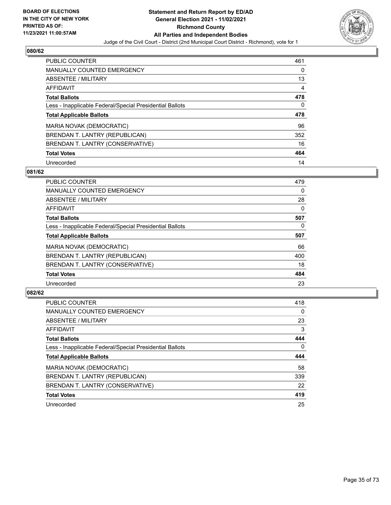

| <b>PUBLIC COUNTER</b>                                    | 461 |
|----------------------------------------------------------|-----|
| <b>MANUALLY COUNTED EMERGENCY</b>                        | 0   |
| ABSENTEE / MILITARY                                      | 13  |
| AFFIDAVIT                                                | 4   |
| <b>Total Ballots</b>                                     | 478 |
| Less - Inapplicable Federal/Special Presidential Ballots | 0   |
| <b>Total Applicable Ballots</b>                          | 478 |
| MARIA NOVAK (DEMOCRATIC)                                 | 96  |
| BRENDAN T. LANTRY (REPUBLICAN)                           | 352 |
| BRENDAN T. LANTRY (CONSERVATIVE)                         | 16  |
| <b>Total Votes</b>                                       | 464 |
| Unrecorded                                               | 14  |

#### **081/62**

| <b>PUBLIC COUNTER</b>                                    | 479      |
|----------------------------------------------------------|----------|
| <b>MANUALLY COUNTED EMERGENCY</b>                        | $\Omega$ |
| ABSENTEE / MILITARY                                      | 28       |
| <b>AFFIDAVIT</b>                                         | 0        |
| <b>Total Ballots</b>                                     | 507      |
| Less - Inapplicable Federal/Special Presidential Ballots | $\Omega$ |
| <b>Total Applicable Ballots</b>                          | 507      |
| MARIA NOVAK (DEMOCRATIC)                                 | 66       |
| BRENDAN T. LANTRY (REPUBLICAN)                           | 400      |
| BRENDAN T. LANTRY (CONSERVATIVE)                         | 18       |
| <b>Total Votes</b>                                       | 484      |
| Unrecorded                                               | 23       |

| PUBLIC COUNTER                                           | 418 |
|----------------------------------------------------------|-----|
| <b>MANUALLY COUNTED EMERGENCY</b>                        | 0   |
| ABSENTEE / MILITARY                                      | 23  |
| AFFIDAVIT                                                | 3   |
| <b>Total Ballots</b>                                     | 444 |
| Less - Inapplicable Federal/Special Presidential Ballots | 0   |
| <b>Total Applicable Ballots</b>                          | 444 |
| MARIA NOVAK (DEMOCRATIC)                                 | 58  |
| BRENDAN T. LANTRY (REPUBLICAN)                           | 339 |
| BRENDAN T. LANTRY (CONSERVATIVE)                         | 22  |
| <b>Total Votes</b>                                       | 419 |
| Unrecorded                                               | 25  |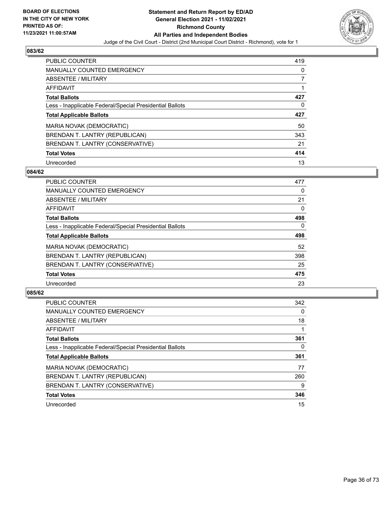

| <b>PUBLIC COUNTER</b>                                    | 419 |
|----------------------------------------------------------|-----|
| MANUALLY COUNTED EMERGENCY                               | 0   |
| ABSENTEE / MILITARY                                      |     |
| AFFIDAVIT                                                |     |
| <b>Total Ballots</b>                                     | 427 |
| Less - Inapplicable Federal/Special Presidential Ballots | 0   |
|                                                          |     |
| <b>Total Applicable Ballots</b>                          | 427 |
| MARIA NOVAK (DEMOCRATIC)                                 | 50  |
| BRENDAN T. LANTRY (REPUBLICAN)                           | 343 |
| BRENDAN T. LANTRY (CONSERVATIVE)                         | 21  |
| <b>Total Votes</b>                                       | 414 |

#### **084/62**

| <b>PUBLIC COUNTER</b>                                    | 477      |
|----------------------------------------------------------|----------|
| <b>MANUALLY COUNTED EMERGENCY</b>                        | 0        |
| ABSENTEE / MILITARY                                      | 21       |
| <b>AFFIDAVIT</b>                                         | $\Omega$ |
| <b>Total Ballots</b>                                     | 498      |
| Less - Inapplicable Federal/Special Presidential Ballots | $\Omega$ |
| <b>Total Applicable Ballots</b>                          | 498      |
| MARIA NOVAK (DEMOCRATIC)                                 | 52       |
| BRENDAN T. LANTRY (REPUBLICAN)                           | 398      |
| BRENDAN T. LANTRY (CONSERVATIVE)                         | 25       |
| <b>Total Votes</b>                                       | 475      |
| Unrecorded                                               | 23       |

| <b>PUBLIC COUNTER</b>                                    | 342      |
|----------------------------------------------------------|----------|
| <b>MANUALLY COUNTED EMERGENCY</b>                        | $\Omega$ |
| ABSENTEE / MILITARY                                      | 18       |
| AFFIDAVIT                                                |          |
| <b>Total Ballots</b>                                     | 361      |
| Less - Inapplicable Federal/Special Presidential Ballots | 0        |
| <b>Total Applicable Ballots</b>                          | 361      |
| MARIA NOVAK (DEMOCRATIC)                                 | 77       |
|                                                          |          |
| BRENDAN T. LANTRY (REPUBLICAN)                           | 260      |
| BRENDAN T. LANTRY (CONSERVATIVE)                         | 9        |
| <b>Total Votes</b>                                       | 346      |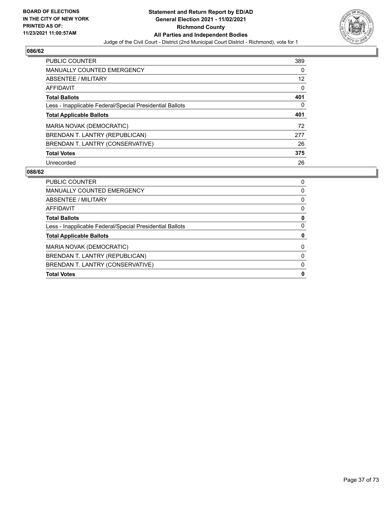

| <b>PUBLIC COUNTER</b>                                    | 389 |
|----------------------------------------------------------|-----|
| <b>MANUALLY COUNTED EMERGENCY</b>                        | 0   |
| ABSENTEE / MILITARY                                      | 12  |
| AFFIDAVIT                                                | 0   |
| <b>Total Ballots</b>                                     | 401 |
| Less - Inapplicable Federal/Special Presidential Ballots | 0   |
|                                                          |     |
| <b>Total Applicable Ballots</b>                          | 401 |
| MARIA NOVAK (DEMOCRATIC)                                 | 72  |
| BRENDAN T. LANTRY (REPUBLICAN)                           | 277 |
| BRENDAN T. LANTRY (CONSERVATIVE)                         | 26  |
| <b>Total Votes</b>                                       | 375 |

| <b>Total Votes</b>                                       | 0 |
|----------------------------------------------------------|---|
| BRENDAN T. LANTRY (CONSERVATIVE)                         | 0 |
| BRENDAN T. LANTRY (REPUBLICAN)                           | 0 |
| <b>MARIA NOVAK (DEMOCRATIC)</b>                          | 0 |
| <b>Total Applicable Ballots</b>                          | 0 |
| Less - Inapplicable Federal/Special Presidential Ballots | 0 |
| <b>Total Ballots</b>                                     | 0 |
| AFFIDAVIT                                                | 0 |
| ABSENTEE / MILITARY                                      | 0 |
| <b>MANUALLY COUNTED EMERGENCY</b>                        | 0 |
| PUBLIC COUNTER                                           | 0 |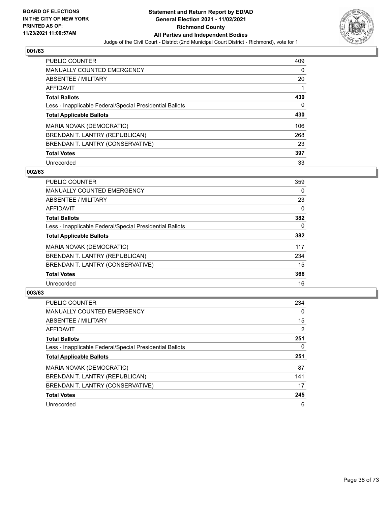

| <b>PUBLIC COUNTER</b>                                    | 409 |
|----------------------------------------------------------|-----|
| <b>MANUALLY COUNTED EMERGENCY</b>                        | 0   |
| ABSENTEE / MILITARY                                      | 20  |
| AFFIDAVIT                                                |     |
| <b>Total Ballots</b>                                     | 430 |
| Less - Inapplicable Federal/Special Presidential Ballots | 0   |
| <b>Total Applicable Ballots</b>                          | 430 |
| MARIA NOVAK (DEMOCRATIC)                                 | 106 |
| BRENDAN T. LANTRY (REPUBLICAN)                           | 268 |
| BRENDAN T. LANTRY (CONSERVATIVE)                         | 23  |
| <b>Total Votes</b>                                       | 397 |
| Unrecorded                                               | 33  |

### **002/63**

| <b>PUBLIC COUNTER</b>                                    | 359      |
|----------------------------------------------------------|----------|
| MANUALLY COUNTED EMERGENCY                               | $\Omega$ |
| ABSENTEE / MILITARY                                      | 23       |
| <b>AFFIDAVIT</b>                                         | $\Omega$ |
| <b>Total Ballots</b>                                     | 382      |
| Less - Inapplicable Federal/Special Presidential Ballots | $\Omega$ |
| <b>Total Applicable Ballots</b>                          | 382      |
| MARIA NOVAK (DEMOCRATIC)                                 | 117      |
| BRENDAN T. LANTRY (REPUBLICAN)                           | 234      |
| BRENDAN T. LANTRY (CONSERVATIVE)                         | 15       |
| <b>Total Votes</b>                                       | 366      |
| Unrecorded                                               | 16       |

| <b>PUBLIC COUNTER</b>                                    | 234            |
|----------------------------------------------------------|----------------|
| <b>MANUALLY COUNTED EMERGENCY</b>                        | 0              |
| ABSENTEE / MILITARY                                      | 15             |
| <b>AFFIDAVIT</b>                                         | $\overline{2}$ |
| <b>Total Ballots</b>                                     | 251            |
| Less - Inapplicable Federal/Special Presidential Ballots | 0              |
| <b>Total Applicable Ballots</b>                          | 251            |
| MARIA NOVAK (DEMOCRATIC)                                 | 87             |
| BRENDAN T. LANTRY (REPUBLICAN)                           | 141            |
| BRENDAN T. LANTRY (CONSERVATIVE)                         | 17             |
| <b>Total Votes</b>                                       | 245            |
| Unrecorded                                               | 6              |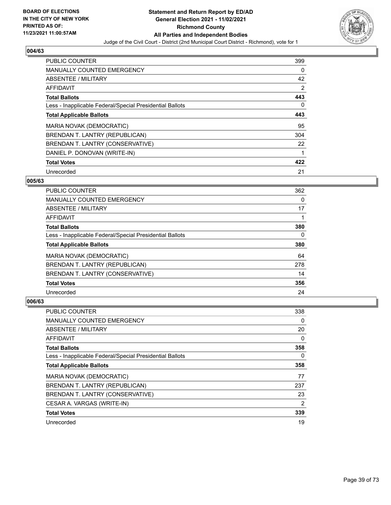

| PUBLIC COUNTER                                           | 399      |
|----------------------------------------------------------|----------|
| <b>MANUALLY COUNTED EMERGENCY</b>                        | 0        |
| ABSENTEE / MILITARY                                      | 42       |
| <b>AFFIDAVIT</b>                                         | 2        |
| <b>Total Ballots</b>                                     | 443      |
| Less - Inapplicable Federal/Special Presidential Ballots | $\Omega$ |
| <b>Total Applicable Ballots</b>                          | 443      |
| MARIA NOVAK (DEMOCRATIC)                                 | 95       |
| BRENDAN T. LANTRY (REPUBLICAN)                           | 304      |
| BRENDAN T. LANTRY (CONSERVATIVE)                         | 22       |
| DANIEL P. DONOVAN (WRITE-IN)                             |          |
| <b>Total Votes</b>                                       | 422      |
| Unrecorded                                               | 21       |

### **005/63**

| <b>PUBLIC COUNTER</b>                                    | 362      |
|----------------------------------------------------------|----------|
| <b>MANUALLY COUNTED EMERGENCY</b>                        | 0        |
| ABSENTEE / MILITARY                                      | 17       |
| <b>AFFIDAVIT</b>                                         |          |
| <b>Total Ballots</b>                                     | 380      |
| Less - Inapplicable Federal/Special Presidential Ballots | $\Omega$ |
| <b>Total Applicable Ballots</b>                          | 380      |
| <b>MARIA NOVAK (DEMOCRATIC)</b>                          | 64       |
| BRENDAN T. LANTRY (REPUBLICAN)                           | 278      |
| BRENDAN T. LANTRY (CONSERVATIVE)                         | 14       |
| <b>Total Votes</b>                                       | 356      |
| Unrecorded                                               | 24       |

| <b>PUBLIC COUNTER</b>                                    | 338            |
|----------------------------------------------------------|----------------|
| <b>MANUALLY COUNTED EMERGENCY</b>                        | 0              |
| ABSENTEE / MILITARY                                      | 20             |
| AFFIDAVIT                                                | 0              |
| <b>Total Ballots</b>                                     | 358            |
| Less - Inapplicable Federal/Special Presidential Ballots | 0              |
| <b>Total Applicable Ballots</b>                          | 358            |
| <b>MARIA NOVAK (DEMOCRATIC)</b>                          | 77             |
| BRENDAN T. LANTRY (REPUBLICAN)                           | 237            |
| BRENDAN T. LANTRY (CONSERVATIVE)                         | 23             |
| CESAR A. VARGAS (WRITE-IN)                               | $\overline{2}$ |
| <b>Total Votes</b>                                       | 339            |
| Unrecorded                                               | 19             |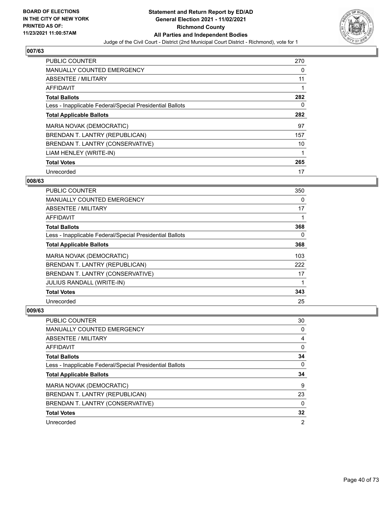

| PUBLIC COUNTER                                           | 270 |
|----------------------------------------------------------|-----|
| <b>MANUALLY COUNTED EMERGENCY</b>                        | 0   |
| ABSENTEE / MILITARY                                      | 11  |
| <b>AFFIDAVIT</b>                                         |     |
| <b>Total Ballots</b>                                     | 282 |
| Less - Inapplicable Federal/Special Presidential Ballots | 0   |
| <b>Total Applicable Ballots</b>                          | 282 |
| MARIA NOVAK (DEMOCRATIC)                                 | 97  |
| BRENDAN T. LANTRY (REPUBLICAN)                           | 157 |
| BRENDAN T. LANTRY (CONSERVATIVE)                         | 10  |
| LIAM HENLEY (WRITE-IN)                                   |     |
| <b>Total Votes</b>                                       | 265 |
| Unrecorded                                               | 17  |

### **008/63**

| <b>PUBLIC COUNTER</b>                                    | 350 |
|----------------------------------------------------------|-----|
| <b>MANUALLY COUNTED EMERGENCY</b>                        | 0   |
| ABSENTEE / MILITARY                                      | 17  |
| AFFIDAVIT                                                |     |
| <b>Total Ballots</b>                                     | 368 |
| Less - Inapplicable Federal/Special Presidential Ballots | 0   |
| <b>Total Applicable Ballots</b>                          | 368 |
| <b>MARIA NOVAK (DEMOCRATIC)</b>                          | 103 |
| BRENDAN T. LANTRY (REPUBLICAN)                           | 222 |
| BRENDAN T. LANTRY (CONSERVATIVE)                         | 17  |
| <b>JULIUS RANDALL (WRITE-IN)</b>                         |     |
| <b>Total Votes</b>                                       | 343 |
| Unrecorded                                               | 25  |

| <b>PUBLIC COUNTER</b>                                    | 30 |
|----------------------------------------------------------|----|
| <b>MANUALLY COUNTED EMERGENCY</b>                        | 0  |
| ABSENTEE / MILITARY                                      | 4  |
| AFFIDAVIT                                                | 0  |
| <b>Total Ballots</b>                                     | 34 |
| Less - Inapplicable Federal/Special Presidential Ballots | 0  |
|                                                          | 34 |
| <b>Total Applicable Ballots</b>                          |    |
| MARIA NOVAK (DEMOCRATIC)                                 | 9  |
| BRENDAN T. LANTRY (REPUBLICAN)                           | 23 |
| BRENDAN T. LANTRY (CONSERVATIVE)                         | 0  |
| <b>Total Votes</b>                                       | 32 |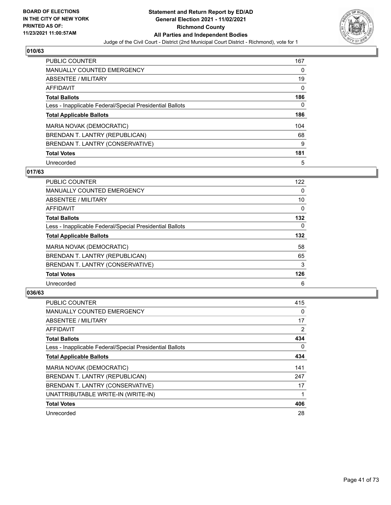

| <b>PUBLIC COUNTER</b>                                    | 167 |
|----------------------------------------------------------|-----|
| <b>MANUALLY COUNTED EMERGENCY</b>                        | 0   |
| ABSENTEE / MILITARY                                      | 19  |
| AFFIDAVIT                                                | 0   |
| <b>Total Ballots</b>                                     | 186 |
| Less - Inapplicable Federal/Special Presidential Ballots | 0   |
| <b>Total Applicable Ballots</b>                          | 186 |
| MARIA NOVAK (DEMOCRATIC)                                 | 104 |
| BRENDAN T. LANTRY (REPUBLICAN)                           | 68  |
| BRENDAN T. LANTRY (CONSERVATIVE)                         | 9   |
| <b>Total Votes</b>                                       | 181 |
| Unrecorded                                               | 5   |

### **017/63**

| <b>PUBLIC COUNTER</b>                                    | 122      |
|----------------------------------------------------------|----------|
| MANUALLY COUNTED EMERGENCY                               | 0        |
| ABSENTEE / MILITARY                                      | 10       |
| <b>AFFIDAVIT</b>                                         | 0        |
| <b>Total Ballots</b>                                     | 132      |
| Less - Inapplicable Federal/Special Presidential Ballots | $\Omega$ |
| <b>Total Applicable Ballots</b>                          | 132      |
| MARIA NOVAK (DEMOCRATIC)                                 | 58       |
| BRENDAN T. LANTRY (REPUBLICAN)                           | 65       |
| BRENDAN T. LANTRY (CONSERVATIVE)                         | 3        |
| <b>Total Votes</b>                                       | 126      |
| Unrecorded                                               | 6        |

| <b>PUBLIC COUNTER</b>                                    | 415            |
|----------------------------------------------------------|----------------|
| <b>MANUALLY COUNTED EMERGENCY</b>                        | 0              |
| ABSENTEE / MILITARY                                      | 17             |
| AFFIDAVIT                                                | $\overline{2}$ |
| <b>Total Ballots</b>                                     | 434            |
| Less - Inapplicable Federal/Special Presidential Ballots | 0              |
| <b>Total Applicable Ballots</b>                          | 434            |
| MARIA NOVAK (DEMOCRATIC)                                 | 141            |
| BRENDAN T. LANTRY (REPUBLICAN)                           | 247            |
| BRENDAN T. LANTRY (CONSERVATIVE)                         | 17             |
| UNATTRIBUTABLE WRITE-IN (WRITE-IN)                       |                |
| <b>Total Votes</b>                                       | 406            |
| Unrecorded                                               | 28             |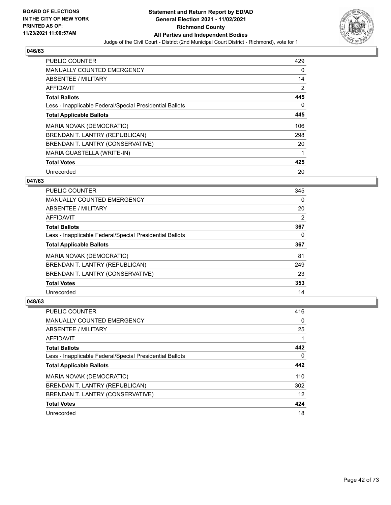

| PUBLIC COUNTER                                           | 429      |
|----------------------------------------------------------|----------|
| <b>MANUALLY COUNTED EMERGENCY</b>                        | 0        |
| ABSENTEE / MILITARY                                      | 14       |
| <b>AFFIDAVIT</b>                                         | 2        |
| <b>Total Ballots</b>                                     | 445      |
| Less - Inapplicable Federal/Special Presidential Ballots | $\Omega$ |
| <b>Total Applicable Ballots</b>                          | 445      |
| MARIA NOVAK (DEMOCRATIC)                                 | 106      |
| BRENDAN T. LANTRY (REPUBLICAN)                           | 298      |
| BRENDAN T. LANTRY (CONSERVATIVE)                         | 20       |
| MARIA GUASTELLA (WRITE-IN)                               |          |
| <b>Total Votes</b>                                       | 425      |
| Unrecorded                                               | 20       |

### **047/63**

| <b>PUBLIC COUNTER</b>                                    | 345 |
|----------------------------------------------------------|-----|
| <b>MANUALLY COUNTED EMERGENCY</b>                        | 0   |
| ABSENTEE / MILITARY                                      | 20  |
| <b>AFFIDAVIT</b>                                         | 2   |
| <b>Total Ballots</b>                                     | 367 |
| Less - Inapplicable Federal/Special Presidential Ballots | 0   |
| <b>Total Applicable Ballots</b>                          | 367 |
| <b>MARIA NOVAK (DEMOCRATIC)</b>                          | 81  |
| BRENDAN T. LANTRY (REPUBLICAN)                           | 249 |
| BRENDAN T. LANTRY (CONSERVATIVE)                         | 23  |
| <b>Total Votes</b>                                       | 353 |
| Unrecorded                                               | 14  |

| <b>PUBLIC COUNTER</b>                                    | 416 |
|----------------------------------------------------------|-----|
| <b>MANUALLY COUNTED EMERGENCY</b>                        | 0   |
| ABSENTEE / MILITARY                                      | 25  |
| AFFIDAVIT                                                |     |
| <b>Total Ballots</b>                                     | 442 |
| Less - Inapplicable Federal/Special Presidential Ballots | 0   |
| <b>Total Applicable Ballots</b>                          | 442 |
| MARIA NOVAK (DEMOCRATIC)                                 | 110 |
| BRENDAN T. LANTRY (REPUBLICAN)                           | 302 |
| BRENDAN T. LANTRY (CONSERVATIVE)                         | 12  |
| <b>Total Votes</b>                                       | 424 |
| Unrecorded                                               | 18  |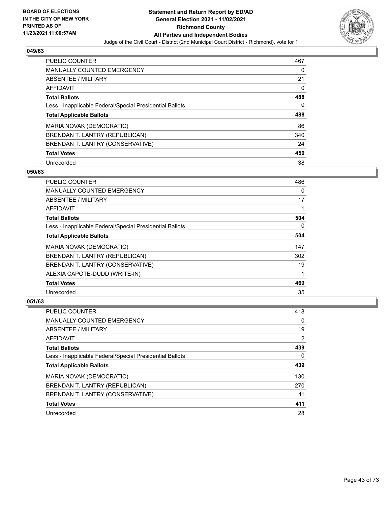

| <b>PUBLIC COUNTER</b>                                    | 467      |
|----------------------------------------------------------|----------|
| MANUALLY COUNTED EMERGENCY                               | 0        |
| ABSENTEE / MILITARY                                      | 21       |
| AFFIDAVIT                                                | $\Omega$ |
| <b>Total Ballots</b>                                     | 488      |
| Less - Inapplicable Federal/Special Presidential Ballots | 0        |
| <b>Total Applicable Ballots</b>                          | 488      |
| MARIA NOVAK (DEMOCRATIC)                                 | 86       |
| BRENDAN T. LANTRY (REPUBLICAN)                           | 340      |
| BRENDAN T. LANTRY (CONSERVATIVE)                         | 24       |
| <b>Total Votes</b>                                       | 450      |
| Unrecorded                                               | 38       |

### **050/63**

| <b>PUBLIC COUNTER</b>                                    | 486      |
|----------------------------------------------------------|----------|
| <b>MANUALLY COUNTED EMERGENCY</b>                        | $\Omega$ |
| ABSENTEE / MILITARY                                      | 17       |
| <b>AFFIDAVIT</b>                                         |          |
| <b>Total Ballots</b>                                     | 504      |
| Less - Inapplicable Federal/Special Presidential Ballots | $\Omega$ |
| <b>Total Applicable Ballots</b>                          | 504      |
| MARIA NOVAK (DEMOCRATIC)                                 | 147      |
| BRENDAN T. LANTRY (REPUBLICAN)                           | 302      |
| BRENDAN T. LANTRY (CONSERVATIVE)                         | 19       |
| ALEXIA CAPOTE-DUDD (WRITE-IN)                            |          |
| <b>Total Votes</b>                                       | 469      |
| Unrecorded                                               | 35       |

| <b>PUBLIC COUNTER</b>                                    | 418 |
|----------------------------------------------------------|-----|
| <b>MANUALLY COUNTED EMERGENCY</b>                        | 0   |
| ABSENTEE / MILITARY                                      | 19  |
| AFFIDAVIT                                                | 2   |
| <b>Total Ballots</b>                                     | 439 |
| Less - Inapplicable Federal/Special Presidential Ballots | 0   |
| <b>Total Applicable Ballots</b>                          | 439 |
| MARIA NOVAK (DEMOCRATIC)                                 | 130 |
| BRENDAN T. LANTRY (REPUBLICAN)                           | 270 |
| BRENDAN T. LANTRY (CONSERVATIVE)                         | 11  |
| <b>Total Votes</b>                                       | 411 |
| Unrecorded                                               | 28  |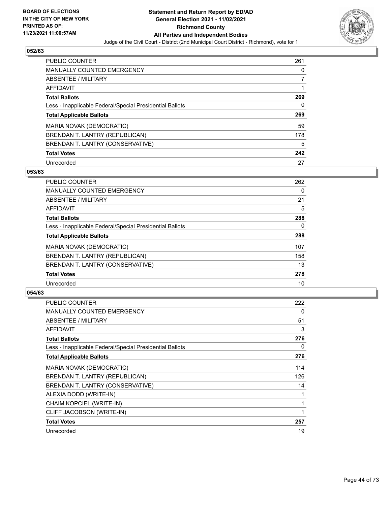

| <b>PUBLIC COUNTER</b>                                    | 261 |
|----------------------------------------------------------|-----|
| MANUALLY COUNTED EMERGENCY                               | 0   |
| ABSENTEE / MILITARY                                      |     |
| AFFIDAVIT                                                |     |
| <b>Total Ballots</b>                                     | 269 |
| Less - Inapplicable Federal/Special Presidential Ballots | 0   |
|                                                          |     |
| <b>Total Applicable Ballots</b>                          | 269 |
| MARIA NOVAK (DEMOCRATIC)                                 | 59  |
| BRENDAN T. LANTRY (REPUBLICAN)                           | 178 |
| BRENDAN T. LANTRY (CONSERVATIVE)                         | 5   |
| <b>Total Votes</b>                                       | 242 |

### **053/63**

| <b>PUBLIC COUNTER</b>                                    | 262      |
|----------------------------------------------------------|----------|
| <b>MANUALLY COUNTED EMERGENCY</b>                        | 0        |
| ABSENTEE / MILITARY                                      | 21       |
| <b>AFFIDAVIT</b>                                         | 5        |
| <b>Total Ballots</b>                                     | 288      |
| Less - Inapplicable Federal/Special Presidential Ballots | $\Omega$ |
| <b>Total Applicable Ballots</b>                          | 288      |
| MARIA NOVAK (DEMOCRATIC)                                 | 107      |
| BRENDAN T. LANTRY (REPUBLICAN)                           | 158      |
| BRENDAN T. LANTRY (CONSERVATIVE)                         | 13       |
| <b>Total Votes</b>                                       | 278      |
| Unrecorded                                               | 10       |

| <b>PUBLIC COUNTER</b>                                    | 222 |
|----------------------------------------------------------|-----|
| <b>MANUALLY COUNTED EMERGENCY</b>                        | 0   |
| ABSENTEE / MILITARY                                      | 51  |
| <b>AFFIDAVIT</b>                                         | 3   |
| <b>Total Ballots</b>                                     | 276 |
| Less - Inapplicable Federal/Special Presidential Ballots | 0   |
| <b>Total Applicable Ballots</b>                          | 276 |
| MARIA NOVAK (DEMOCRATIC)                                 | 114 |
| BRENDAN T. LANTRY (REPUBLICAN)                           | 126 |
| BRENDAN T. LANTRY (CONSERVATIVE)                         | 14  |
| ALEXIA DODD (WRITE-IN)                                   | 1   |
| CHAIM KOPCIEL (WRITE-IN)                                 | 1   |
| CLIFF JACOBSON (WRITE-IN)                                | 1   |
| <b>Total Votes</b>                                       | 257 |
| Unrecorded                                               | 19  |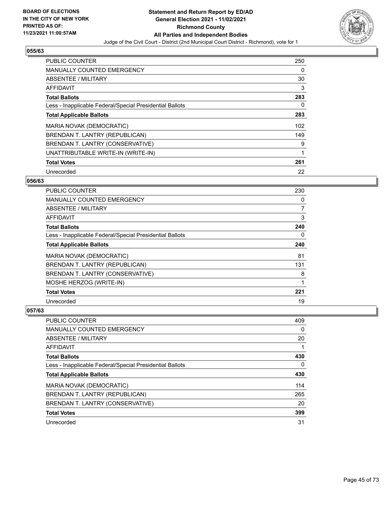

| PUBLIC COUNTER                                           | 250 |
|----------------------------------------------------------|-----|
| <b>MANUALLY COUNTED EMERGENCY</b>                        | 0   |
| ABSENTEE / MILITARY                                      | 30  |
| <b>AFFIDAVIT</b>                                         | 3   |
| <b>Total Ballots</b>                                     | 283 |
| Less - Inapplicable Federal/Special Presidential Ballots | 0   |
| <b>Total Applicable Ballots</b>                          | 283 |
| <b>MARIA NOVAK (DEMOCRATIC)</b>                          | 102 |
| BRENDAN T. LANTRY (REPUBLICAN)                           | 149 |
| BRENDAN T. LANTRY (CONSERVATIVE)                         | 9   |
| UNATTRIBUTABLE WRITE-IN (WRITE-IN)                       | 1   |
| <b>Total Votes</b>                                       | 261 |
| Unrecorded                                               | 22  |

### **056/63**

| <b>PUBLIC COUNTER</b>                                    | 230            |
|----------------------------------------------------------|----------------|
| <b>MANUALLY COUNTED EMERGENCY</b>                        | 0              |
| ABSENTEE / MILITARY                                      | $\overline{7}$ |
| AFFIDAVIT                                                | 3              |
| <b>Total Ballots</b>                                     | 240            |
| Less - Inapplicable Federal/Special Presidential Ballots | 0              |
| <b>Total Applicable Ballots</b>                          | 240            |
| <b>MARIA NOVAK (DEMOCRATIC)</b>                          | 81             |
| BRENDAN T. LANTRY (REPUBLICAN)                           | 131            |
| BRENDAN T. LANTRY (CONSERVATIVE)                         | 8              |
| MOSHE HERZOG (WRITE-IN)                                  | 1              |
| <b>Total Votes</b>                                       | 221            |
| Unrecorded                                               | 19             |

| PUBLIC COUNTER                                           | 409 |
|----------------------------------------------------------|-----|
| <b>MANUALLY COUNTED EMERGENCY</b>                        | 0   |
| ABSENTEE / MILITARY                                      | 20  |
| AFFIDAVIT                                                |     |
| <b>Total Ballots</b>                                     | 430 |
| Less - Inapplicable Federal/Special Presidential Ballots | 0   |
| <b>Total Applicable Ballots</b>                          | 430 |
| MARIA NOVAK (DEMOCRATIC)                                 | 114 |
| BRENDAN T. LANTRY (REPUBLICAN)                           | 265 |
| BRENDAN T. LANTRY (CONSERVATIVE)                         | 20  |
| <b>Total Votes</b>                                       | 399 |
| Unrecorded                                               | 31  |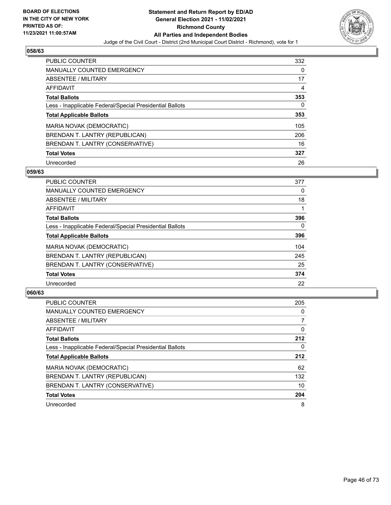

| PUBLIC COUNTER                                           | 332 |
|----------------------------------------------------------|-----|
| <b>MANUALLY COUNTED EMERGENCY</b>                        | 0   |
| ABSENTEE / MILITARY                                      | 17  |
| AFFIDAVIT                                                | 4   |
| <b>Total Ballots</b>                                     | 353 |
| Less - Inapplicable Federal/Special Presidential Ballots | 0   |
| <b>Total Applicable Ballots</b>                          | 353 |
| MARIA NOVAK (DEMOCRATIC)                                 | 105 |
| BRENDAN T. LANTRY (REPUBLICAN)                           | 206 |
| BRENDAN T. LANTRY (CONSERVATIVE)                         | 16  |
| <b>Total Votes</b>                                       | 327 |
| Unrecorded                                               | 26  |

### **059/63**

| <b>PUBLIC COUNTER</b>                                    | 377      |
|----------------------------------------------------------|----------|
| <b>MANUALLY COUNTED EMERGENCY</b>                        | $\Omega$ |
| ABSENTEE / MILITARY                                      | 18       |
| <b>AFFIDAVIT</b>                                         |          |
| <b>Total Ballots</b>                                     | 396      |
| Less - Inapplicable Federal/Special Presidential Ballots | $\Omega$ |
| <b>Total Applicable Ballots</b>                          | 396      |
| MARIA NOVAK (DEMOCRATIC)                                 | 104      |
| BRENDAN T. LANTRY (REPUBLICAN)                           | 245      |
| BRENDAN T. LANTRY (CONSERVATIVE)                         | 25       |
| <b>Total Votes</b>                                       | 374      |
| Unrecorded                                               | 22       |

| <b>PUBLIC COUNTER</b>                                    | 205      |
|----------------------------------------------------------|----------|
| <b>MANUALLY COUNTED EMERGENCY</b>                        | $\Omega$ |
| ABSENTEE / MILITARY                                      |          |
| <b>AFFIDAVIT</b>                                         | 0        |
| <b>Total Ballots</b>                                     | 212      |
| Less - Inapplicable Federal/Special Presidential Ballots | 0        |
| <b>Total Applicable Ballots</b>                          | 212      |
| MARIA NOVAK (DEMOCRATIC)                                 | 62       |
| BRENDAN T. LANTRY (REPUBLICAN)                           | 132      |
| BRENDAN T. LANTRY (CONSERVATIVE)                         | 10       |
| <b>Total Votes</b>                                       | 204      |
| Unrecorded                                               | 8        |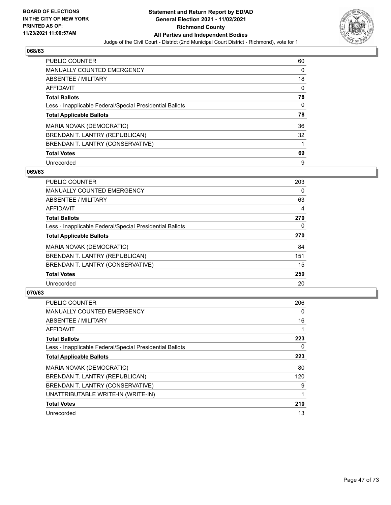

| <b>PUBLIC COUNTER</b>                                    | 60 |
|----------------------------------------------------------|----|
| <b>MANUALLY COUNTED EMERGENCY</b>                        | 0  |
| ABSENTEE / MILITARY                                      | 18 |
| AFFIDAVIT                                                | 0  |
| <b>Total Ballots</b>                                     | 78 |
| Less - Inapplicable Federal/Special Presidential Ballots | 0  |
| <b>Total Applicable Ballots</b>                          | 78 |
| MARIA NOVAK (DEMOCRATIC)                                 | 36 |
| BRENDAN T. LANTRY (REPUBLICAN)                           | 32 |
| BRENDAN T. LANTRY (CONSERVATIVE)                         |    |
|                                                          |    |
| <b>Total Votes</b>                                       | 69 |

### **069/63**

| <b>PUBLIC COUNTER</b>                                    | 203      |
|----------------------------------------------------------|----------|
| MANUALLY COUNTED EMERGENCY                               | $\Omega$ |
| ABSENTEE / MILITARY                                      | 63       |
| <b>AFFIDAVIT</b>                                         | 4        |
| <b>Total Ballots</b>                                     | 270      |
| Less - Inapplicable Federal/Special Presidential Ballots | $\Omega$ |
| <b>Total Applicable Ballots</b>                          | 270      |
| MARIA NOVAK (DEMOCRATIC)                                 | 84       |
| BRENDAN T. LANTRY (REPUBLICAN)                           | 151      |
| BRENDAN T. LANTRY (CONSERVATIVE)                         | 15       |
| <b>Total Votes</b>                                       | 250      |
| Unrecorded                                               | 20       |

| <b>PUBLIC COUNTER</b>                                    | 206 |
|----------------------------------------------------------|-----|
| <b>MANUALLY COUNTED EMERGENCY</b>                        | 0   |
| ABSENTEE / MILITARY                                      | 16  |
| AFFIDAVIT                                                | 1   |
| <b>Total Ballots</b>                                     | 223 |
| Less - Inapplicable Federal/Special Presidential Ballots | 0   |
| <b>Total Applicable Ballots</b>                          | 223 |
| MARIA NOVAK (DEMOCRATIC)                                 | 80  |
| BRENDAN T. LANTRY (REPUBLICAN)                           | 120 |
| BRENDAN T. LANTRY (CONSERVATIVE)                         | 9   |
| UNATTRIBUTABLE WRITE-IN (WRITE-IN)                       |     |
| <b>Total Votes</b>                                       | 210 |
| Unrecorded                                               | 13  |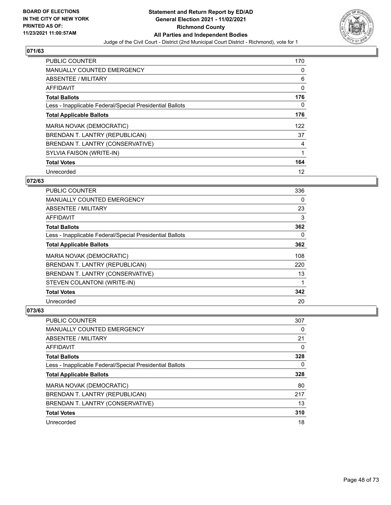

| PUBLIC COUNTER                                           | 170 |
|----------------------------------------------------------|-----|
| <b>MANUALLY COUNTED EMERGENCY</b>                        | 0   |
| <b>ABSENTEE / MILITARY</b>                               | 6   |
| AFFIDAVIT                                                | 0   |
| <b>Total Ballots</b>                                     | 176 |
| Less - Inapplicable Federal/Special Presidential Ballots | 0   |
| <b>Total Applicable Ballots</b>                          | 176 |
| MARIA NOVAK (DEMOCRATIC)                                 | 122 |
| BRENDAN T. LANTRY (REPUBLICAN)                           | 37  |
| BRENDAN T. LANTRY (CONSERVATIVE)                         | 4   |
| SYLVIA FAISON (WRITE-IN)                                 | 1   |
| <b>Total Votes</b>                                       | 164 |
| Unrecorded                                               | 12  |

## **072/63**

| <b>PUBLIC COUNTER</b>                                    | 336 |
|----------------------------------------------------------|-----|
| <b>MANUALLY COUNTED EMERGENCY</b>                        | 0   |
| ABSENTEE / MILITARY                                      | 23  |
| AFFIDAVIT                                                | 3   |
| <b>Total Ballots</b>                                     | 362 |
| Less - Inapplicable Federal/Special Presidential Ballots | 0   |
| <b>Total Applicable Ballots</b>                          | 362 |
| <b>MARIA NOVAK (DEMOCRATIC)</b>                          | 108 |
| BRENDAN T. LANTRY (REPUBLICAN)                           | 220 |
| BRENDAN T. LANTRY (CONSERVATIVE)                         | 13  |
| STEVEN COLANTONI (WRITE-IN)                              |     |
| <b>Total Votes</b>                                       | 342 |
| Unrecorded                                               | 20  |

| <b>PUBLIC COUNTER</b>                                    | 307 |
|----------------------------------------------------------|-----|
| <b>MANUALLY COUNTED EMERGENCY</b>                        | 0   |
| ABSENTEE / MILITARY                                      | 21  |
| AFFIDAVIT                                                | 0   |
| <b>Total Ballots</b>                                     | 328 |
| Less - Inapplicable Federal/Special Presidential Ballots | 0   |
| <b>Total Applicable Ballots</b>                          | 328 |
| MARIA NOVAK (DEMOCRATIC)                                 | 80  |
| BRENDAN T. LANTRY (REPUBLICAN)                           | 217 |
| BRENDAN T. LANTRY (CONSERVATIVE)                         | 13  |
| <b>Total Votes</b>                                       | 310 |
| Unrecorded                                               | 18  |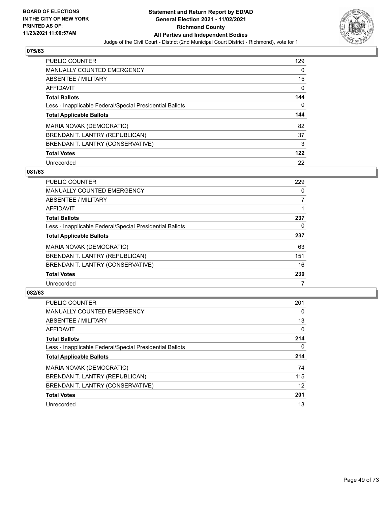

| <b>PUBLIC COUNTER</b>                                    | 129 |
|----------------------------------------------------------|-----|
| <b>MANUALLY COUNTED EMERGENCY</b>                        | 0   |
| ABSENTEE / MILITARY                                      | 15  |
| AFFIDAVIT                                                | 0   |
| <b>Total Ballots</b>                                     | 144 |
| Less - Inapplicable Federal/Special Presidential Ballots | 0   |
| <b>Total Applicable Ballots</b>                          | 144 |
| MARIA NOVAK (DEMOCRATIC)                                 | 82  |
| BRENDAN T. LANTRY (REPUBLICAN)                           | 37  |
| BRENDAN T. LANTRY (CONSERVATIVE)                         | 3   |
| <b>Total Votes</b>                                       | 122 |
| Unrecorded                                               | 22  |

### **081/63**

| PUBLIC COUNTER                                           | 229 |
|----------------------------------------------------------|-----|
| <b>MANUALLY COUNTED EMERGENCY</b>                        | 0   |
| ABSENTEE / MILITARY                                      | 7   |
| <b>AFFIDAVIT</b>                                         |     |
| <b>Total Ballots</b>                                     | 237 |
| Less - Inapplicable Federal/Special Presidential Ballots | 0   |
| <b>Total Applicable Ballots</b>                          | 237 |
| MARIA NOVAK (DEMOCRATIC)                                 | 63  |
| BRENDAN T. LANTRY (REPUBLICAN)                           | 151 |
| BRENDAN T. LANTRY (CONSERVATIVE)                         | 16  |
| <b>Total Votes</b>                                       | 230 |
| Unrecorded                                               |     |

| <b>PUBLIC COUNTER</b>                                    | 201      |
|----------------------------------------------------------|----------|
| <b>MANUALLY COUNTED EMERGENCY</b>                        | 0        |
| ABSENTEE / MILITARY                                      | 13       |
| <b>AFFIDAVIT</b>                                         | $\Omega$ |
| <b>Total Ballots</b>                                     | 214      |
| Less - Inapplicable Federal/Special Presidential Ballots | 0        |
| <b>Total Applicable Ballots</b>                          | 214      |
| <b>MARIA NOVAK (DEMOCRATIC)</b>                          | 74       |
| BRENDAN T. LANTRY (REPUBLICAN)                           | 115      |
| BRENDAN T. LANTRY (CONSERVATIVE)                         | 12       |
| <b>Total Votes</b>                                       | 201      |
| Unrecorded                                               | 13       |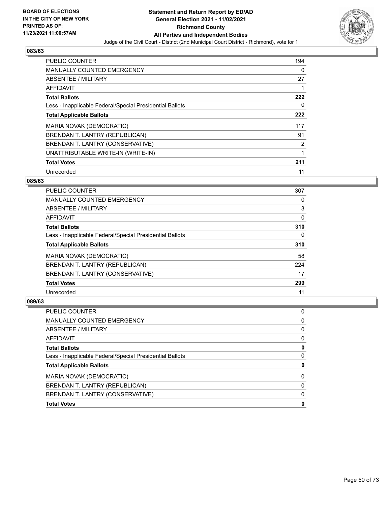

| <b>PUBLIC COUNTER</b>                                    | 194 |
|----------------------------------------------------------|-----|
| <b>MANUALLY COUNTED EMERGENCY</b>                        | 0   |
| ABSENTEE / MILITARY                                      | 27  |
| <b>AFFIDAVIT</b>                                         |     |
| <b>Total Ballots</b>                                     | 222 |
| Less - Inapplicable Federal/Special Presidential Ballots | 0   |
| <b>Total Applicable Ballots</b>                          | 222 |
| MARIA NOVAK (DEMOCRATIC)                                 | 117 |
| BRENDAN T. LANTRY (REPUBLICAN)                           | 91  |
| BRENDAN T. LANTRY (CONSERVATIVE)                         | 2   |
| UNATTRIBUTABLE WRITE-IN (WRITE-IN)                       | 1   |
| <b>Total Votes</b>                                       | 211 |
| Unrecorded                                               | 11  |

### **085/63**

| PUBLIC COUNTER                                           | 307 |
|----------------------------------------------------------|-----|
| <b>MANUALLY COUNTED EMERGENCY</b>                        | 0   |
| ABSENTEE / MILITARY                                      | 3   |
| <b>AFFIDAVIT</b>                                         | 0   |
| <b>Total Ballots</b>                                     | 310 |
| Less - Inapplicable Federal/Special Presidential Ballots | 0   |
| <b>Total Applicable Ballots</b>                          | 310 |
| <b>MARIA NOVAK (DEMOCRATIC)</b>                          | 58  |
| BRENDAN T. LANTRY (REPUBLICAN)                           | 224 |
| BRENDAN T. LANTRY (CONSERVATIVE)                         | 17  |
| <b>Total Votes</b>                                       | 299 |
| Unrecorded                                               | 11  |

| PUBLIC COUNTER                                           | 0 |
|----------------------------------------------------------|---|
| MANUALLY COUNTED EMERGENCY                               | 0 |
| ABSENTEE / MILITARY                                      | 0 |
| AFFIDAVIT                                                | 0 |
| <b>Total Ballots</b>                                     | 0 |
| Less - Inapplicable Federal/Special Presidential Ballots | 0 |
| <b>Total Applicable Ballots</b>                          | 0 |
| MARIA NOVAK (DEMOCRATIC)                                 | 0 |
| BRENDAN T. LANTRY (REPUBLICAN)                           | 0 |
| BRENDAN T. LANTRY (CONSERVATIVE)                         | 0 |
| <b>Total Votes</b>                                       | 0 |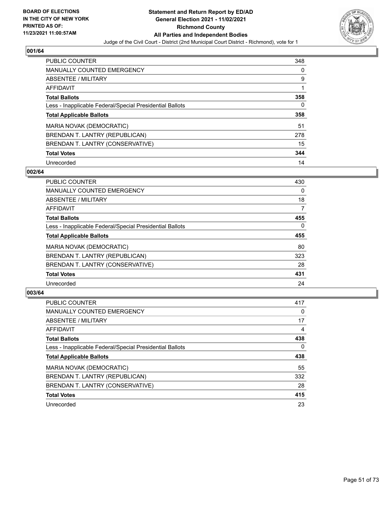

| <b>PUBLIC COUNTER</b>                                    | 348 |
|----------------------------------------------------------|-----|
| <b>MANUALLY COUNTED EMERGENCY</b>                        | 0   |
| ABSENTEE / MILITARY                                      | 9   |
| AFFIDAVIT                                                |     |
| <b>Total Ballots</b>                                     | 358 |
| Less - Inapplicable Federal/Special Presidential Ballots | 0   |
| <b>Total Applicable Ballots</b>                          | 358 |
| MARIA NOVAK (DEMOCRATIC)                                 | 51  |
| BRENDAN T. LANTRY (REPUBLICAN)                           | 278 |
| BRENDAN T. LANTRY (CONSERVATIVE)                         | 15  |
| <b>Total Votes</b>                                       | 344 |
| Unrecorded                                               | 14  |

### **002/64**

| <b>PUBLIC COUNTER</b>                                    | 430      |
|----------------------------------------------------------|----------|
| <b>MANUALLY COUNTED EMERGENCY</b>                        | 0        |
| ABSENTEE / MILITARY                                      | 18       |
| <b>AFFIDAVIT</b>                                         | 7        |
| <b>Total Ballots</b>                                     | 455      |
| Less - Inapplicable Federal/Special Presidential Ballots | $\Omega$ |
| <b>Total Applicable Ballots</b>                          | 455      |
| MARIA NOVAK (DEMOCRATIC)                                 | 80       |
| BRENDAN T. LANTRY (REPUBLICAN)                           | 323      |
| BRENDAN T. LANTRY (CONSERVATIVE)                         | 28       |
| <b>Total Votes</b>                                       | 431      |
| Unrecorded                                               | 24       |

| PUBLIC COUNTER                                           | 417 |
|----------------------------------------------------------|-----|
| <b>MANUALLY COUNTED EMERGENCY</b>                        | 0   |
| ABSENTEE / MILITARY                                      | 17  |
| AFFIDAVIT                                                | 4   |
| <b>Total Ballots</b>                                     | 438 |
| Less - Inapplicable Federal/Special Presidential Ballots | 0   |
| <b>Total Applicable Ballots</b>                          | 438 |
| MARIA NOVAK (DEMOCRATIC)                                 | 55  |
| BRENDAN T. LANTRY (REPUBLICAN)                           | 332 |
| BRENDAN T. LANTRY (CONSERVATIVE)                         | 28  |
| <b>Total Votes</b>                                       | 415 |
| Unrecorded                                               | 23  |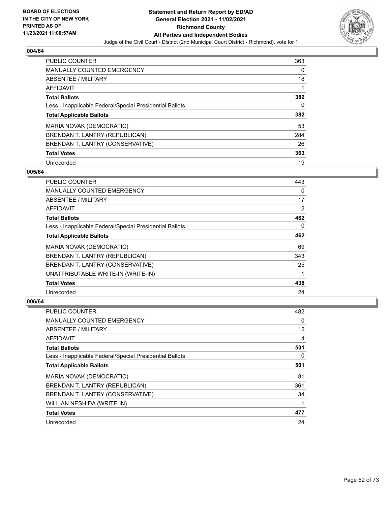

| <b>PUBLIC COUNTER</b>                                    | 363 |
|----------------------------------------------------------|-----|
| <b>MANUALLY COUNTED EMERGENCY</b>                        | 0   |
| ABSENTEE / MILITARY                                      | 18  |
| AFFIDAVIT                                                |     |
| <b>Total Ballots</b>                                     | 382 |
| Less - Inapplicable Federal/Special Presidential Ballots | 0   |
| <b>Total Applicable Ballots</b>                          | 382 |
| MARIA NOVAK (DEMOCRATIC)                                 | 53  |
| BRENDAN T. LANTRY (REPUBLICAN)                           | 284 |
| BRENDAN T. LANTRY (CONSERVATIVE)                         | 26  |
| <b>Total Votes</b>                                       | 363 |
| Unrecorded                                               | 19  |

### **005/64**

| <b>PUBLIC COUNTER</b>                                    | 443      |
|----------------------------------------------------------|----------|
| <b>MANUALLY COUNTED EMERGENCY</b>                        | $\Omega$ |
| ABSENTEE / MILITARY                                      | 17       |
| AFFIDAVIT                                                | 2        |
| <b>Total Ballots</b>                                     | 462      |
| Less - Inapplicable Federal/Special Presidential Ballots | $\Omega$ |
| <b>Total Applicable Ballots</b>                          | 462      |
| MARIA NOVAK (DEMOCRATIC)                                 | 69       |
| BRENDAN T. LANTRY (REPUBLICAN)                           | 343      |
| BRENDAN T. LANTRY (CONSERVATIVE)                         | 25       |
| UNATTRIBUTABLE WRITE-IN (WRITE-IN)                       |          |
| <b>Total Votes</b>                                       | 438      |
| Unrecorded                                               | 24       |

| <b>PUBLIC COUNTER</b>                                    | 482      |
|----------------------------------------------------------|----------|
| MANUALLY COUNTED EMERGENCY                               | 0        |
| ABSENTEE / MILITARY                                      | 15       |
| AFFIDAVIT                                                | 4        |
| <b>Total Ballots</b>                                     | 501      |
| Less - Inapplicable Federal/Special Presidential Ballots | $\Omega$ |
| <b>Total Applicable Ballots</b>                          | 501      |
| <b>MARIA NOVAK (DEMOCRATIC)</b>                          | 81       |
| BRENDAN T. LANTRY (REPUBLICAN)                           | 361      |
| BRENDAN T. LANTRY (CONSERVATIVE)                         | 34       |
| WILLIAN NESHIDA (WRITE-IN)                               | 1        |
| <b>Total Votes</b>                                       | 477      |
| Unrecorded                                               | 24       |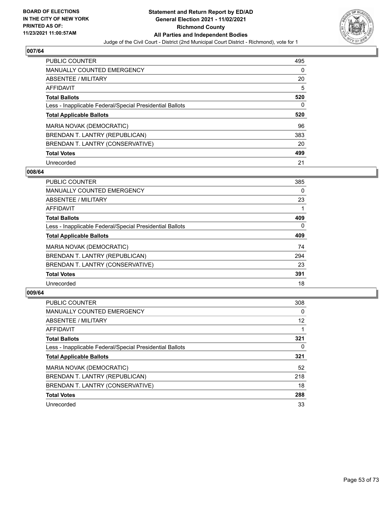

| <b>PUBLIC COUNTER</b>                                    | 495      |
|----------------------------------------------------------|----------|
| <b>MANUALLY COUNTED EMERGENCY</b>                        | $\Omega$ |
| ABSENTEE / MILITARY                                      | 20       |
| AFFIDAVIT                                                | 5        |
| <b>Total Ballots</b>                                     | 520      |
| Less - Inapplicable Federal/Special Presidential Ballots | 0        |
| <b>Total Applicable Ballots</b>                          | 520      |
| MARIA NOVAK (DEMOCRATIC)                                 | 96       |
| BRENDAN T. LANTRY (REPUBLICAN)                           | 383      |
| BRENDAN T. LANTRY (CONSERVATIVE)                         | 20       |
| <b>Total Votes</b>                                       | 499      |
|                                                          |          |

### **008/64**

| <b>PUBLIC COUNTER</b>                                    | 385      |
|----------------------------------------------------------|----------|
| <b>MANUALLY COUNTED EMERGENCY</b>                        | $\Omega$ |
| ABSENTEE / MILITARY                                      | 23       |
| <b>AFFIDAVIT</b>                                         |          |
| <b>Total Ballots</b>                                     | 409      |
| Less - Inapplicable Federal/Special Presidential Ballots | $\Omega$ |
| <b>Total Applicable Ballots</b>                          | 409      |
| MARIA NOVAK (DEMOCRATIC)                                 | 74       |
| BRENDAN T. LANTRY (REPUBLICAN)                           | 294      |
| BRENDAN T. LANTRY (CONSERVATIVE)                         | 23       |
| <b>Total Votes</b>                                       | 391      |
| Unrecorded                                               | 18       |

| <b>PUBLIC COUNTER</b>                                    | 308      |
|----------------------------------------------------------|----------|
| <b>MANUALLY COUNTED EMERGENCY</b>                        | $\Omega$ |
| ABSENTEE / MILITARY                                      | 12       |
| AFFIDAVIT                                                |          |
| <b>Total Ballots</b>                                     | 321      |
| Less - Inapplicable Federal/Special Presidential Ballots | 0        |
| <b>Total Applicable Ballots</b>                          | 321      |
| MARIA NOVAK (DEMOCRATIC)                                 | 52       |
| BRENDAN T. LANTRY (REPUBLICAN)                           | 218      |
| BRENDAN T. LANTRY (CONSERVATIVE)                         | 18       |
| <b>Total Votes</b>                                       | 288      |
| Unrecorded                                               | 33       |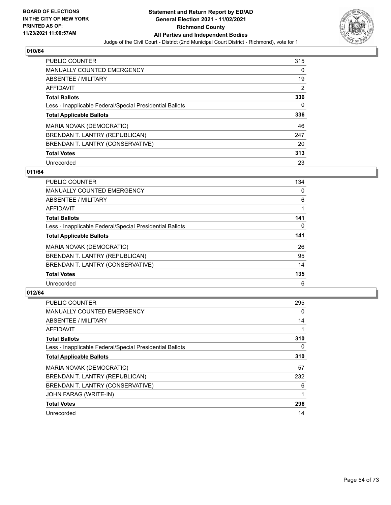

| <b>PUBLIC COUNTER</b>                                    | 315 |
|----------------------------------------------------------|-----|
| <b>MANUALLY COUNTED EMERGENCY</b>                        | 0   |
| ABSENTEE / MILITARY                                      | 19  |
| AFFIDAVIT                                                | 2   |
| <b>Total Ballots</b>                                     | 336 |
| Less - Inapplicable Federal/Special Presidential Ballots | 0   |
| <b>Total Applicable Ballots</b>                          | 336 |
| MARIA NOVAK (DEMOCRATIC)                                 | 46  |
| BRENDAN T. LANTRY (REPUBLICAN)                           | 247 |
| BRENDAN T. LANTRY (CONSERVATIVE)                         | 20  |
| <b>Total Votes</b>                                       | 313 |
| Unrecorded                                               | 23  |

### **011/64**

| <b>PUBLIC COUNTER</b>                                    | 134      |
|----------------------------------------------------------|----------|
| MANUALLY COUNTED EMERGENCY                               | 0        |
| ABSENTEE / MILITARY                                      | 6        |
| <b>AFFIDAVIT</b>                                         |          |
| <b>Total Ballots</b>                                     | 141      |
| Less - Inapplicable Federal/Special Presidential Ballots | $\Omega$ |
| <b>Total Applicable Ballots</b>                          | 141      |
| MARIA NOVAK (DEMOCRATIC)                                 | 26       |
| BRENDAN T. LANTRY (REPUBLICAN)                           | 95       |
| BRENDAN T. LANTRY (CONSERVATIVE)                         | 14       |
| <b>Total Votes</b>                                       | 135      |
| Unrecorded                                               | 6        |

| <b>PUBLIC COUNTER</b>                                    | 295 |
|----------------------------------------------------------|-----|
| MANUALLY COUNTED EMERGENCY                               | 0   |
| ABSENTEE / MILITARY                                      | 14  |
| AFFIDAVIT                                                |     |
| <b>Total Ballots</b>                                     | 310 |
| Less - Inapplicable Federal/Special Presidential Ballots | 0   |
| <b>Total Applicable Ballots</b>                          | 310 |
| MARIA NOVAK (DEMOCRATIC)                                 | 57  |
| BRENDAN T. LANTRY (REPUBLICAN)                           | 232 |
| BRENDAN T. LANTRY (CONSERVATIVE)                         | 6   |
| JOHN FARAG (WRITE-IN)                                    |     |
| <b>Total Votes</b>                                       | 296 |
| Unrecorded                                               | 14  |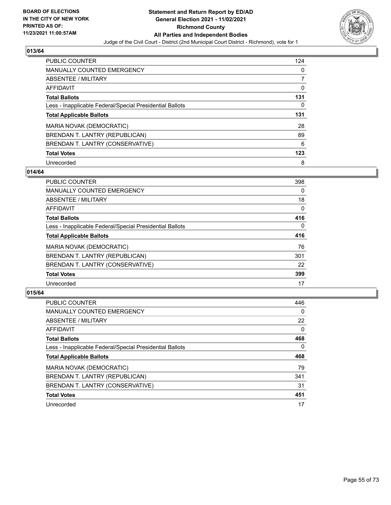

| <b>PUBLIC COUNTER</b>                                    | 124 |
|----------------------------------------------------------|-----|
| <b>MANUALLY COUNTED EMERGENCY</b>                        | 0   |
| ABSENTEE / MILITARY                                      | 7   |
| AFFIDAVIT                                                | 0   |
| <b>Total Ballots</b>                                     | 131 |
| Less - Inapplicable Federal/Special Presidential Ballots | 0   |
|                                                          | 131 |
| <b>Total Applicable Ballots</b>                          |     |
| MARIA NOVAK (DEMOCRATIC)                                 | 28  |
| BRENDAN T. LANTRY (REPUBLICAN)                           | 89  |
| BRENDAN T. LANTRY (CONSERVATIVE)                         | 6   |
| <b>Total Votes</b>                                       | 123 |

### **014/64**

| <b>PUBLIC COUNTER</b>                                    | 398      |
|----------------------------------------------------------|----------|
| <b>MANUALLY COUNTED EMERGENCY</b>                        | $\Omega$ |
| ABSENTEE / MILITARY                                      | 18       |
| <b>AFFIDAVIT</b>                                         | $\Omega$ |
| <b>Total Ballots</b>                                     | 416      |
| Less - Inapplicable Federal/Special Presidential Ballots | $\Omega$ |
| <b>Total Applicable Ballots</b>                          | 416      |
| MARIA NOVAK (DEMOCRATIC)                                 | 76       |
| BRENDAN T. LANTRY (REPUBLICAN)                           | 301      |
| BRENDAN T. LANTRY (CONSERVATIVE)                         | 22       |
| <b>Total Votes</b>                                       | 399      |
| Unrecorded                                               | 17       |

| <b>PUBLIC COUNTER</b>                                    | 446      |
|----------------------------------------------------------|----------|
| <b>MANUALLY COUNTED EMERGENCY</b>                        | $\Omega$ |
| ABSENTEE / MILITARY                                      | 22       |
| AFFIDAVIT                                                | $\Omega$ |
| <b>Total Ballots</b>                                     | 468      |
| Less - Inapplicable Federal/Special Presidential Ballots | $\Omega$ |
| <b>Total Applicable Ballots</b>                          | 468      |
| MARIA NOVAK (DEMOCRATIC)                                 | 79       |
| BRENDAN T. LANTRY (REPUBLICAN)                           | 341      |
| BRENDAN T. LANTRY (CONSERVATIVE)                         | 31       |
| <b>Total Votes</b>                                       | 451      |
| Unrecorded                                               | 17       |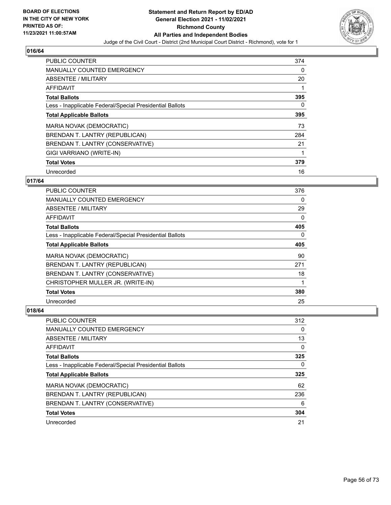

| PUBLIC COUNTER                                           | 374 |
|----------------------------------------------------------|-----|
| <b>MANUALLY COUNTED EMERGENCY</b>                        | 0   |
| ABSENTEE / MILITARY                                      | 20  |
| AFFIDAVIT                                                |     |
| <b>Total Ballots</b>                                     | 395 |
| Less - Inapplicable Federal/Special Presidential Ballots | 0   |
| <b>Total Applicable Ballots</b>                          | 395 |
| MARIA NOVAK (DEMOCRATIC)                                 | 73  |
| BRENDAN T. LANTRY (REPUBLICAN)                           | 284 |
| BRENDAN T. LANTRY (CONSERVATIVE)                         | 21  |
| GIGI VARRIANO (WRITE-IN)                                 |     |
| <b>Total Votes</b>                                       | 379 |
| Unrecorded                                               | 16  |

### **017/64**

| <b>PUBLIC COUNTER</b>                                    | 376 |
|----------------------------------------------------------|-----|
| MANUALLY COUNTED EMERGENCY                               | 0   |
| ABSENTEE / MILITARY                                      | 29  |
| AFFIDAVIT                                                | 0   |
| <b>Total Ballots</b>                                     | 405 |
| Less - Inapplicable Federal/Special Presidential Ballots | 0   |
| <b>Total Applicable Ballots</b>                          | 405 |
| MARIA NOVAK (DEMOCRATIC)                                 | 90  |
| BRENDAN T. LANTRY (REPUBLICAN)                           | 271 |
| BRENDAN T. LANTRY (CONSERVATIVE)                         | 18  |
| CHRISTOPHER MULLER JR. (WRITE-IN)                        |     |
| <b>Total Votes</b>                                       | 380 |
| Unrecorded                                               | 25  |

| <b>PUBLIC COUNTER</b>                                    | 312 |
|----------------------------------------------------------|-----|
| MANUALLY COUNTED EMERGENCY                               | 0   |
| ABSENTEE / MILITARY                                      | 13  |
| AFFIDAVIT                                                | 0   |
| <b>Total Ballots</b>                                     | 325 |
| Less - Inapplicable Federal/Special Presidential Ballots | 0   |
| <b>Total Applicable Ballots</b>                          | 325 |
| MARIA NOVAK (DEMOCRATIC)                                 | 62  |
| BRENDAN T. LANTRY (REPUBLICAN)                           | 236 |
| BRENDAN T. LANTRY (CONSERVATIVE)                         | 6   |
| <b>Total Votes</b>                                       | 304 |
| Unrecorded                                               | 21  |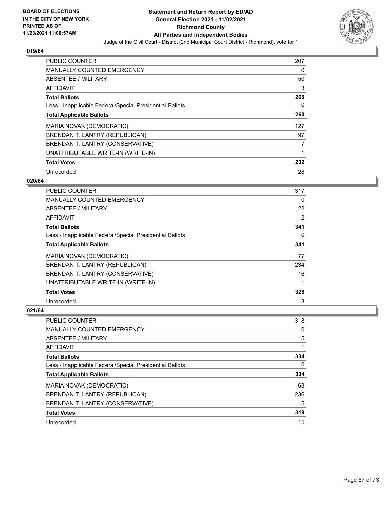

| PUBLIC COUNTER                                           | 207 |
|----------------------------------------------------------|-----|
| MANUALLY COUNTED EMERGENCY                               | 0   |
| ABSENTEE / MILITARY                                      | 50  |
| AFFIDAVIT                                                | 3   |
| <b>Total Ballots</b>                                     | 260 |
| Less - Inapplicable Federal/Special Presidential Ballots | 0   |
| <b>Total Applicable Ballots</b>                          | 260 |
| MARIA NOVAK (DEMOCRATIC)                                 | 127 |
| BRENDAN T. LANTRY (REPUBLICAN)                           | 97  |
| BRENDAN T. LANTRY (CONSERVATIVE)                         | 7   |
| UNATTRIBUTABLE WRITE-IN (WRITE-IN)                       | 1   |
| <b>Total Votes</b>                                       | 232 |
| Unrecorded                                               | 28  |

### **020/64**

| <b>PUBLIC COUNTER</b>                                    | 317 |
|----------------------------------------------------------|-----|
| <b>MANUALLY COUNTED EMERGENCY</b>                        | 0   |
| ABSENTEE / MILITARY                                      | 22  |
| AFFIDAVIT                                                | 2   |
| <b>Total Ballots</b>                                     | 341 |
| Less - Inapplicable Federal/Special Presidential Ballots | 0   |
| <b>Total Applicable Ballots</b>                          | 341 |
| <b>MARIA NOVAK (DEMOCRATIC)</b>                          | 77  |
| BRENDAN T. LANTRY (REPUBLICAN)                           | 234 |
| BRENDAN T. LANTRY (CONSERVATIVE)                         | 16  |
| UNATTRIBUTABLE WRITE-IN (WRITE-IN)                       |     |
| <b>Total Votes</b>                                       | 328 |
| Unrecorded                                               | 13  |

| PUBLIC COUNTER                                           | 318 |
|----------------------------------------------------------|-----|
| <b>MANUALLY COUNTED EMERGENCY</b>                        | 0   |
| ABSENTEE / MILITARY                                      | 15  |
| AFFIDAVIT                                                |     |
| <b>Total Ballots</b>                                     | 334 |
| Less - Inapplicable Federal/Special Presidential Ballots | 0   |
| <b>Total Applicable Ballots</b>                          | 334 |
| MARIA NOVAK (DEMOCRATIC)                                 | 68  |
| BRENDAN T. LANTRY (REPUBLICAN)                           | 236 |
| BRENDAN T. LANTRY (CONSERVATIVE)                         | 15  |
| <b>Total Votes</b>                                       | 319 |
| Unrecorded                                               | 15  |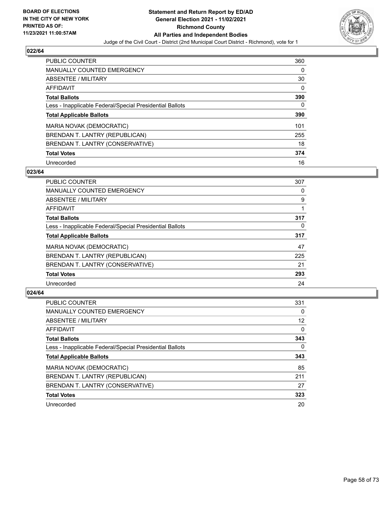

| PUBLIC COUNTER                                           | 360 |
|----------------------------------------------------------|-----|
| <b>MANUALLY COUNTED EMERGENCY</b>                        | 0   |
| ABSENTEE / MILITARY                                      | 30  |
| AFFIDAVIT                                                | 0   |
| <b>Total Ballots</b>                                     | 390 |
| Less - Inapplicable Federal/Special Presidential Ballots | 0   |
| <b>Total Applicable Ballots</b>                          | 390 |
| MARIA NOVAK (DEMOCRATIC)                                 | 101 |
| BRENDAN T. LANTRY (REPUBLICAN)                           | 255 |
| BRENDAN T. LANTRY (CONSERVATIVE)                         | 18  |
| <b>Total Votes</b>                                       | 374 |
| Unrecorded                                               | 16  |

### **023/64**

| <b>PUBLIC COUNTER</b>                                    | 307      |
|----------------------------------------------------------|----------|
| <b>MANUALLY COUNTED EMERGENCY</b>                        | 0        |
| ABSENTEE / MILITARY                                      | 9        |
| <b>AFFIDAVIT</b>                                         |          |
| <b>Total Ballots</b>                                     | 317      |
| Less - Inapplicable Federal/Special Presidential Ballots | $\Omega$ |
| <b>Total Applicable Ballots</b>                          | 317      |
| MARIA NOVAK (DEMOCRATIC)                                 | 47       |
| BRENDAN T. LANTRY (REPUBLICAN)                           | 225      |
| BRENDAN T. LANTRY (CONSERVATIVE)                         | 21       |
| <b>Total Votes</b>                                       | 293      |
| Unrecorded                                               | 24       |

| <b>PUBLIC COUNTER</b>                                    | 331      |
|----------------------------------------------------------|----------|
| <b>MANUALLY COUNTED EMERGENCY</b>                        | 0        |
| ABSENTEE / MILITARY                                      | 12       |
| AFFIDAVIT                                                | $\Omega$ |
| <b>Total Ballots</b>                                     | 343      |
| Less - Inapplicable Federal/Special Presidential Ballots | $\Omega$ |
| <b>Total Applicable Ballots</b>                          | 343      |
| MARIA NOVAK (DEMOCRATIC)                                 | 85       |
| BRENDAN T. LANTRY (REPUBLICAN)                           | 211      |
| BRENDAN T. LANTRY (CONSERVATIVE)                         | 27       |
| <b>Total Votes</b>                                       | 323      |
| Unrecorded                                               | 20       |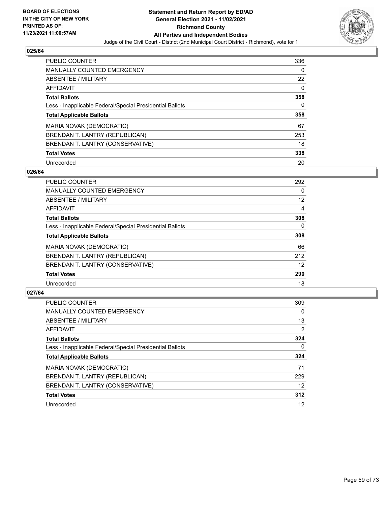

| <b>PUBLIC COUNTER</b>                                    | 336 |
|----------------------------------------------------------|-----|
| <b>MANUALLY COUNTED EMERGENCY</b>                        | 0   |
| ABSENTEE / MILITARY                                      | 22  |
| AFFIDAVIT                                                | 0   |
| <b>Total Ballots</b>                                     | 358 |
| Less - Inapplicable Federal/Special Presidential Ballots | 0   |
| <b>Total Applicable Ballots</b>                          | 358 |
| MARIA NOVAK (DEMOCRATIC)                                 | 67  |
| BRENDAN T. LANTRY (REPUBLICAN)                           | 253 |
| BRENDAN T. LANTRY (CONSERVATIVE)                         | 18  |
| <b>Total Votes</b>                                       | 338 |
| Unrecorded                                               | 20  |

### **026/64**

| <b>PUBLIC COUNTER</b>                                    | 292      |
|----------------------------------------------------------|----------|
| <b>MANUALLY COUNTED EMERGENCY</b>                        | $\Omega$ |
| ABSENTEE / MILITARY                                      | 12       |
| <b>AFFIDAVIT</b>                                         | 4        |
| <b>Total Ballots</b>                                     | 308      |
| Less - Inapplicable Federal/Special Presidential Ballots | $\Omega$ |
| <b>Total Applicable Ballots</b>                          | 308      |
| MARIA NOVAK (DEMOCRATIC)                                 | 66       |
| BRENDAN T. LANTRY (REPUBLICAN)                           | 212      |
| BRENDAN T. LANTRY (CONSERVATIVE)                         | 12       |
| <b>Total Votes</b>                                       | 290      |
| Unrecorded                                               | 18       |

| <b>PUBLIC COUNTER</b>                                    | 309            |
|----------------------------------------------------------|----------------|
| <b>MANUALLY COUNTED EMERGENCY</b>                        | $\Omega$       |
| ABSENTEE / MILITARY                                      | 13             |
| AFFIDAVIT                                                | $\overline{2}$ |
| <b>Total Ballots</b>                                     | 324            |
| Less - Inapplicable Federal/Special Presidential Ballots | 0              |
| <b>Total Applicable Ballots</b>                          | 324            |
| MARIA NOVAK (DEMOCRATIC)                                 | 71             |
| BRENDAN T. LANTRY (REPUBLICAN)                           | 229            |
| BRENDAN T. LANTRY (CONSERVATIVE)                         | 12             |
| <b>Total Votes</b>                                       | 312            |
| Unrecorded                                               | 12             |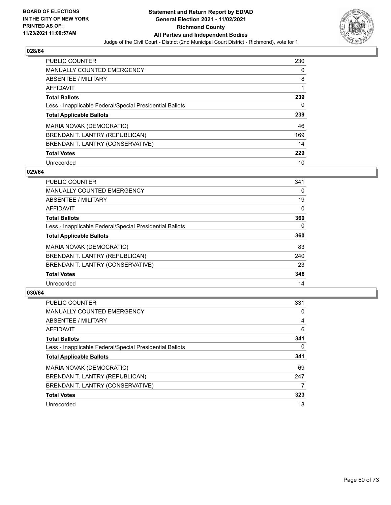

| <b>PUBLIC COUNTER</b>                                    | 230 |
|----------------------------------------------------------|-----|
| <b>MANUALLY COUNTED EMERGENCY</b>                        | 0   |
| ABSENTEE / MILITARY                                      | 8   |
| AFFIDAVIT                                                |     |
| <b>Total Ballots</b>                                     | 239 |
| Less - Inapplicable Federal/Special Presidential Ballots | 0   |
| <b>Total Applicable Ballots</b>                          | 239 |
| MARIA NOVAK (DEMOCRATIC)                                 | 46  |
| BRENDAN T. LANTRY (REPUBLICAN)                           | 169 |
| BRENDAN T. LANTRY (CONSERVATIVE)                         | 14  |
|                                                          |     |
| <b>Total Votes</b>                                       | 229 |

### **029/64**

| <b>PUBLIC COUNTER</b>                                    | 341      |
|----------------------------------------------------------|----------|
| <b>MANUALLY COUNTED EMERGENCY</b>                        | 0        |
| ABSENTEE / MILITARY                                      | 19       |
| <b>AFFIDAVIT</b>                                         | $\Omega$ |
| <b>Total Ballots</b>                                     | 360      |
| Less - Inapplicable Federal/Special Presidential Ballots | $\Omega$ |
| <b>Total Applicable Ballots</b>                          | 360      |
| MARIA NOVAK (DEMOCRATIC)                                 | 83       |
| BRENDAN T. LANTRY (REPUBLICAN)                           | 240      |
| BRENDAN T. LANTRY (CONSERVATIVE)                         | 23       |
| <b>Total Votes</b>                                       | 346      |
| Unrecorded                                               | 14       |

| <b>PUBLIC COUNTER</b>                                    | 331      |
|----------------------------------------------------------|----------|
| <b>MANUALLY COUNTED EMERGENCY</b>                        | 0        |
| ABSENTEE / MILITARY                                      | 4        |
| AFFIDAVIT                                                | 6        |
| <b>Total Ballots</b>                                     | 341      |
| Less - Inapplicable Federal/Special Presidential Ballots | $\Omega$ |
| <b>Total Applicable Ballots</b>                          | 341      |
| MARIA NOVAK (DEMOCRATIC)                                 | 69       |
| BRENDAN T. LANTRY (REPUBLICAN)                           | 247      |
| BRENDAN T. LANTRY (CONSERVATIVE)                         |          |
| <b>Total Votes</b>                                       | 323      |
| Unrecorded                                               | 18       |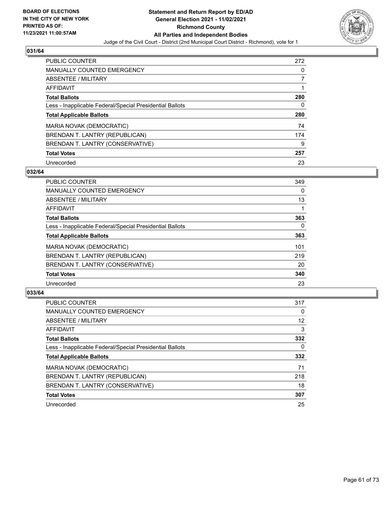

| <b>PUBLIC COUNTER</b>                                    | 272 |
|----------------------------------------------------------|-----|
| <b>MANUALLY COUNTED EMERGENCY</b>                        | 0   |
| ABSENTEE / MILITARY                                      | 7   |
| AFFIDAVIT                                                |     |
| <b>Total Ballots</b>                                     | 280 |
| Less - Inapplicable Federal/Special Presidential Ballots | 0   |
| <b>Total Applicable Ballots</b>                          | 280 |
| MARIA NOVAK (DEMOCRATIC)                                 | 74  |
| BRENDAN T. LANTRY (REPUBLICAN)                           | 174 |
| BRENDAN T. LANTRY (CONSERVATIVE)                         | 9   |
| <b>Total Votes</b>                                       | 257 |
| Unrecorded                                               | 23  |

### **032/64**

| <b>PUBLIC COUNTER</b>                                    | 349      |
|----------------------------------------------------------|----------|
| <b>MANUALLY COUNTED EMERGENCY</b>                        | 0        |
| ABSENTEE / MILITARY                                      | 13       |
| <b>AFFIDAVIT</b>                                         |          |
| <b>Total Ballots</b>                                     | 363      |
| Less - Inapplicable Federal/Special Presidential Ballots | $\Omega$ |
| <b>Total Applicable Ballots</b>                          | 363      |
| MARIA NOVAK (DEMOCRATIC)                                 | 101      |
| BRENDAN T. LANTRY (REPUBLICAN)                           | 219      |
| BRENDAN T. LANTRY (CONSERVATIVE)                         | 20       |
| <b>Total Votes</b>                                       | 340      |
| Unrecorded                                               | 23       |

| <b>PUBLIC COUNTER</b>                                    | 317 |
|----------------------------------------------------------|-----|
| <b>MANUALLY COUNTED EMERGENCY</b>                        | 0   |
| ABSENTEE / MILITARY                                      | 12  |
| AFFIDAVIT                                                | 3   |
| <b>Total Ballots</b>                                     | 332 |
| Less - Inapplicable Federal/Special Presidential Ballots | 0   |
| <b>Total Applicable Ballots</b>                          | 332 |
| MARIA NOVAK (DEMOCRATIC)                                 | 71  |
| BRENDAN T. LANTRY (REPUBLICAN)                           | 218 |
| BRENDAN T. LANTRY (CONSERVATIVE)                         | 18  |
| <b>Total Votes</b>                                       | 307 |
| Unrecorded                                               | 25  |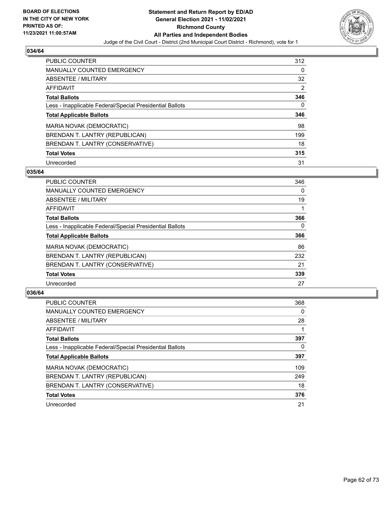

| <b>PUBLIC COUNTER</b>                                    | 312 |
|----------------------------------------------------------|-----|
| MANUALLY COUNTED EMERGENCY                               | 0   |
| ABSENTEE / MILITARY                                      | 32  |
| AFFIDAVIT                                                | 2   |
| <b>Total Ballots</b>                                     | 346 |
| Less - Inapplicable Federal/Special Presidential Ballots | 0   |
|                                                          | 346 |
| <b>Total Applicable Ballots</b>                          |     |
| MARIA NOVAK (DEMOCRATIC)                                 | 98  |
| BRENDAN T. LANTRY (REPUBLICAN)                           | 199 |
| BRENDAN T. LANTRY (CONSERVATIVE)                         | 18  |
| <b>Total Votes</b>                                       | 315 |

### **035/64**

| <b>PUBLIC COUNTER</b>                                    | 346      |
|----------------------------------------------------------|----------|
| <b>MANUALLY COUNTED EMERGENCY</b>                        | 0        |
| ABSENTEE / MILITARY                                      | 19       |
| <b>AFFIDAVIT</b>                                         |          |
| <b>Total Ballots</b>                                     | 366      |
| Less - Inapplicable Federal/Special Presidential Ballots | $\Omega$ |
| <b>Total Applicable Ballots</b>                          | 366      |
| MARIA NOVAK (DEMOCRATIC)                                 | 86       |
| BRENDAN T. LANTRY (REPUBLICAN)                           | 232      |
| BRENDAN T. LANTRY (CONSERVATIVE)                         | 21       |
| <b>Total Votes</b>                                       | 339      |
| Unrecorded                                               | 27       |

| <b>PUBLIC COUNTER</b>                                    | 368      |
|----------------------------------------------------------|----------|
| <b>MANUALLY COUNTED EMERGENCY</b>                        | $\Omega$ |
| ABSENTEE / MILITARY                                      | 28       |
| AFFIDAVIT                                                |          |
| <b>Total Ballots</b>                                     | 397      |
| Less - Inapplicable Federal/Special Presidential Ballots | 0        |
| <b>Total Applicable Ballots</b>                          | 397      |
| MARIA NOVAK (DEMOCRATIC)                                 | 109      |
| BRENDAN T. LANTRY (REPUBLICAN)                           | 249      |
| BRENDAN T. LANTRY (CONSERVATIVE)                         | 18       |
| <b>Total Votes</b>                                       | 376      |
| Unrecorded                                               | 21       |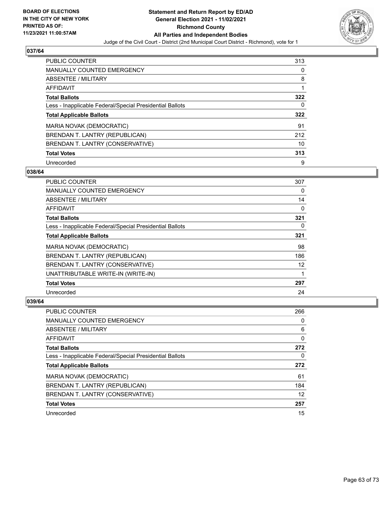

| <b>PUBLIC COUNTER</b>                                    | 313 |
|----------------------------------------------------------|-----|
| <b>MANUALLY COUNTED EMERGENCY</b>                        | 0   |
| ABSENTEE / MILITARY                                      | 8   |
| AFFIDAVIT                                                |     |
| <b>Total Ballots</b>                                     | 322 |
| Less - Inapplicable Federal/Special Presidential Ballots | 0   |
| <b>Total Applicable Ballots</b>                          | 322 |
|                                                          |     |
| MARIA NOVAK (DEMOCRATIC)                                 | 91  |
| BRENDAN T. LANTRY (REPUBLICAN)                           | 212 |
| BRENDAN T. LANTRY (CONSERVATIVE)                         | 10  |
| <b>Total Votes</b>                                       | 313 |

### **038/64**

| <b>PUBLIC COUNTER</b>                                    | 307      |
|----------------------------------------------------------|----------|
| MANUALLY COUNTED EMERGENCY                               | $\Omega$ |
| ABSENTEE / MILITARY                                      | 14       |
| AFFIDAVIT                                                | 0        |
| <b>Total Ballots</b>                                     | 321      |
| Less - Inapplicable Federal/Special Presidential Ballots | 0        |
| <b>Total Applicable Ballots</b>                          | 321      |
| MARIA NOVAK (DEMOCRATIC)                                 | 98       |
| BRENDAN T. LANTRY (REPUBLICAN)                           | 186      |
| BRENDAN T. LANTRY (CONSERVATIVE)                         | 12       |
| UNATTRIBUTABLE WRITE-IN (WRITE-IN)                       |          |
| <b>Total Votes</b>                                       | 297      |
| Unrecorded                                               | 24       |

| <b>PUBLIC COUNTER</b>                                    | 266 |
|----------------------------------------------------------|-----|
| <b>MANUALLY COUNTED EMERGENCY</b>                        | 0   |
| ABSENTEE / MILITARY                                      | 6   |
| AFFIDAVIT                                                | 0   |
| <b>Total Ballots</b>                                     | 272 |
| Less - Inapplicable Federal/Special Presidential Ballots | 0   |
| <b>Total Applicable Ballots</b>                          | 272 |
| MARIA NOVAK (DEMOCRATIC)                                 | 61  |
| BRENDAN T. LANTRY (REPUBLICAN)                           | 184 |
| BRENDAN T. LANTRY (CONSERVATIVE)                         | 12  |
| <b>Total Votes</b>                                       | 257 |
| Unrecorded                                               | 15  |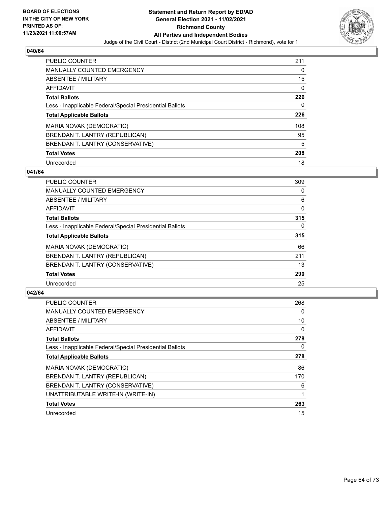

| <b>PUBLIC COUNTER</b>                                    | 211 |
|----------------------------------------------------------|-----|
| <b>MANUALLY COUNTED EMERGENCY</b>                        | 0   |
| ABSENTEE / MILITARY                                      | 15  |
| AFFIDAVIT                                                | 0   |
| <b>Total Ballots</b>                                     | 226 |
| Less - Inapplicable Federal/Special Presidential Ballots | 0   |
| <b>Total Applicable Ballots</b>                          | 226 |
| MARIA NOVAK (DEMOCRATIC)                                 | 108 |
| BRENDAN T. LANTRY (REPUBLICAN)                           | 95  |
| BRENDAN T. LANTRY (CONSERVATIVE)                         | 5   |
| <b>Total Votes</b>                                       | 208 |
| Unrecorded                                               | 18  |

### **041/64**

| <b>PUBLIC COUNTER</b>                                    | 309      |
|----------------------------------------------------------|----------|
| <b>MANUALLY COUNTED EMERGENCY</b>                        | $\Omega$ |
| <b>ABSENTEE / MILITARY</b>                               | 6        |
| <b>AFFIDAVIT</b>                                         | $\Omega$ |
| <b>Total Ballots</b>                                     | 315      |
| Less - Inapplicable Federal/Special Presidential Ballots | $\Omega$ |
| <b>Total Applicable Ballots</b>                          | 315      |
| MARIA NOVAK (DEMOCRATIC)                                 | 66       |
| BRENDAN T. LANTRY (REPUBLICAN)                           | 211      |
| BRENDAN T. LANTRY (CONSERVATIVE)                         | 13       |
| <b>Total Votes</b>                                       | 290      |
| Unrecorded                                               | 25       |

| <b>PUBLIC COUNTER</b>                                    | 268 |
|----------------------------------------------------------|-----|
| <b>MANUALLY COUNTED EMERGENCY</b>                        | 0   |
| ABSENTEE / MILITARY                                      | 10  |
| AFFIDAVIT                                                | 0   |
| <b>Total Ballots</b>                                     | 278 |
| Less - Inapplicable Federal/Special Presidential Ballots | 0   |
| <b>Total Applicable Ballots</b>                          | 278 |
| MARIA NOVAK (DEMOCRATIC)                                 | 86  |
| BRENDAN T. LANTRY (REPUBLICAN)                           | 170 |
| BRENDAN T. LANTRY (CONSERVATIVE)                         | 6   |
| UNATTRIBUTABLE WRITE-IN (WRITE-IN)                       |     |
| <b>Total Votes</b>                                       | 263 |
| Unrecorded                                               | 15  |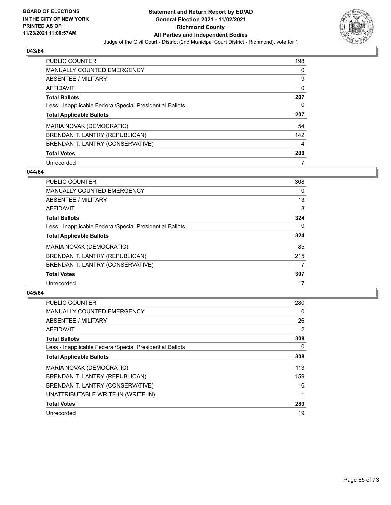

| <b>PUBLIC COUNTER</b>                                    | 198 |
|----------------------------------------------------------|-----|
| MANUALLY COUNTED EMERGENCY                               | 0   |
| ABSENTEE / MILITARY                                      | 9   |
| AFFIDAVIT                                                | 0   |
| <b>Total Ballots</b>                                     | 207 |
| Less - Inapplicable Federal/Special Presidential Ballots | 0   |
|                                                          |     |
| <b>Total Applicable Ballots</b>                          | 207 |
| MARIA NOVAK (DEMOCRATIC)                                 | 54  |
| BRENDAN T. LANTRY (REPUBLICAN)                           | 142 |
| BRENDAN T. LANTRY (CONSERVATIVE)                         | 4   |
| <b>Total Votes</b>                                       | 200 |

### **044/64**

| <b>PUBLIC COUNTER</b>                                    | 308      |
|----------------------------------------------------------|----------|
| <b>MANUALLY COUNTED EMERGENCY</b>                        | 0        |
| ABSENTEE / MILITARY                                      | 13       |
| <b>AFFIDAVIT</b>                                         | 3        |
| <b>Total Ballots</b>                                     | 324      |
| Less - Inapplicable Federal/Special Presidential Ballots | $\Omega$ |
| <b>Total Applicable Ballots</b>                          | 324      |
| MARIA NOVAK (DEMOCRATIC)                                 | 85       |
| BRENDAN T. LANTRY (REPUBLICAN)                           | 215      |
| BRENDAN T. LANTRY (CONSERVATIVE)                         | 7        |
| <b>Total Votes</b>                                       | 307      |
| Unrecorded                                               | 17       |

| <b>PUBLIC COUNTER</b>                                    | 280 |
|----------------------------------------------------------|-----|
| <b>MANUALLY COUNTED EMERGENCY</b>                        | 0   |
| ABSENTEE / MILITARY                                      | 26  |
| AFFIDAVIT                                                | 2   |
| <b>Total Ballots</b>                                     | 308 |
| Less - Inapplicable Federal/Special Presidential Ballots | 0   |
| <b>Total Applicable Ballots</b>                          | 308 |
| <b>MARIA NOVAK (DEMOCRATIC)</b>                          | 113 |
| BRENDAN T. LANTRY (REPUBLICAN)                           | 159 |
| BRENDAN T. LANTRY (CONSERVATIVE)                         | 16  |
| UNATTRIBUTABLE WRITE-IN (WRITE-IN)                       |     |
| <b>Total Votes</b>                                       | 289 |
| Unrecorded                                               | 19  |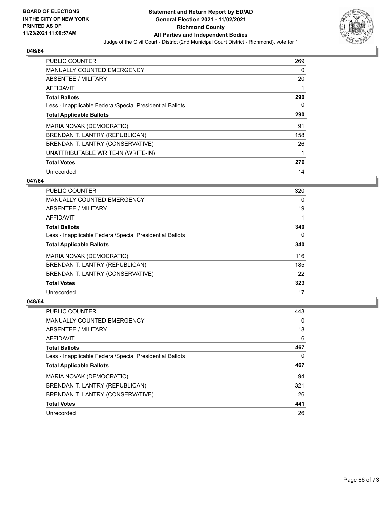

| PUBLIC COUNTER                                           | 269 |
|----------------------------------------------------------|-----|
| <b>MANUALLY COUNTED EMERGENCY</b>                        | 0   |
| <b>ABSENTEE / MILITARY</b>                               | 20  |
| <b>AFFIDAVIT</b>                                         |     |
| <b>Total Ballots</b>                                     | 290 |
| Less - Inapplicable Federal/Special Presidential Ballots | 0   |
| <b>Total Applicable Ballots</b>                          | 290 |
| MARIA NOVAK (DEMOCRATIC)                                 | 91  |
| BRENDAN T. LANTRY (REPUBLICAN)                           | 158 |
| BRENDAN T. LANTRY (CONSERVATIVE)                         | 26  |
| UNATTRIBUTABLE WRITE-IN (WRITE-IN)                       | 1   |
| <b>Total Votes</b>                                       | 276 |
| Unrecorded                                               | 14  |

### **047/64**

| <b>PUBLIC COUNTER</b>                                    | 320      |
|----------------------------------------------------------|----------|
| <b>MANUALLY COUNTED EMERGENCY</b>                        | 0        |
| ABSENTEE / MILITARY                                      | 19       |
| AFFIDAVIT                                                |          |
| <b>Total Ballots</b>                                     | 340      |
| Less - Inapplicable Federal/Special Presidential Ballots | $\Omega$ |
| <b>Total Applicable Ballots</b>                          | 340      |
| <b>MARIA NOVAK (DEMOCRATIC)</b>                          | 116      |
| BRENDAN T. LANTRY (REPUBLICAN)                           | 185      |
| BRENDAN T. LANTRY (CONSERVATIVE)                         | 22       |
| <b>Total Votes</b>                                       | 323      |
| Unrecorded                                               | 17       |

| <b>PUBLIC COUNTER</b>                                    | 443 |
|----------------------------------------------------------|-----|
| <b>MANUALLY COUNTED EMERGENCY</b>                        | 0   |
| ABSENTEE / MILITARY                                      | 18  |
| AFFIDAVIT                                                | 6   |
| <b>Total Ballots</b>                                     | 467 |
| Less - Inapplicable Federal/Special Presidential Ballots | 0   |
| <b>Total Applicable Ballots</b>                          | 467 |
|                                                          |     |
| MARIA NOVAK (DEMOCRATIC)                                 | 94  |
| BRENDAN T. LANTRY (REPUBLICAN)                           | 321 |
| BRENDAN T. LANTRY (CONSERVATIVE)                         | 26  |
| <b>Total Votes</b>                                       | 441 |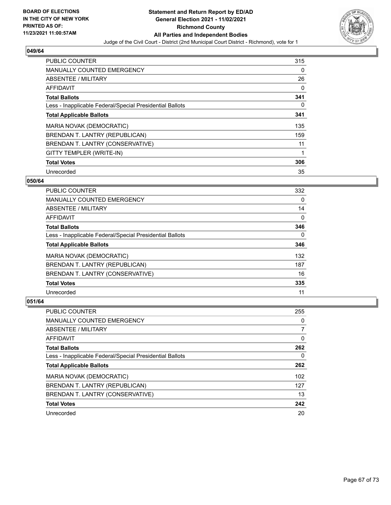

| PUBLIC COUNTER                                           | 315      |
|----------------------------------------------------------|----------|
| <b>MANUALLY COUNTED EMERGENCY</b>                        | 0        |
| <b>ABSENTEE / MILITARY</b>                               | 26       |
| AFFIDAVIT                                                | 0        |
| <b>Total Ballots</b>                                     | 341      |
| Less - Inapplicable Federal/Special Presidential Ballots | $\Omega$ |
| <b>Total Applicable Ballots</b>                          | 341      |
| MARIA NOVAK (DEMOCRATIC)                                 | 135      |
| BRENDAN T. LANTRY (REPUBLICAN)                           | 159      |
| BRENDAN T. LANTRY (CONSERVATIVE)                         | 11       |
| GITTY TEMPLER (WRITE-IN)                                 | 1        |
| <b>Total Votes</b>                                       | 306      |
| Unrecorded                                               | 35       |

### **050/64**

| <b>PUBLIC COUNTER</b>                                    | 332      |
|----------------------------------------------------------|----------|
| <b>MANUALLY COUNTED EMERGENCY</b>                        | 0        |
| ABSENTEE / MILITARY                                      | 14       |
| <b>AFFIDAVIT</b>                                         | $\Omega$ |
| <b>Total Ballots</b>                                     | 346      |
| Less - Inapplicable Federal/Special Presidential Ballots | $\Omega$ |
| <b>Total Applicable Ballots</b>                          | 346      |
| MARIA NOVAK (DEMOCRATIC)                                 | 132      |
| BRENDAN T. LANTRY (REPUBLICAN)                           | 187      |
| BRENDAN T. LANTRY (CONSERVATIVE)                         | 16       |
| <b>Total Votes</b>                                       | 335      |
| Unrecorded                                               | 11       |

| <b>PUBLIC COUNTER</b>                                    | 255 |
|----------------------------------------------------------|-----|
| <b>MANUALLY COUNTED EMERGENCY</b>                        | 0   |
| ABSENTEE / MILITARY                                      | 7   |
| AFFIDAVIT                                                | 0   |
| <b>Total Ballots</b>                                     | 262 |
| Less - Inapplicable Federal/Special Presidential Ballots | 0   |
| <b>Total Applicable Ballots</b>                          | 262 |
| MARIA NOVAK (DEMOCRATIC)                                 | 102 |
| BRENDAN T. LANTRY (REPUBLICAN)                           | 127 |
| BRENDAN T. LANTRY (CONSERVATIVE)                         | 13  |
| <b>Total Votes</b>                                       | 242 |
| Unrecorded                                               | 20  |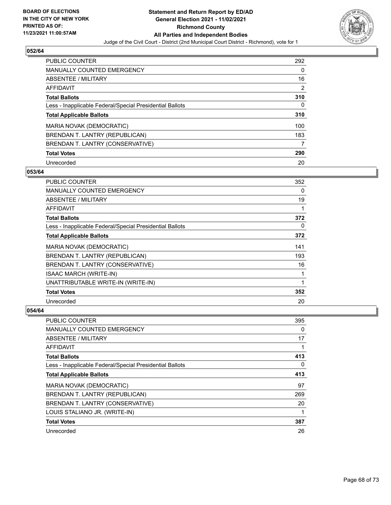

| <b>PUBLIC COUNTER</b>                                    | 292 |
|----------------------------------------------------------|-----|
| MANUALLY COUNTED EMERGENCY                               | 0   |
| ABSENTEE / MILITARY                                      | 16  |
| AFFIDAVIT                                                | 2   |
| <b>Total Ballots</b>                                     | 310 |
| Less - Inapplicable Federal/Special Presidential Ballots | 0   |
| <b>Total Applicable Ballots</b>                          | 310 |
| MARIA NOVAK (DEMOCRATIC)                                 | 100 |
| BRENDAN T. LANTRY (REPUBLICAN)                           | 183 |
| BRENDAN T. LANTRY (CONSERVATIVE)                         | 7   |
| <b>Total Votes</b>                                       | 290 |
| Unrecorded                                               | 20  |

### **053/64**

| <b>PUBLIC COUNTER</b>                                    | 352 |
|----------------------------------------------------------|-----|
| MANUALLY COUNTED EMERGENCY                               | 0   |
| ABSENTEE / MILITARY                                      | 19  |
| <b>AFFIDAVIT</b>                                         | 1   |
| <b>Total Ballots</b>                                     | 372 |
| Less - Inapplicable Federal/Special Presidential Ballots | 0   |
| <b>Total Applicable Ballots</b>                          | 372 |
| MARIA NOVAK (DEMOCRATIC)                                 | 141 |
| BRENDAN T. LANTRY (REPUBLICAN)                           | 193 |
| BRENDAN T. LANTRY (CONSERVATIVE)                         | 16  |
| <b>ISAAC MARCH (WRITE-IN)</b>                            | 1   |
| UNATTRIBUTABLE WRITE-IN (WRITE-IN)                       | 1   |
| <b>Total Votes</b>                                       | 352 |
| Unrecorded                                               | 20  |

| PUBLIC COUNTER                                           | 395 |
|----------------------------------------------------------|-----|
| MANUALLY COUNTED EMERGENCY                               | 0   |
| <b>ABSENTEE / MILITARY</b>                               | 17  |
| AFFIDAVIT                                                |     |
| <b>Total Ballots</b>                                     | 413 |
| Less - Inapplicable Federal/Special Presidential Ballots | 0   |
| <b>Total Applicable Ballots</b>                          | 413 |
| MARIA NOVAK (DEMOCRATIC)                                 | 97  |
| BRENDAN T. LANTRY (REPUBLICAN)                           | 269 |
| BRENDAN T. LANTRY (CONSERVATIVE)                         | 20  |
| LOUIS STALIANO JR. (WRITE-IN)                            |     |
| <b>Total Votes</b>                                       | 387 |
| Unrecorded                                               | 26  |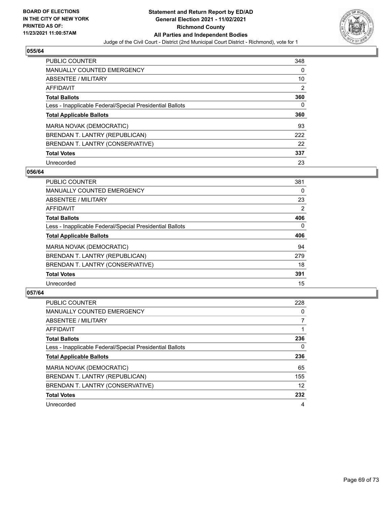

| <b>PUBLIC COUNTER</b>                                    | 348      |
|----------------------------------------------------------|----------|
| MANUALLY COUNTED EMERGENCY                               | $\Omega$ |
| ABSENTEE / MILITARY                                      | 10       |
| AFFIDAVIT                                                | 2        |
| <b>Total Ballots</b>                                     | 360      |
| Less - Inapplicable Federal/Special Presidential Ballots | 0        |
| <b>Total Applicable Ballots</b>                          | 360      |
| MARIA NOVAK (DEMOCRATIC)                                 | 93       |
| BRENDAN T. LANTRY (REPUBLICAN)                           | 222      |
| BRENDAN T. LANTRY (CONSERVATIVE)                         | 22       |
| <b>Total Votes</b>                                       | 337      |
| Unrecorded                                               | 23       |

### **056/64**

| <b>PUBLIC COUNTER</b>                                    | 381            |
|----------------------------------------------------------|----------------|
| <b>MANUALLY COUNTED EMERGENCY</b>                        | 0              |
| ABSENTEE / MILITARY                                      | 23             |
| <b>AFFIDAVIT</b>                                         | $\overline{2}$ |
| <b>Total Ballots</b>                                     | 406            |
| Less - Inapplicable Federal/Special Presidential Ballots | $\Omega$       |
| <b>Total Applicable Ballots</b>                          | 406            |
| MARIA NOVAK (DEMOCRATIC)                                 | 94             |
| BRENDAN T. LANTRY (REPUBLICAN)                           | 279            |
| BRENDAN T. LANTRY (CONSERVATIVE)                         | 18             |
| <b>Total Votes</b>                                       | 391            |
| Unrecorded                                               | 15             |

| <b>PUBLIC COUNTER</b>                                    | 228      |
|----------------------------------------------------------|----------|
| <b>MANUALLY COUNTED EMERGENCY</b>                        | $\Omega$ |
| ABSENTEE / MILITARY                                      |          |
| <b>AFFIDAVIT</b>                                         |          |
| <b>Total Ballots</b>                                     | 236      |
| Less - Inapplicable Federal/Special Presidential Ballots | 0        |
| <b>Total Applicable Ballots</b>                          | 236      |
| MARIA NOVAK (DEMOCRATIC)                                 | 65       |
| BRENDAN T. LANTRY (REPUBLICAN)                           | 155      |
| BRENDAN T. LANTRY (CONSERVATIVE)                         | 12       |
| <b>Total Votes</b>                                       | 232      |
| Unrecorded                                               | 4        |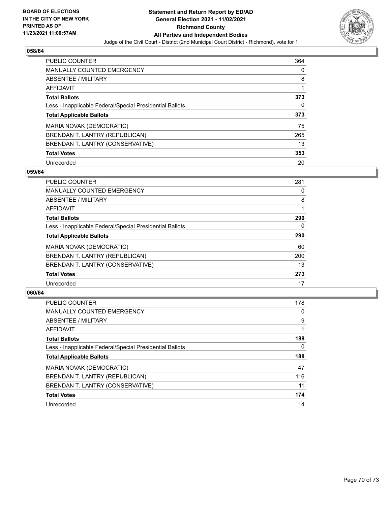

| <b>PUBLIC COUNTER</b>                                    | 364 |
|----------------------------------------------------------|-----|
| <b>MANUALLY COUNTED EMERGENCY</b>                        | 0   |
| ABSENTEE / MILITARY                                      | 8   |
| AFFIDAVIT                                                |     |
| <b>Total Ballots</b>                                     | 373 |
| Less - Inapplicable Federal/Special Presidential Ballots | 0   |
|                                                          |     |
| <b>Total Applicable Ballots</b>                          | 373 |
| MARIA NOVAK (DEMOCRATIC)                                 | 75  |
| BRENDAN T. LANTRY (REPUBLICAN)                           | 265 |
| BRENDAN T. LANTRY (CONSERVATIVE)                         | 13  |
| <b>Total Votes</b>                                       | 353 |

### **059/64**

| <b>PUBLIC COUNTER</b>                                    | 281 |
|----------------------------------------------------------|-----|
| MANUALLY COUNTED EMERGENCY                               | 0   |
| ABSENTEE / MILITARY                                      | 8   |
| <b>AFFIDAVIT</b>                                         |     |
| <b>Total Ballots</b>                                     | 290 |
| Less - Inapplicable Federal/Special Presidential Ballots | 0   |
| <b>Total Applicable Ballots</b>                          | 290 |
| MARIA NOVAK (DEMOCRATIC)                                 | 60  |
| BRENDAN T. LANTRY (REPUBLICAN)                           | 200 |
| BRENDAN T. LANTRY (CONSERVATIVE)                         | 13  |
| <b>Total Votes</b>                                       | 273 |
| Unrecorded                                               | 17  |

| <b>PUBLIC COUNTER</b>                                    | 178 |
|----------------------------------------------------------|-----|
| MANUALLY COUNTED EMERGENCY                               | 0   |
| ABSENTEE / MILITARY                                      | 9   |
| <b>AFFIDAVIT</b>                                         |     |
| <b>Total Ballots</b>                                     | 188 |
| Less - Inapplicable Federal/Special Presidential Ballots | 0   |
| <b>Total Applicable Ballots</b>                          | 188 |
| MARIA NOVAK (DEMOCRATIC)                                 | 47  |
| BRENDAN T. LANTRY (REPUBLICAN)                           | 116 |
| BRENDAN T. LANTRY (CONSERVATIVE)                         | 11  |
|                                                          |     |
| <b>Total Votes</b>                                       | 174 |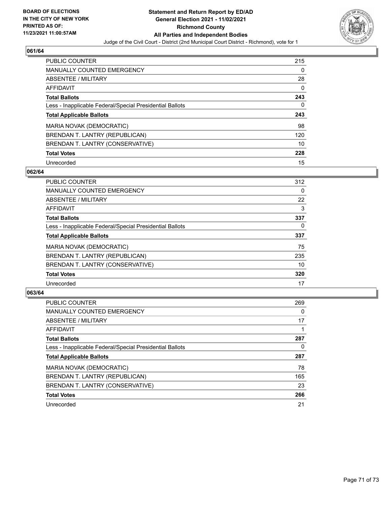

| PUBLIC COUNTER                                           | 215 |
|----------------------------------------------------------|-----|
| <b>MANUALLY COUNTED EMERGENCY</b>                        | 0   |
| ABSENTEE / MILITARY                                      | 28  |
| AFFIDAVIT                                                | 0   |
| <b>Total Ballots</b>                                     | 243 |
| Less - Inapplicable Federal/Special Presidential Ballots | 0   |
| <b>Total Applicable Ballots</b>                          | 243 |
| MARIA NOVAK (DEMOCRATIC)                                 | 98  |
| BRENDAN T. LANTRY (REPUBLICAN)                           | 120 |
| BRENDAN T. LANTRY (CONSERVATIVE)                         | 10  |
| <b>Total Votes</b>                                       | 228 |
| Unrecorded                                               | 15  |

### **062/64**

| <b>PUBLIC COUNTER</b>                                    | 312      |
|----------------------------------------------------------|----------|
| <b>MANUALLY COUNTED EMERGENCY</b>                        | $\Omega$ |
| <b>ABSENTEE / MILITARY</b>                               | 22       |
| <b>AFFIDAVIT</b>                                         | 3        |
| <b>Total Ballots</b>                                     | 337      |
| Less - Inapplicable Federal/Special Presidential Ballots | $\Omega$ |
| <b>Total Applicable Ballots</b>                          | 337      |
| MARIA NOVAK (DEMOCRATIC)                                 | 75       |
| BRENDAN T. LANTRY (REPUBLICAN)                           | 235      |
| BRENDAN T. LANTRY (CONSERVATIVE)                         | 10       |
| <b>Total Votes</b>                                       | 320      |
| Unrecorded                                               | 17       |

| <b>PUBLIC COUNTER</b>                                    | 269 |
|----------------------------------------------------------|-----|
| MANUALLY COUNTED EMERGENCY                               | 0   |
| ABSENTEE / MILITARY                                      | 17  |
| AFFIDAVIT                                                |     |
| <b>Total Ballots</b>                                     | 287 |
| Less - Inapplicable Federal/Special Presidential Ballots | 0   |
| <b>Total Applicable Ballots</b>                          | 287 |
| MARIA NOVAK (DEMOCRATIC)                                 | 78  |
| BRENDAN T. LANTRY (REPUBLICAN)                           | 165 |
| BRENDAN T. LANTRY (CONSERVATIVE)                         | 23  |
| <b>Total Votes</b>                                       | 266 |
| Unrecorded                                               | 21  |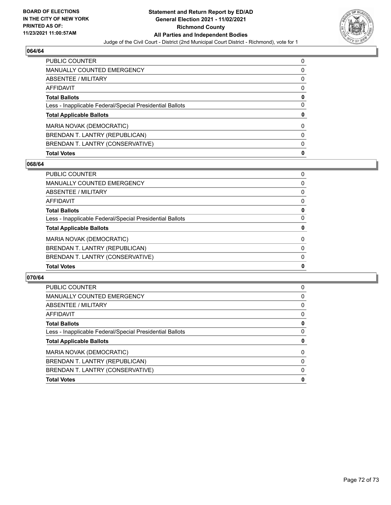

| <b>PUBLIC COUNTER</b>                                    | 0        |
|----------------------------------------------------------|----------|
| <b>MANUALLY COUNTED EMERGENCY</b>                        | 0        |
| <b>ABSENTEE / MILITARY</b>                               | 0        |
| AFFIDAVIT                                                | 0        |
| <b>Total Ballots</b>                                     | 0        |
| Less - Inapplicable Federal/Special Presidential Ballots | $\Omega$ |
| <b>Total Applicable Ballots</b>                          | 0        |
| MARIA NOVAK (DEMOCRATIC)                                 | 0        |
| BRENDAN T. LANTRY (REPUBLICAN)                           | 0        |
| BRENDAN T. LANTRY (CONSERVATIVE)                         | 0        |
| <b>Total Votes</b>                                       | 0        |

### **068/64**

| <b>PUBLIC COUNTER</b>                                    | 0        |
|----------------------------------------------------------|----------|
| MANUALLY COUNTED EMERGENCY                               | 0        |
| ABSENTEE / MILITARY                                      | $\Omega$ |
| AFFIDAVIT                                                | $\Omega$ |
| <b>Total Ballots</b>                                     | 0        |
| Less - Inapplicable Federal/Special Presidential Ballots | 0        |
| <b>Total Applicable Ballots</b>                          | 0        |
| MARIA NOVAK (DEMOCRATIC)                                 | $\Omega$ |
| BRENDAN T. LANTRY (REPUBLICAN)                           | $\Omega$ |
| BRENDAN T. LANTRY (CONSERVATIVE)                         | $\Omega$ |
| <b>Total Votes</b>                                       | 0        |

| 0 |
|---|
| 0 |
| 0 |
| 0 |
| 0 |
| 0 |
| 0 |
| 0 |
| 0 |
| 0 |
| 0 |
|   |